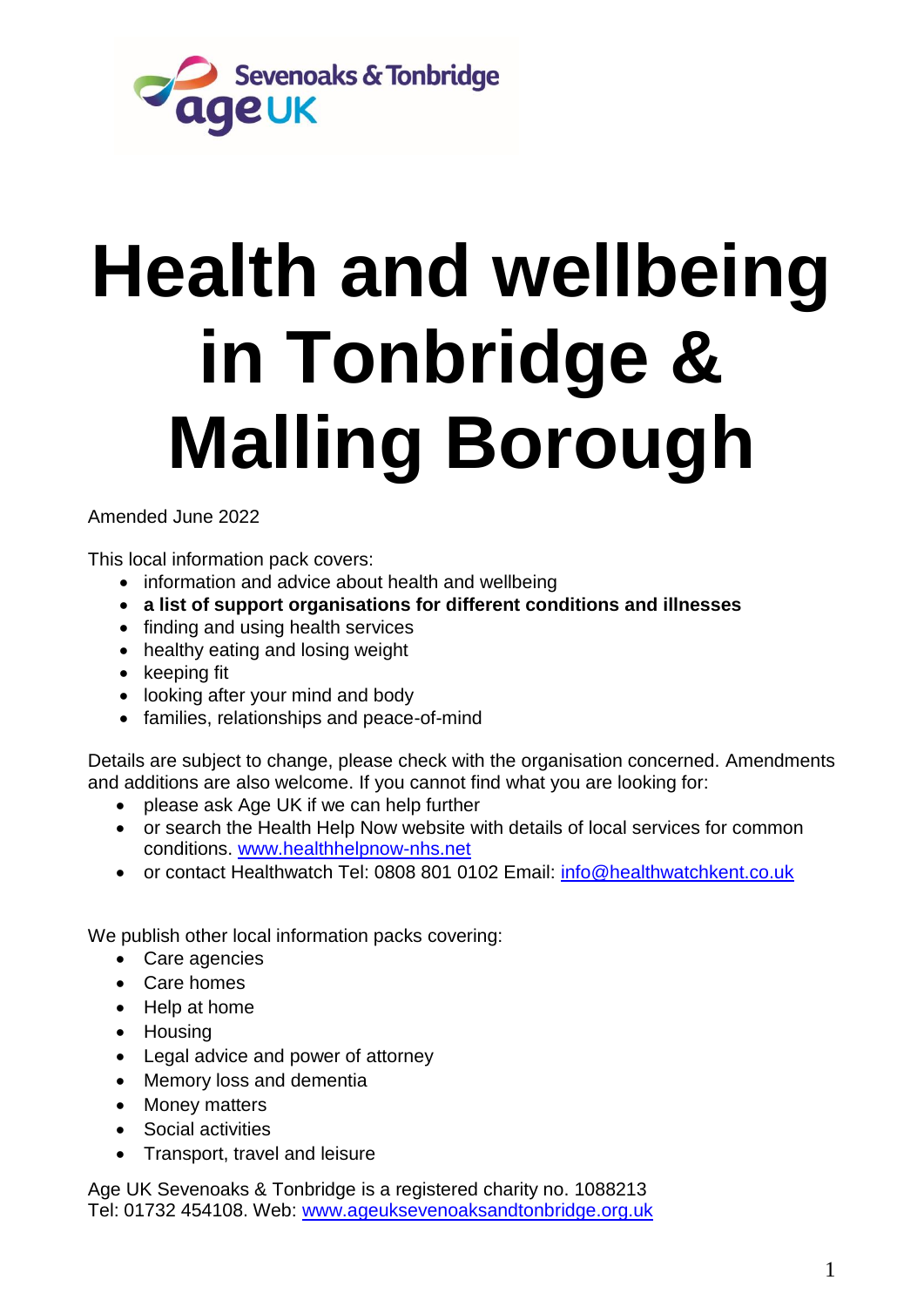

# **Health and wellbeing in Tonbridge & Malling Borough**

Amended June 2022

This local information pack covers:

- information and advice about health and wellbeing
- **a list of support organisations for different conditions and illnesses**
- finding and using health services
- healthy eating and losing weight
- keeping fit
- looking after your mind and body
- families, relationships and peace-of-mind

Details are subject to change, please check with the organisation concerned. Amendments and additions are also welcome. If you cannot find what you are looking for:

- please ask Age UK if we can help further
- or search the Health Help Now website with details of local services for common conditions. [www.healthhelpnow-nhs.net](http://www.healthhelpnow-nhs.net/)
- or contact Healthwatch Tel: 0808 801 0102 Email: [info@healthwatchkent.co.uk](mailto:info@healthwatchkent.co.uk)

We publish other local information packs covering:

- Care agencies
- Care homes
- Help at home
- Housing
- Legal advice and power of attorney
- Memory loss and dementia
- Money matters
- Social activities
- Transport, travel and leisure

Age UK Sevenoaks & Tonbridge is a registered charity no. 1088213 Tel: 01732 454108. Web: [www.ageuksevenoaksandtonbridge.org.uk](http://www.ageuksevenoaksandtonbridge.org.uk/)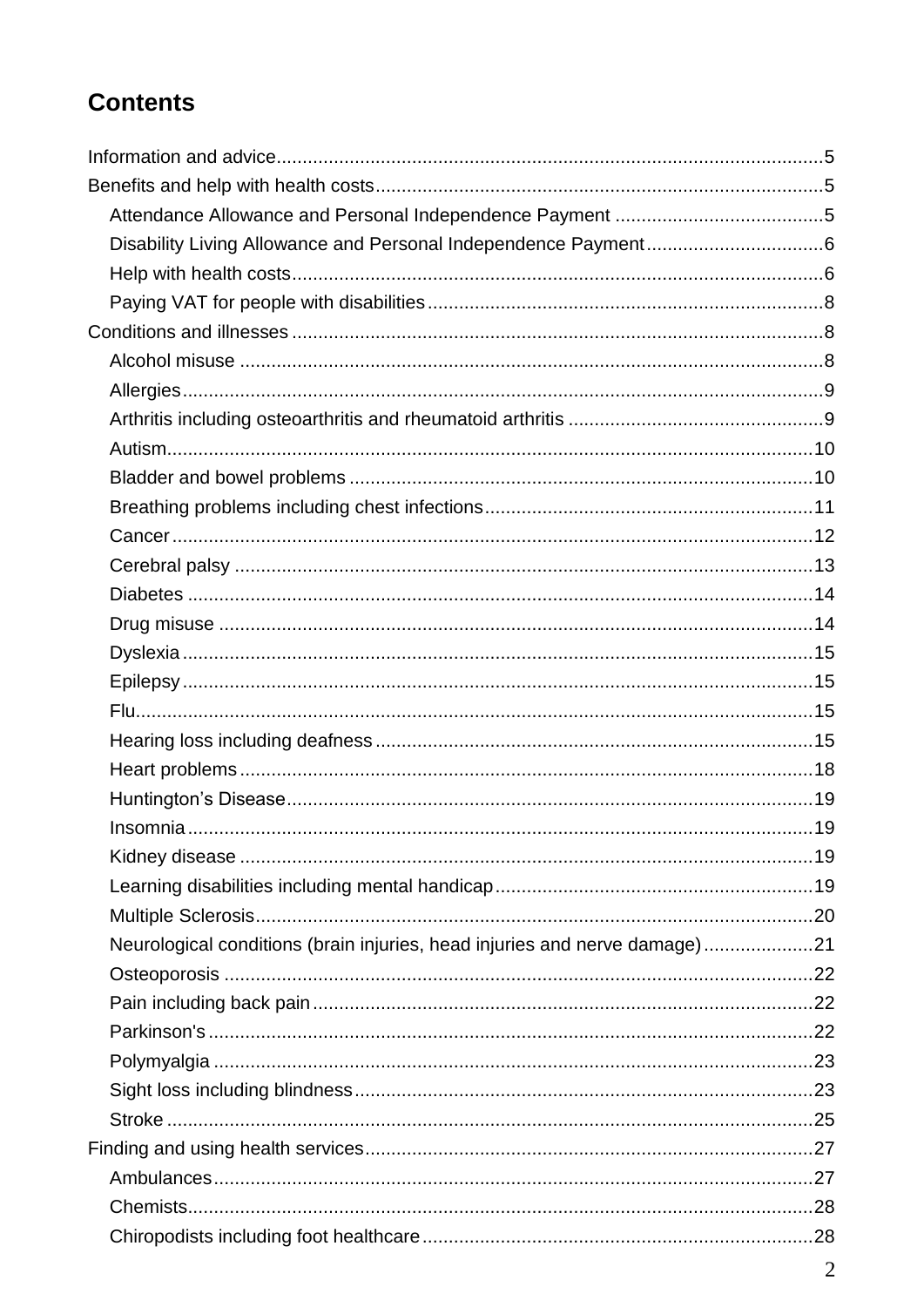# **Contents**

| Neurological conditions (brain injuries, head injuries and nerve damage)21 |  |
|----------------------------------------------------------------------------|--|
|                                                                            |  |
|                                                                            |  |
|                                                                            |  |
|                                                                            |  |
|                                                                            |  |
|                                                                            |  |
|                                                                            |  |
|                                                                            |  |
|                                                                            |  |
|                                                                            |  |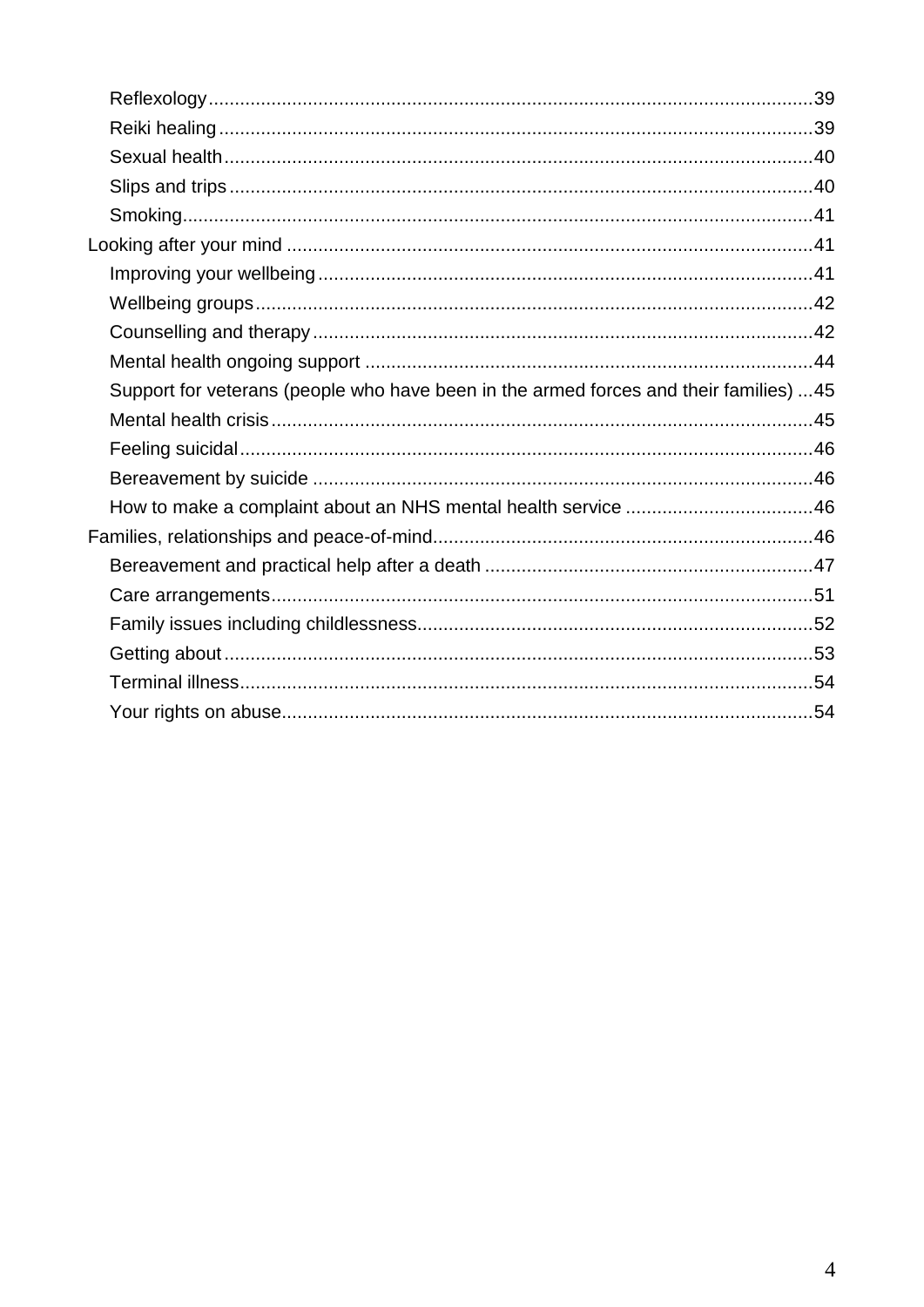| Support for veterans (people who have been in the armed forces and their families) 45 |  |
|---------------------------------------------------------------------------------------|--|
|                                                                                       |  |
|                                                                                       |  |
|                                                                                       |  |
|                                                                                       |  |
|                                                                                       |  |
|                                                                                       |  |
|                                                                                       |  |
|                                                                                       |  |
|                                                                                       |  |
|                                                                                       |  |
|                                                                                       |  |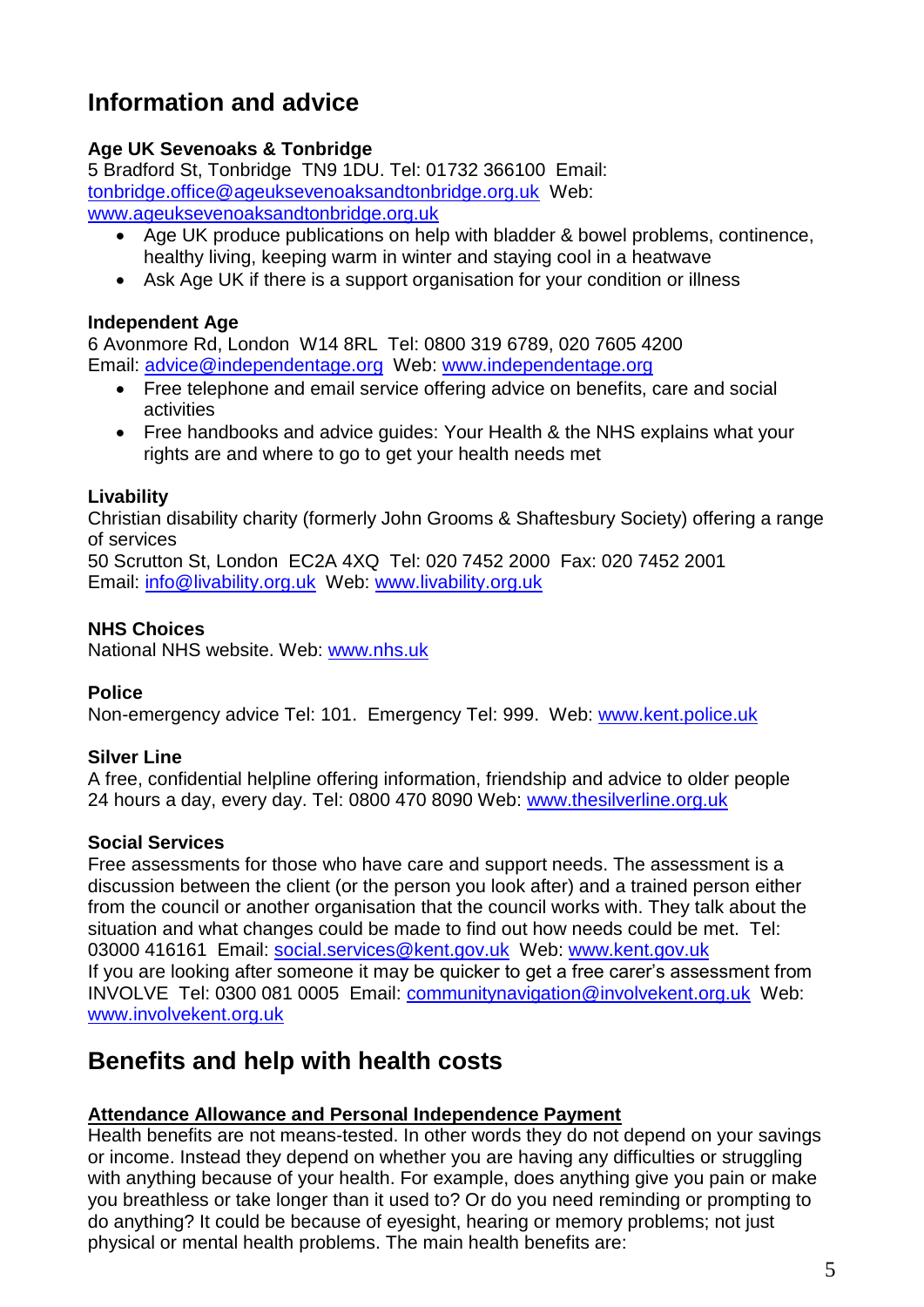# <span id="page-4-0"></span>**Information and advice**

## **Age UK Sevenoaks & Tonbridge**

5 Bradford St, Tonbridge TN9 1DU. Tel: 01732 366100 Email: [tonbridge.office@ageuksevenoaksandtonbridge.org.uk](mailto:tonbridge.office@ageuksevenoaksandtonbridge.org.uk) Web: [www.ageuksevenoaksandtonbridge.org.uk](http://www.ageuksevenoaksandtonbridge.org.uk/)

- Age UK produce publications on help with bladder & bowel problems, continence, healthy living, keeping warm in winter and staying cool in a heatwave
- Ask Age UK if there is a support organisation for your condition or illness

#### **Independent Age**

6 Avonmore Rd, London W14 8RL Tel: 0800 319 6789, 020 7605 4200 Email: [advice@independentage.org](mailto:advice@independentage.org) Web: [www.independentage.org](http://www.independentage.org/)

- Free telephone and email service offering advice on benefits, care and social activities
- Free handbooks and advice guides: Your Health & the NHS explains what your rights are and where to go to get your health needs met

#### **Livability**

Christian disability charity (formerly John Grooms & Shaftesbury Society) offering a range of services

50 Scrutton St, London EC2A 4XQ Tel: 020 7452 2000 Fax: 020 7452 2001 Email: [info@livability.org.uk](mailto:info@livability.org.uk) Web: [www.livability.org.uk](http://www.livability.org.uk/)

#### **NHS Choices**

National NHS website. Web: www.nhs.uk

## **Police**

Non-emergency advice Tel: 101. Emergency Tel: 999. Web: www.kent.police.uk

## **Silver Line**

A free, confidential helpline offering information, friendship and advice to older people 24 hours a day, every day. Tel: 0800 470 8090 Web: www.thesilverline.org.uk

#### **Social Services**

Free assessments for those who have care and support needs. The assessment is a discussion between the client (or the person you look after) and a trained person either from the council or another organisation that the council works with. They talk about the situation and what changes could be made to find out how needs could be met. Tel: 03000 416161 Email: social.services@kent.gov.uk Web: www.kent.gov.uk If you are looking after someone it may be quicker to get a free carer's assessment from INVOLVE Tel: 0300 081 0005 Email: [communitynavigation@involvekent.org.uk](mailto:communitynavigation@involvekent.org.uk) Web: [www.involvekent.org.uk](http://www.involvekent.org.uk/)

# <span id="page-4-1"></span>**Benefits and help with health costs**

## <span id="page-4-2"></span>**Attendance Allowance and Personal Independence Payment**

Health benefits are not means-tested. In other words they do not depend on your savings or income. Instead they depend on whether you are having any difficulties or struggling with anything because of your health. For example, does anything give you pain or make you breathless or take longer than it used to? Or do you need reminding or prompting to do anything? It could be because of eyesight, hearing or memory problems; not just physical or mental health problems. The main health benefits are: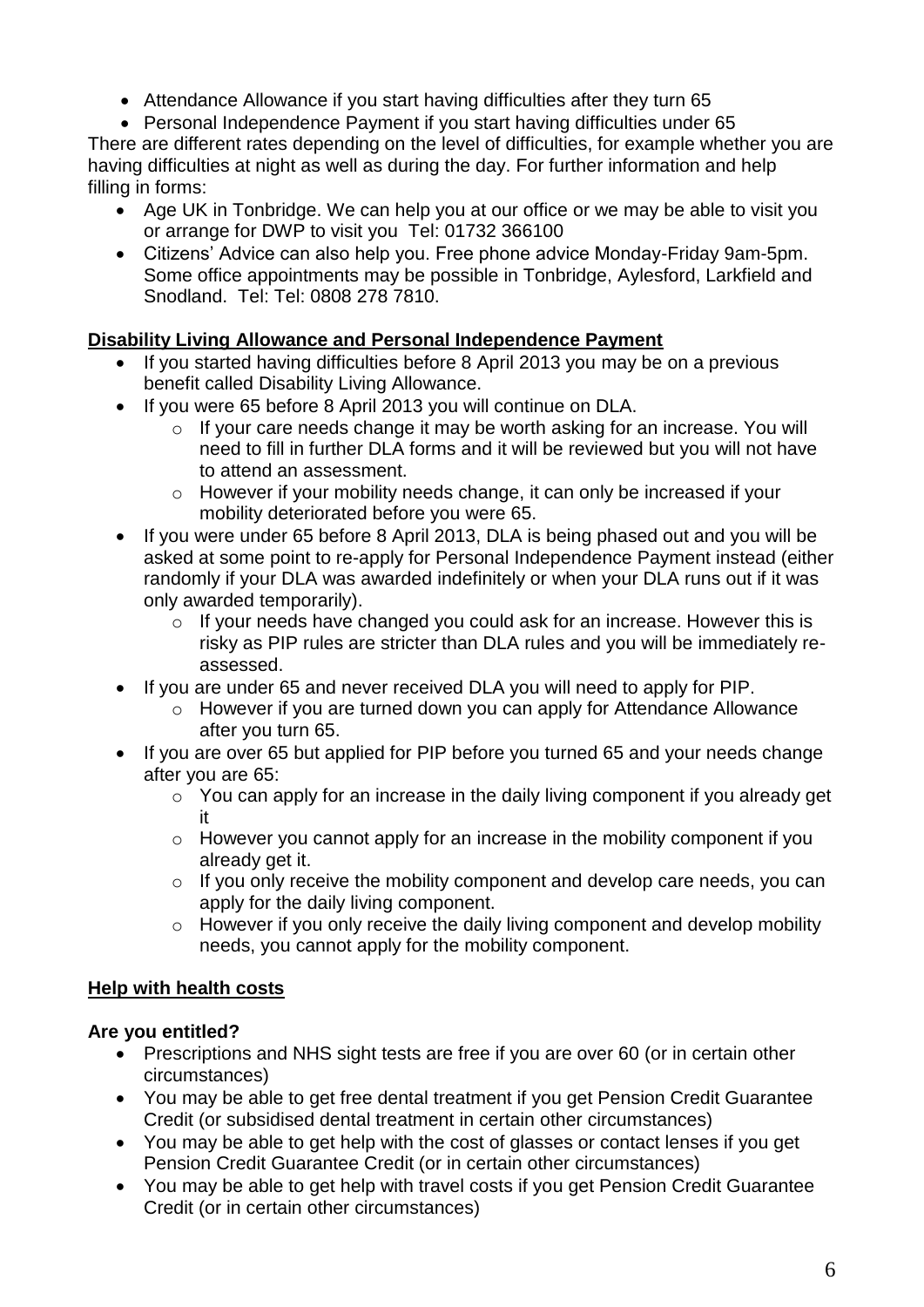- Attendance Allowance if you start having difficulties after they turn 65
- Personal Independence Payment if you start having difficulties under 65

There are different rates depending on the level of difficulties, for example whether you are having difficulties at night as well as during the day. For further information and help filling in forms:

- Age UK in Tonbridge. We can help you at our office or we may be able to visit you or arrange for DWP to visit you Tel: 01732 366100
- Citizens' Advice can also help you. Free phone advice Monday-Friday 9am-5pm. Some office appointments may be possible in Tonbridge, Aylesford, Larkfield and Snodland. Tel: Tel: 0808 278 7810.

## <span id="page-5-0"></span>**Disability Living Allowance and Personal Independence Payment**

- If you started having difficulties before 8 April 2013 you may be on a previous benefit called Disability Living Allowance.
- If you were 65 before 8 April 2013 you will continue on DLA.
	- o If your care needs change it may be worth asking for an increase. You will need to fill in further DLA forms and it will be reviewed but you will not have to attend an assessment.
	- o However if your mobility needs change, it can only be increased if your mobility deteriorated before you were 65.
- If you were under 65 before 8 April 2013, DLA is being phased out and you will be asked at some point to re-apply for Personal Independence Payment instead (either randomly if your DLA was awarded indefinitely or when your DLA runs out if it was only awarded temporarily).
	- o If your needs have changed you could ask for an increase. However this is risky as PIP rules are stricter than DLA rules and you will be immediately reassessed.
- If you are under 65 and never received DLA you will need to apply for PIP.
	- o However if you are turned down you can apply for Attendance Allowance after you turn 65.
- If you are over 65 but applied for PIP before you turned 65 and your needs change after you are 65:
	- $\circ$  You can apply for an increase in the daily living component if you already get it
	- o However you cannot apply for an increase in the mobility component if you already get it.
	- o If you only receive the mobility component and develop care needs, you can apply for the daily living component.
	- o However if you only receive the daily living component and develop mobility needs, you cannot apply for the mobility component.

## <span id="page-5-1"></span>**Help with health costs**

## **Are you entitled?**

- Prescriptions and NHS sight tests are free if you are over 60 (or in certain other circumstances)
- You may be able to get free dental treatment if you get Pension Credit Guarantee Credit (or subsidised dental treatment in certain other circumstances)
- You may be able to get help with the cost of glasses or contact lenses if you get Pension Credit Guarantee Credit (or in certain other circumstances)
- You may be able to get help with travel costs if you get Pension Credit Guarantee Credit (or in certain other circumstances)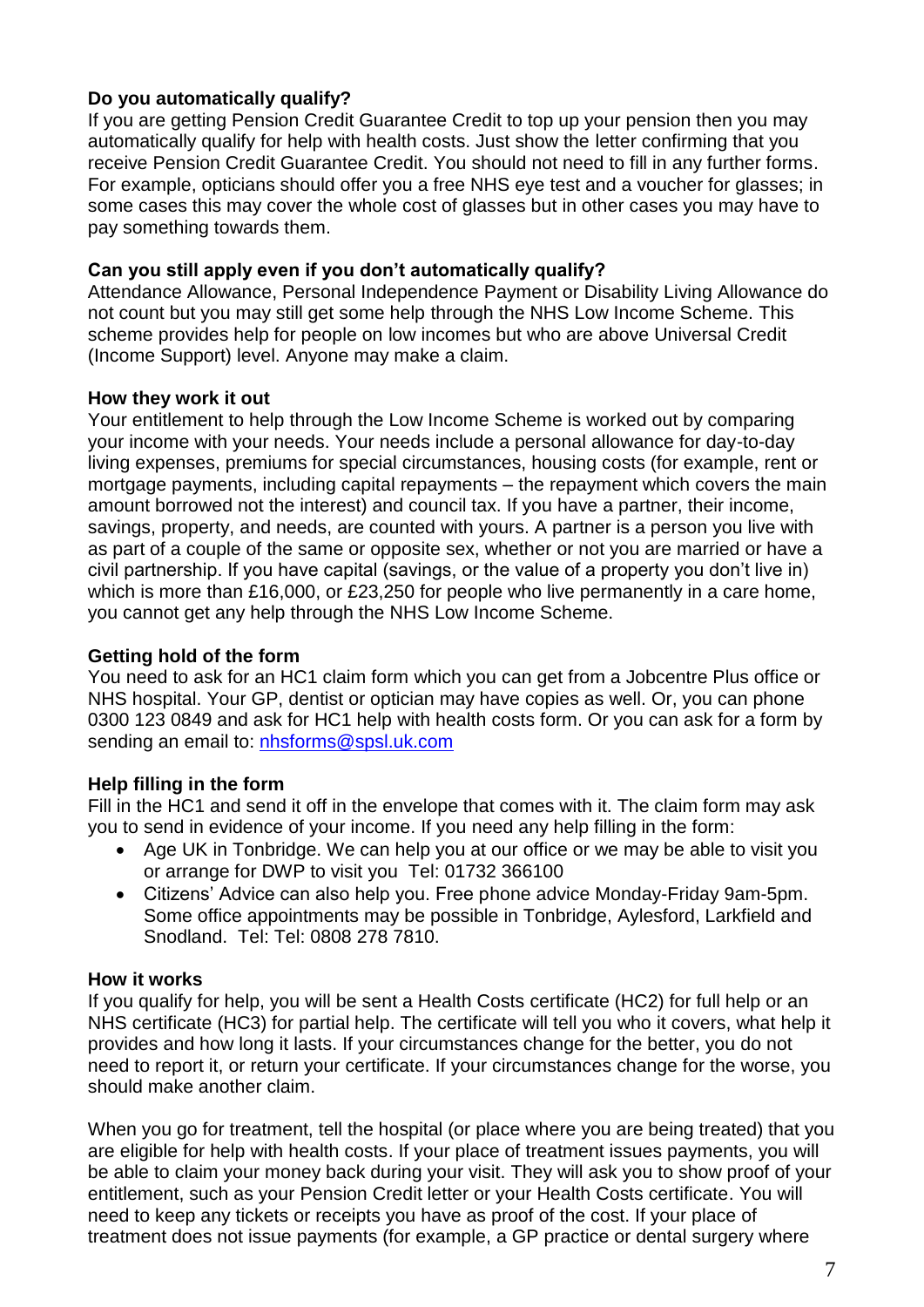## **Do you automatically qualify?**

If you are getting Pension Credit Guarantee Credit to top up your pension then you may automatically qualify for help with health costs. Just show the letter confirming that you receive Pension Credit Guarantee Credit. You should not need to fill in any further forms. For example, opticians should offer you a free NHS eye test and a voucher for glasses; in some cases this may cover the whole cost of glasses but in other cases you may have to pay something towards them.

#### **Can you still apply even if you don't automatically qualify?**

Attendance Allowance, Personal Independence Payment or Disability Living Allowance do not count but you may still get some help through the NHS Low Income Scheme. This scheme provides help for people on low incomes but who are above Universal Credit (Income Support) level. Anyone may make a claim.

#### **How they work it out**

Your entitlement to help through the Low Income Scheme is worked out by comparing your income with your needs. Your needs include a personal allowance for day-to-day living expenses, premiums for special circumstances, housing costs (for example, rent or mortgage payments, including capital repayments – the repayment which covers the main amount borrowed not the interest) and council tax. If you have a partner, their income, savings, property, and needs, are counted with yours. A partner is a person you live with as part of a couple of the same or opposite sex, whether or not you are married or have a civil partnership. If you have capital (savings, or the value of a property you don't live in) which is more than £16,000, or £23,250 for people who live permanently in a care home, you cannot get any help through the NHS Low Income Scheme.

#### **Getting hold of the form**

You need to ask for an HC1 claim form which you can get from a Jobcentre Plus office or NHS hospital. Your GP, dentist or optician may have copies as well. Or, you can phone 0300 123 0849 and ask for HC1 help with health costs form. Or you can ask for a form by sending an email to: [nhsforms@spsl.uk.com](mailto:nhsforms@spsl.uk.com)

## **Help filling in the form**

Fill in the HC1 and send it off in the envelope that comes with it. The claim form may ask you to send in evidence of your income. If you need any help filling in the form:

- Age UK in Tonbridge. We can help you at our office or we may be able to visit you or arrange for DWP to visit you Tel: 01732 366100
- Citizens' Advice can also help you. Free phone advice Monday-Friday 9am-5pm. Some office appointments may be possible in Tonbridge, Aylesford, Larkfield and Snodland. Tel: Tel: 0808 278 7810.

#### **How it works**

If you qualify for help, you will be sent a Health Costs certificate (HC2) for full help or an NHS certificate (HC3) for partial help. The certificate will tell you who it covers, what help it provides and how long it lasts. If your circumstances change for the better, you do not need to report it, or return your certificate. If your circumstances change for the worse, you should make another claim.

When you go for treatment, tell the hospital (or place where you are being treated) that you are eligible for help with health costs. If your place of treatment issues payments, you will be able to claim your money back during your visit. They will ask you to show proof of your entitlement, such as your Pension Credit letter or your Health Costs certificate. You will need to keep any tickets or receipts you have as proof of the cost. If your place of treatment does not issue payments (for example, a GP practice or dental surgery where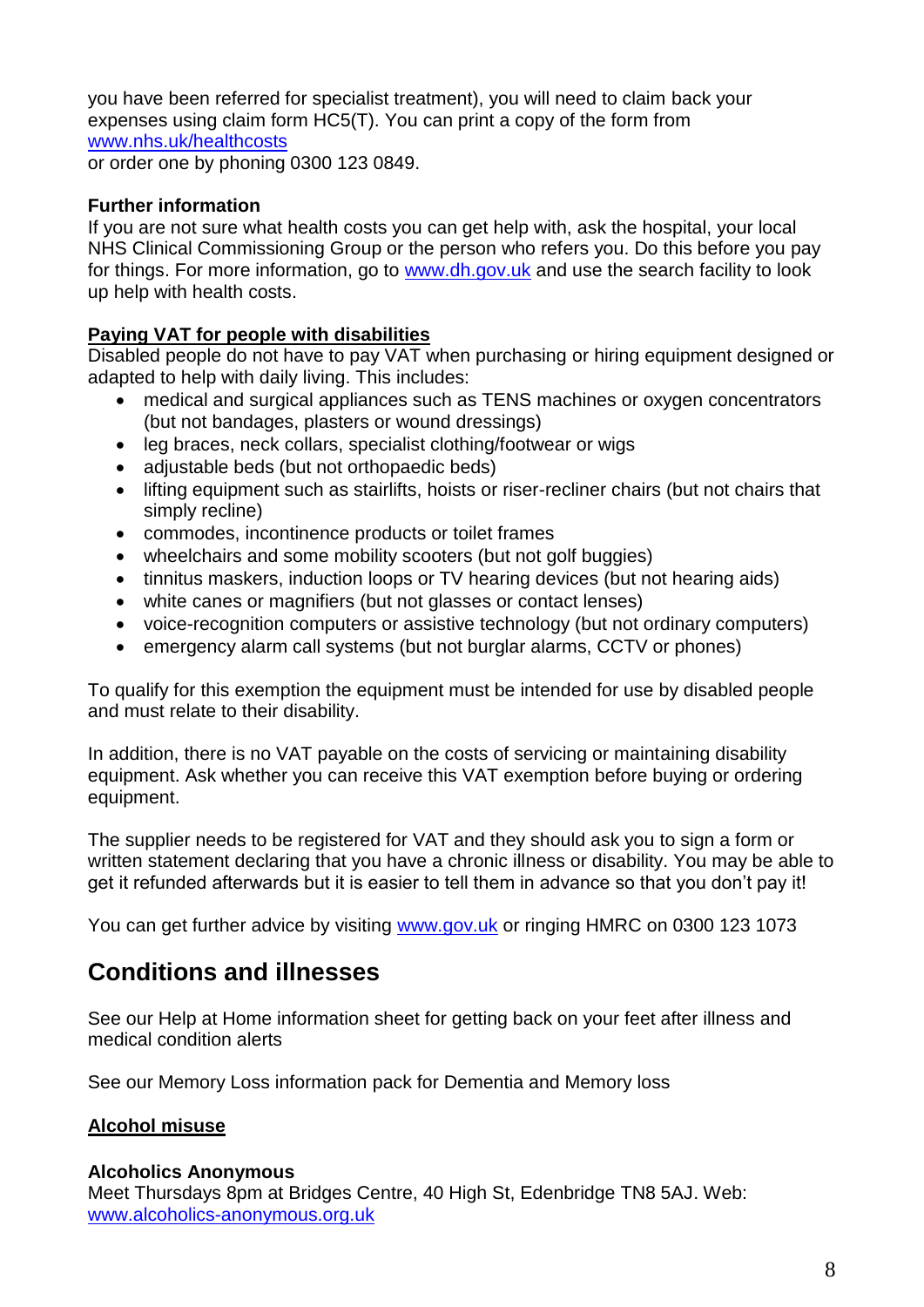you have been referred for specialist treatment), you will need to claim back your expenses using claim form HC5(T). You can print a copy of the form from [www.nhs.uk/healthcosts](http://www.nhs.uk/healthcosts)

or order one by phoning 0300 123 0849.

## **Further information**

If you are not sure what health costs you can get help with, ask the hospital, your local NHS Clinical Commissioning Group or the person who refers you. Do this before you pay for things. For more information, go to www.dh.gov.uk and use the search facility to look up help with health costs.

## <span id="page-7-0"></span>**Paying VAT for people with disabilities**

Disabled people do not have to pay VAT when purchasing or hiring equipment designed or adapted to help with daily living. This includes:

- medical and surgical appliances such as TENS machines or oxygen concentrators (but not bandages, plasters or wound dressings)
- leg braces, neck collars, specialist clothing/footwear or wigs
- adjustable beds (but not orthopaedic beds)
- lifting equipment such as stairlifts, hoists or riser-recliner chairs (but not chairs that simply recline)
- commodes, incontinence products or toilet frames
- wheelchairs and some mobility scooters (but not golf buggies)
- tinnitus maskers, induction loops or TV hearing devices (but not hearing aids)
- white canes or magnifiers (but not glasses or contact lenses)
- voice-recognition computers or assistive technology (but not ordinary computers)
- emergency alarm call systems (but not burglar alarms, CCTV or phones)

To qualify for this exemption the equipment must be intended for use by disabled people and must relate to their disability.

In addition, there is no VAT payable on the costs of servicing or maintaining disability equipment. Ask whether you can receive this VAT exemption before buying or ordering equipment.

The supplier needs to be registered for VAT and they should ask you to sign a form or written statement declaring that you have a chronic illness or disability. You may be able to get it refunded afterwards but it is easier to tell them in advance so that you don't pay it!

You can get further advice by visiting [www.gov.uk](http://www.gov.uk/) or ringing HMRC on 0300 123 1073

# <span id="page-7-1"></span>**Conditions and illnesses**

See our Help at Home information sheet for getting back on your feet after illness and medical condition alerts

See our Memory Loss information pack for Dementia and Memory loss

## <span id="page-7-2"></span>**Alcohol misuse**

#### **Alcoholics Anonymous**

Meet Thursdays 8pm at Bridges Centre, 40 High St, Edenbridge TN8 5AJ. Web: www.alcoholics-anonymous.org.uk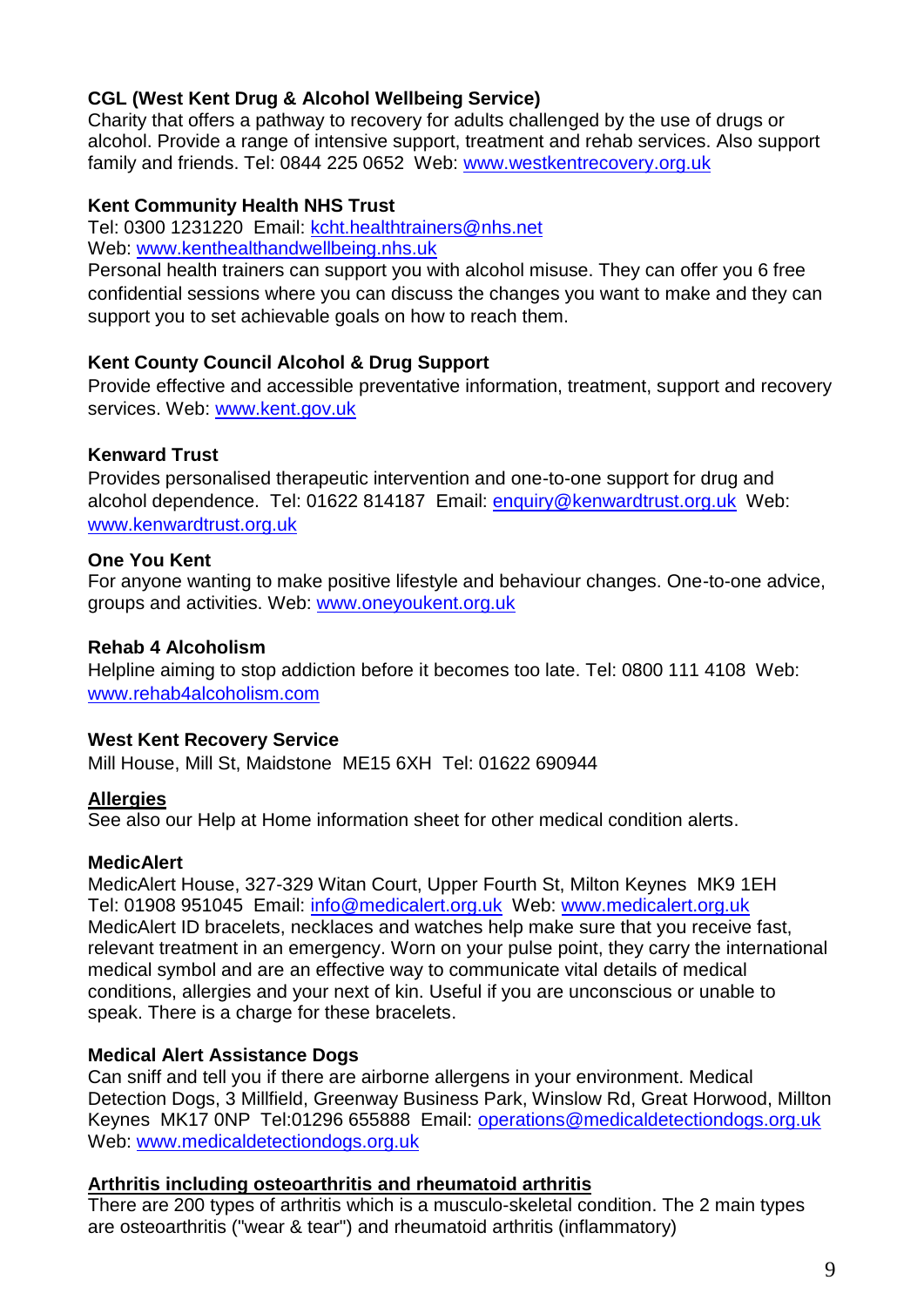## **CGL (West Kent Drug & Alcohol Wellbeing Service)**

Charity that offers a pathway to recovery for adults challenged by the use of drugs or alcohol. Provide a range of intensive support, treatment and rehab services. Also support family and friends. Tel: 0844 225 0652 Web: www.westkentrecovery.org.uk

## **Kent Community Health NHS Trust**

Tel: 0300 1231220 Email: [kcht.healthtrainers@nhs.net](mailto:kcht.healthtrainers@nhs.net) Web: [www.kenthealthandwellbeing.nhs.uk](http://www.kenthealthandwellbeing.nhs.uk/)

Personal health trainers can support you with alcohol misuse. They can offer you 6 free confidential sessions where you can discuss the changes you want to make and they can support you to set achievable goals on how to reach them.

## **Kent County Council Alcohol & Drug Support**

Provide effective and accessible preventative information, treatment, support and recovery services. Web: www.kent.gov.uk

## **Kenward Trust**

Provides personalised therapeutic intervention and one-to-one support for drug and alcohol dependence. Tel: 01622 814187 Email: enquiry@kenwardtrust.org.uk Web: www.kenwardtrust.org.uk

## **One You Kent**

For anyone wanting to make positive lifestyle and behaviour changes. One-to-one advice, groups and activities. Web: [www.oneyoukent.org.uk](http://www.oneyoukent.org.uk/)

## **Rehab 4 Alcoholism**

Helpline aiming to stop addiction before it becomes too late. Tel: 0800 111 4108 Web: [www.rehab4alcoholism.com](http://www.rehab4alcoholism.com/)

## **West Kent Recovery Service**

Mill House, Mill St, Maidstone ME15 6XH Tel: 01622 690944

## <span id="page-8-0"></span>**Allergies**

See also our Help at Home information sheet for other medical condition alerts.

## **MedicAlert**

MedicAlert House, 327-329 Witan Court, Upper Fourth St, Milton Keynes MK9 1EH Tel: 01908 951045 Email: [info@medicalert.org.uk](mailto:info@medicalert.org.uk) Web: [www.medicalert.org.uk](http://www.medicalert.org.uk/) MedicAlert ID bracelets, necklaces and watches help make sure that you receive fast, relevant treatment in an emergency. Worn on your pulse point, they carry the international medical symbol and are an effective way to communicate vital details of medical conditions, allergies and your next of kin. Useful if you are unconscious or unable to speak. There is a charge for these bracelets.

## **Medical Alert Assistance Dogs**

Can sniff and tell you if there are airborne allergens in your environment. Medical Detection Dogs, 3 Millfield, Greenway Business Park, Winslow Rd, Great Horwood, Millton Keynes MK17 0NP Tel:01296 655888 Email: operations@medicaldetectiondogs.org.uk Web: www.medicaldetectiondogs.org.uk

## <span id="page-8-1"></span>**Arthritis including osteoarthritis and rheumatoid arthritis**

There are 200 types of arthritis which is a musculo-skeletal condition. The 2 main types are osteoarthritis ("wear & tear") and rheumatoid arthritis (inflammatory)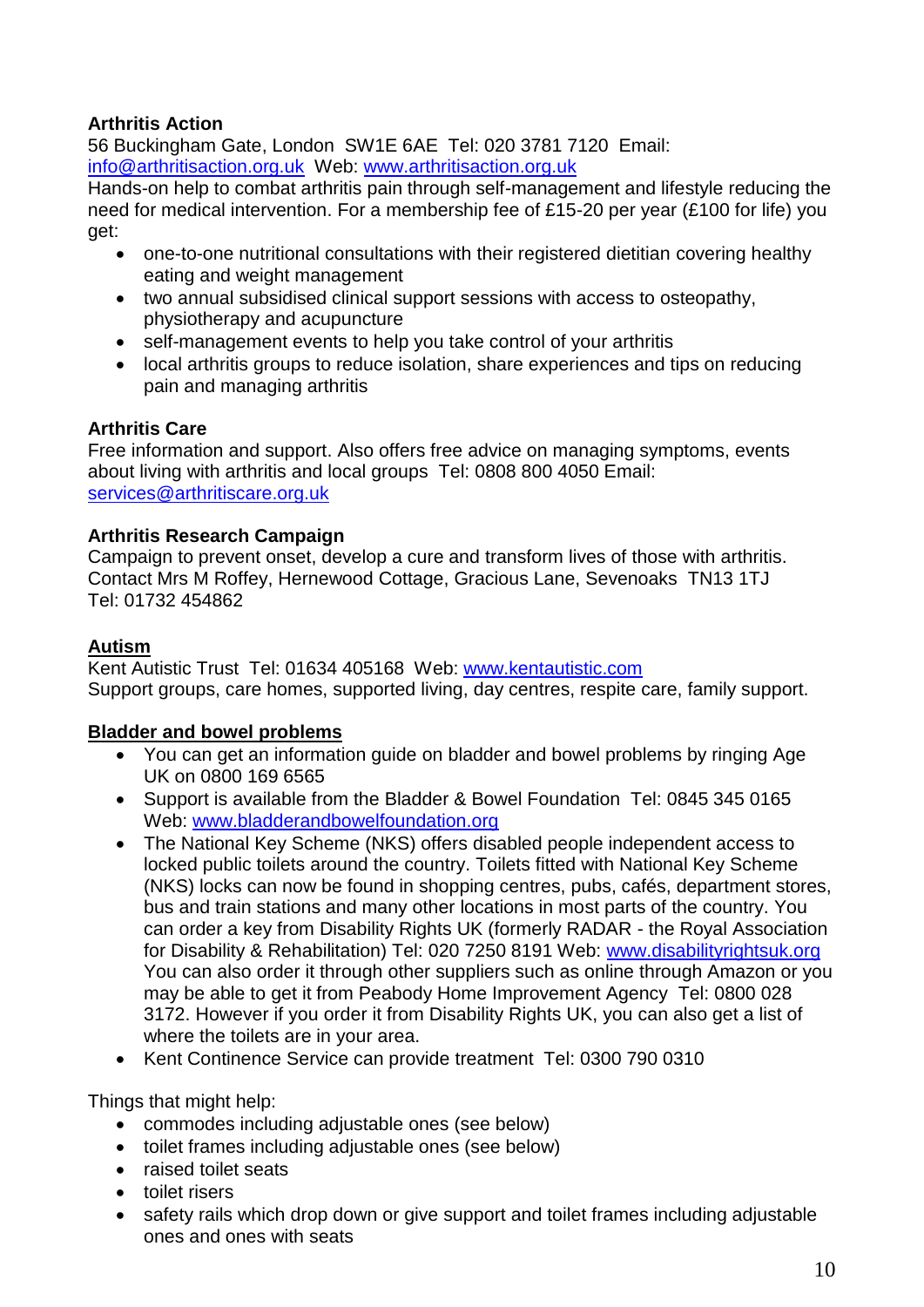## **Arthritis Action**

56 Buckingham Gate, London SW1E 6AE Tel: 020 3781 7120 Email: info@arthritisaction.org.uk Web: www.arthritisaction.org.uk

Hands-on help to combat arthritis pain through self-management and lifestyle reducing the need for medical intervention. For a membership fee of £15-20 per year (£100 for life) you get:

- one-to-one nutritional consultations with their registered dietitian covering healthy eating and weight management
- two annual subsidised clinical support sessions with access to osteopathy, physiotherapy and acupuncture
- self-management events to help you take control of your arthritis
- local arthritis groups to reduce isolation, share experiences and tips on reducing pain and managing arthritis

## **Arthritis Care**

Free information and support. Also offers free advice on managing symptoms, events about living with arthritis and local groups Tel: 0808 800 4050 Email: [services@arthritiscare.org.uk](mailto:services@arthritiscare.org.uk)

## **Arthritis Research Campaign**

Campaign to prevent onset, develop a cure and transform lives of those with arthritis. Contact Mrs M Roffey, Hernewood Cottage, Gracious Lane, Sevenoaks TN13 1TJ Tel: 01732 454862

## <span id="page-9-0"></span>**Autism**

Kent Autistic Trust Tel: 01634 405168 Web: [www.kentautistic.com](http://www.kentautistic.com/) Support groups, care homes, supported living, day centres, respite care, family support.

## <span id="page-9-1"></span>**Bladder and bowel problems**

- You can get an information guide on bladder and bowel problems by ringing Age UK on 0800 169 6565
- Support is available from the Bladder & Bowel Foundation Tel: 0845 345 0165 Web: www.bladderandbowelfoundation.org
- The National Key Scheme (NKS) offers disabled people independent access to locked public toilets around the country. Toilets fitted with National Key Scheme (NKS) locks can now be found in shopping centres, pubs, cafés, department stores, bus and train stations and many other locations in most parts of the country. You can order a key from Disability Rights UK (formerly RADAR - the Royal Association for Disability & Rehabilitation) Tel: 020 7250 8191 Web: [www.disabilityrightsuk.org](http://www.disabilityrightsuk.org/)  You can also order it through other suppliers such as online through Amazon or you may be able to get it from Peabody Home Improvement Agency Tel: 0800 028 3172. However if you order it from Disability Rights UK, you can also get a list of where the toilets are in your area.
- Kent Continence Service can provide treatment Tel: 0300 790 0310

Things that might help:

- commodes including adjustable ones (see below)
- toilet frames including adjustable ones (see below)
- raised toilet seats
- toilet risers
- safety rails which drop down or give support and toilet frames including adjustable ones and ones with seats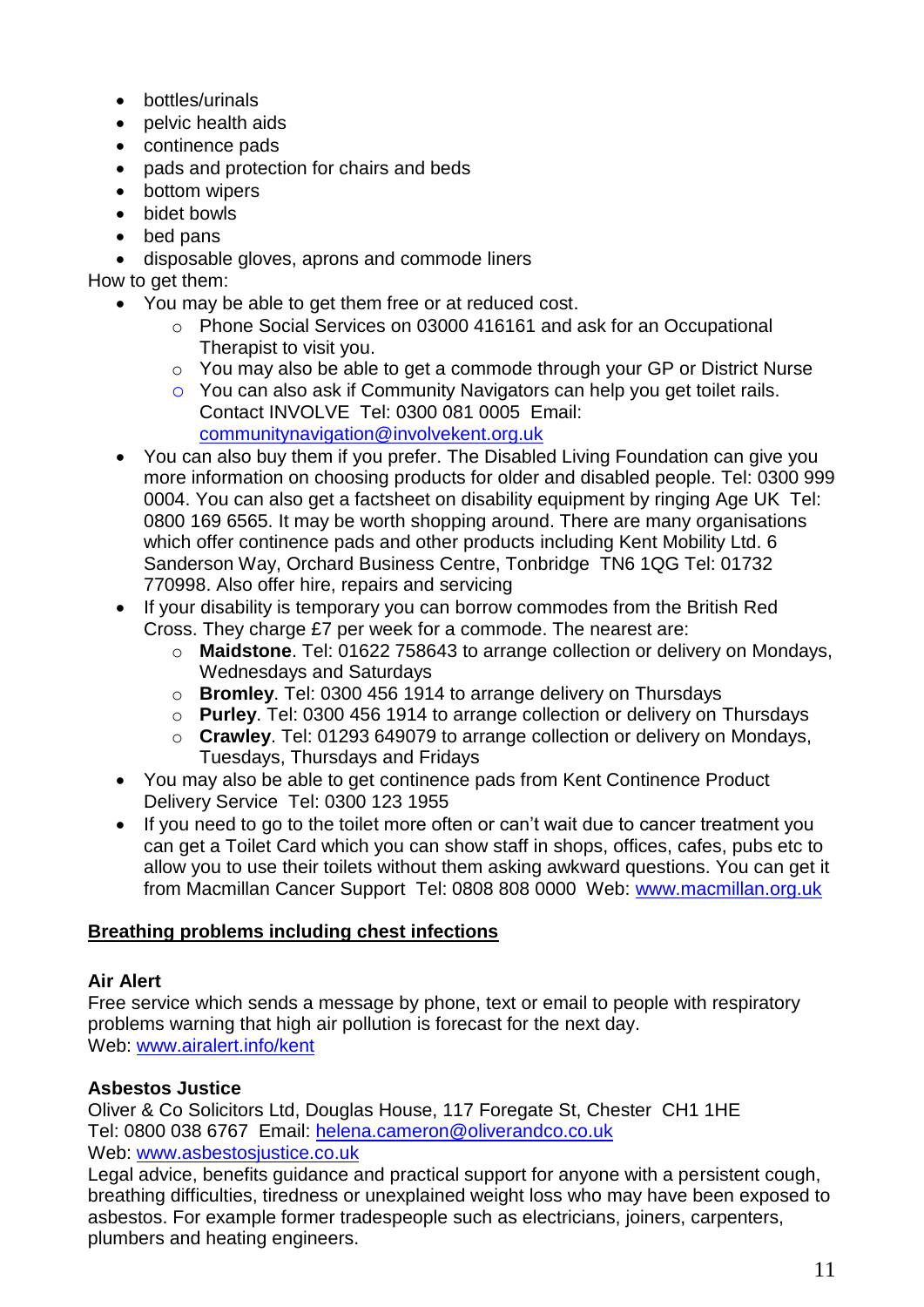- bottles/urinals
- pelvic health aids
- continence pads
- pads and protection for chairs and beds
- bottom wipers
- bidet bowls
- bed pans
- disposable gloves, aprons and commode liners

How to get them:

- You may be able to get them free or at reduced cost.
	- o Phone Social Services on 03000 416161 and ask for an Occupational Therapist to visit you.
	- o You may also be able to get a commode through your GP or District Nurse
	- o You can also ask if Community Navigators can help you get toilet rails. Contact INVOLVE Tel: 0300 081 0005 Email: communitynavigation@involvekent.org.uk
- You can also buy them if you prefer. The Disabled Living Foundation can give you more information on choosing products for older and disabled people. Tel: 0300 999 0004. You can also get a factsheet on disability equipment by ringing Age UK Tel: 0800 169 6565. It may be worth shopping around. There are many organisations which offer continence pads and other products including Kent Mobility Ltd. 6 Sanderson Way, Orchard Business Centre, Tonbridge TN6 1QG Tel: 01732 770998. Also offer hire, repairs and servicing
- If your disability is temporary you can borrow commodes from the British Red Cross. They charge £7 per week for a commode. The nearest are:
	- o **Maidstone**. Tel: 01622 758643 to arrange collection or delivery on Mondays, Wednesdays and Saturdays
	- o **Bromley**. Tel: 0300 456 1914 to arrange delivery on Thursdays
	- o **Purley**. Tel: 0300 456 1914 to arrange collection or delivery on Thursdays
	- o **Crawley**. Tel: 01293 649079 to arrange collection or delivery on Mondays, Tuesdays, Thursdays and Fridays
- You may also be able to get continence pads from Kent Continence Product Delivery Service Tel: 0300 123 1955
- If you need to go to the toilet more often or can't wait due to cancer treatment you can get a Toilet Card which you can show staff in shops, offices, cafes, pubs etc to allow you to use their toilets without them asking awkward questions. You can get it from Macmillan Cancer Support Tel: 0808 808 0000 Web: www.macmillan.org.uk

## <span id="page-10-0"></span>**Breathing problems including chest infections**

## **Air Alert**

Free service which sends a message by phone, text or email to people with respiratory problems warning that high air pollution is forecast for the next day. Web: [www.airalert.info/kent](http://www.airalert.info/kent)

## **Asbestos Justice**

Oliver & Co Solicitors Ltd, Douglas House, 117 Foregate St, Chester CH1 1HE Tel: 0800 038 6767 Email: [helena.cameron@oliverandco.co.uk](mailto:helena.cameron@oliverandco.co.uk)  Web: [www.asbestosjustice.co.uk](http://www.asbestosjustice.co.uk/)

Legal advice, benefits guidance and practical support for anyone with a persistent cough, breathing difficulties, tiredness or unexplained weight loss who may have been exposed to asbestos. For example former tradespeople such as electricians, joiners, carpenters, plumbers and heating engineers.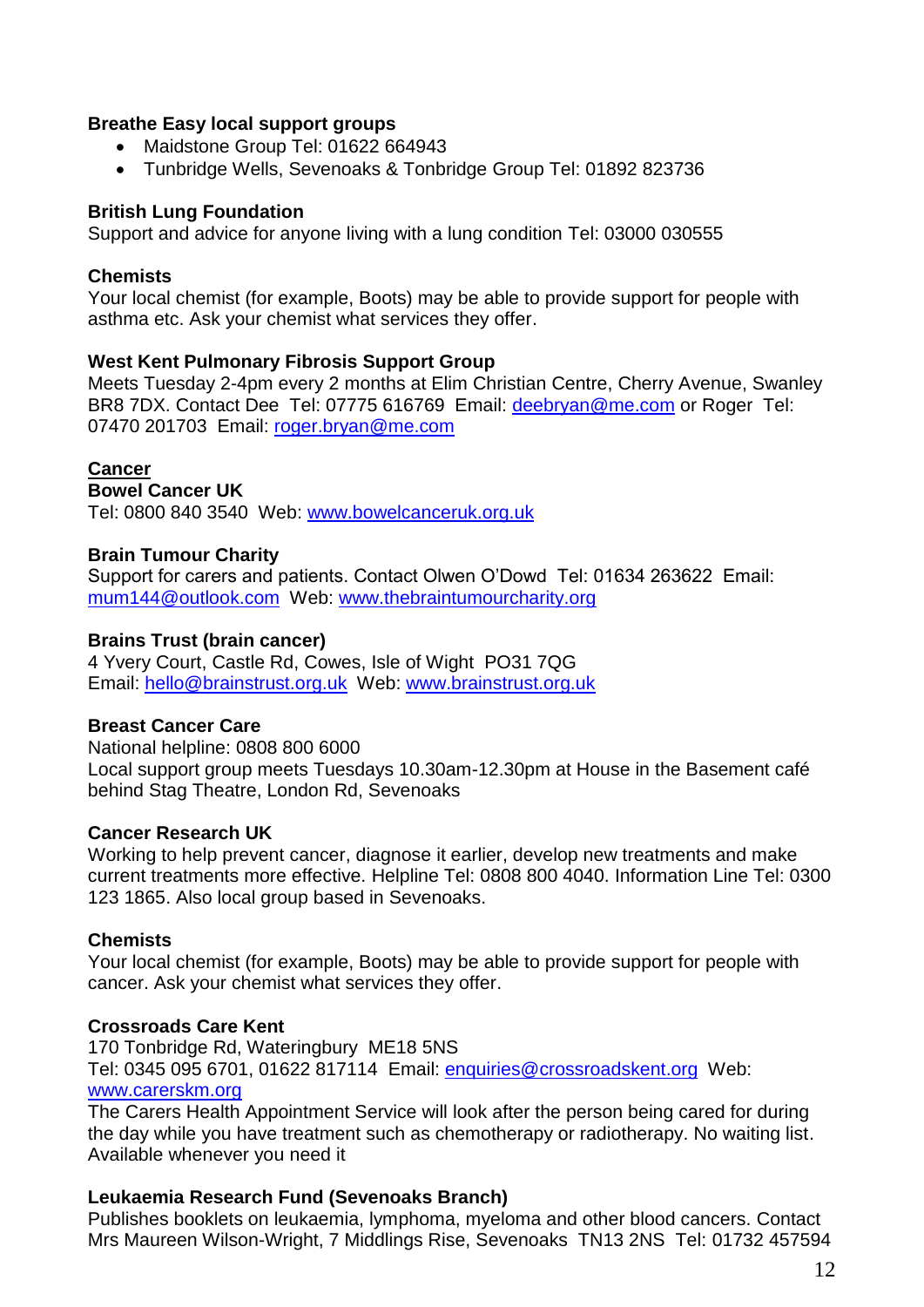#### **Breathe Easy local support groups**

- Maidstone Group Tel: 01622 664943
- Tunbridge Wells, Sevenoaks & Tonbridge Group Tel: 01892 823736

#### **British Lung Foundation**

Support and advice for anyone living with a lung condition Tel: 03000 030555

#### **Chemists**

Your local chemist (for example, Boots) may be able to provide support for people with asthma etc. Ask your chemist what services they offer.

#### **West Kent Pulmonary Fibrosis Support Group**

Meets Tuesday 2-4pm every 2 months at Elim Christian Centre, Cherry Avenue, Swanley BR8 7DX. Contact Dee Tel: 07775 616769 Email: deebryan@me.com or Roger Tel: 07470 201703 Email: roger.bryan@me.com

#### <span id="page-11-0"></span>**Cancer**

**Bowel Cancer UK**

Tel: 0800 840 3540 Web: [www.bowelcanceruk.org.uk](http://www.bowelcanceruk.org.uk/)

#### **Brain Tumour Charity**

Support for carers and patients. Contact Olwen O'Dowd Tel: 01634 263622 Email: [mum144@outlook.com](mailto:mum144@outlook.com) Web: [www.thebraintumourcharity.org](http://www.thebraintumourcharity.org/)

#### **Brains Trust (brain cancer)**

4 Yvery Court, Castle Rd, Cowes, Isle of Wight PO31 7QG Email: [hello@brainstrust.org.uk](mailto:hello@brainstrust.org.uk) Web: [www.brainstrust.org.uk](http://www.brainstrust.org.uk/)

#### **Breast Cancer Care**

National helpline: 0808 800 6000 Local support group meets Tuesdays 10.30am-12.30pm at House in the Basement café behind Stag Theatre, London Rd, Sevenoaks

#### **Cancer Research UK**

Working to help prevent cancer, diagnose it earlier, develop new treatments and make current treatments more effective. Helpline Tel: 0808 800 4040. Information Line Tel: 0300 123 1865. Also local group based in Sevenoaks.

#### **Chemists**

Your local chemist (for example, Boots) may be able to provide support for people with cancer. Ask your chemist what services they offer.

#### **Crossroads Care Kent**

170 Tonbridge Rd, Wateringbury ME18 5NS Tel: 0345 095 6701, 01622 817114 Email: [enquiries@crossroadskent.org](mailto:enquiries@crossroadswest.org) Web: [www.carerskm.org](http://www.carerskm.org/)

The Carers Health Appointment Service will look after the person being cared for during the day while you have treatment such as chemotherapy or radiotherapy. No waiting list. Available whenever you need it

#### **Leukaemia Research Fund (Sevenoaks Branch)**

Publishes booklets on leukaemia, lymphoma, myeloma and other blood cancers. Contact Mrs Maureen Wilson-Wright, 7 Middlings Rise, Sevenoaks TN13 2NS Tel: 01732 457594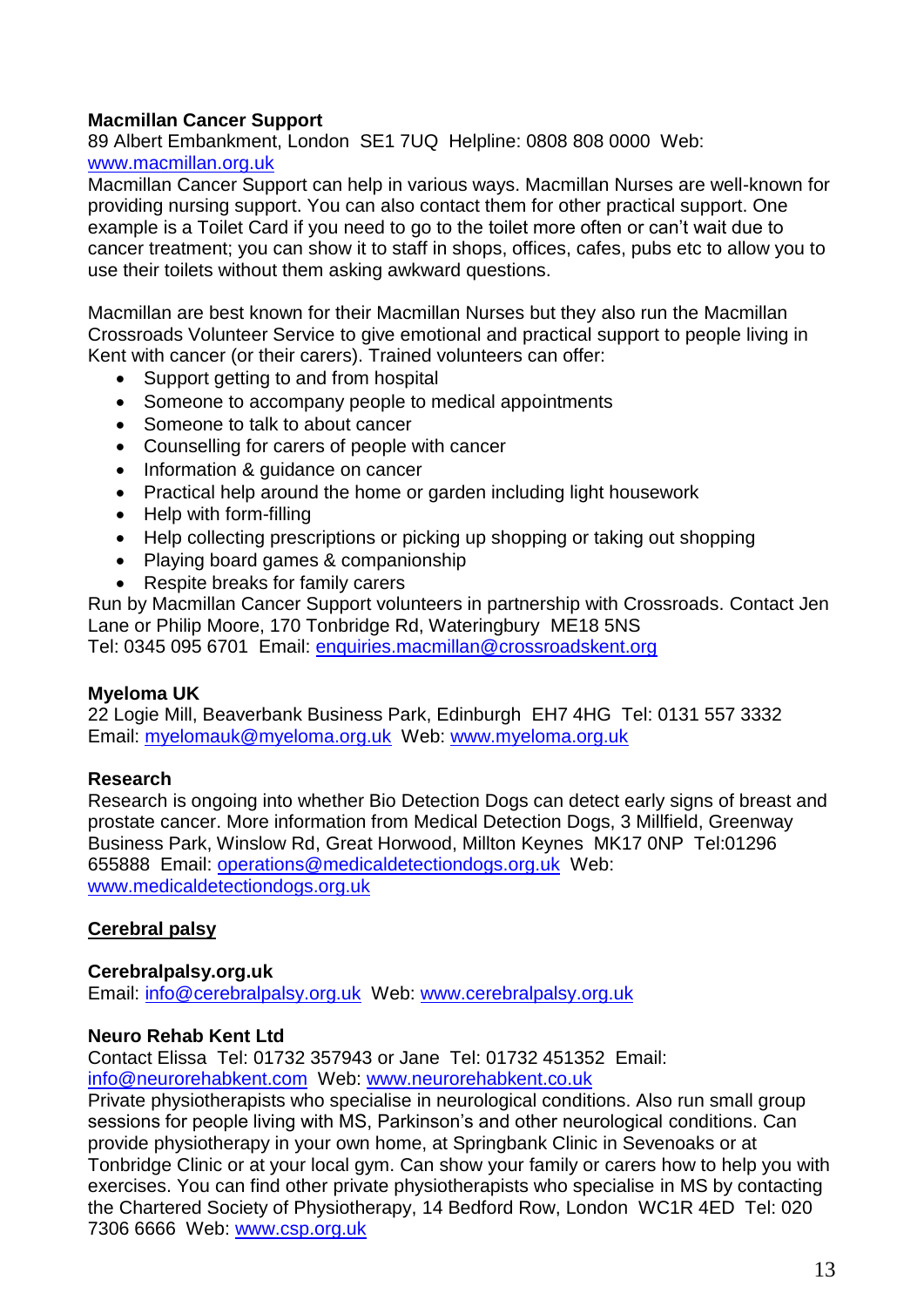## **Macmillan Cancer Support**

89 Albert Embankment, London SE1 7UQ Helpline: 0808 808 0000 Web: [www.macmillan.org.uk](http://www.macmillan.org.uk/)

Macmillan Cancer Support can help in various ways. Macmillan Nurses are well-known for providing nursing support. You can also contact them for other practical support. One example is a Toilet Card if you need to go to the toilet more often or can't wait due to cancer treatment; you can show it to staff in shops, offices, cafes, pubs etc to allow you to use their toilets without them asking awkward questions.

Macmillan are best known for their Macmillan Nurses but they also run the Macmillan Crossroads Volunteer Service to give emotional and practical support to people living in Kent with cancer (or their carers). Trained volunteers can offer:

- Support getting to and from hospital
- Someone to accompany people to medical appointments
- Someone to talk to about cancer
- Counselling for carers of people with cancer
- Information & quidance on cancer
- Practical help around the home or garden including light housework
- Help with form-filling
- Help collecting prescriptions or picking up shopping or taking out shopping
- Playing board games & companionship
- Respite breaks for family carers

Run by Macmillan Cancer Support volunteers in partnership with Crossroads. Contact Jen Lane or Philip Moore, 170 Tonbridge Rd, Wateringbury ME18 5NS Tel: 0345 095 6701 Email: enquiries.macmillan@crossroadskent.org

## **Myeloma UK**

22 Logie Mill, Beaverbank Business Park, Edinburgh EH7 4HG Tel: 0131 557 3332 Email: [myelomauk@myeloma.org.uk](mailto:myelomauk@myeloma.org.uk) Web: [www.myeloma.org.uk](http://www.myeloma.org.uk/)

## **Research**

Research is ongoing into whether Bio Detection Dogs can detect early signs of breast and prostate cancer. More information from Medical Detection Dogs, 3 Millfield, Greenway Business Park, Winslow Rd, Great Horwood, Millton Keynes MK17 0NP Tel:01296 655888 Email: operations@medicaldetectiondogs.org.uk Web: www.medicaldetectiondogs.org.uk

## <span id="page-12-0"></span>**Cerebral palsy**

#### **Cerebralpalsy.org.uk**

Email: [info@cerebralpalsy.org.uk](mailto:info@cerebralpalsy.org.uk) Web: [www.cerebralpalsy.org.uk](http://www.cerebralpalsy.org.uk/)

#### **Neuro Rehab Kent Ltd**

Contact Elissa Tel: 01732 357943 or Jane Tel: 01732 451352 Email: [info@neurorehabkent.com](mailto:info@neurorehabkent.com) Web: [www.neurorehabkent.co.uk](http://www.neurorehabkent.co.uk/)

Private physiotherapists who specialise in neurological conditions. Also run small group sessions for people living with MS, Parkinson's and other neurological conditions. Can provide physiotherapy in your own home, at Springbank Clinic in Sevenoaks or at Tonbridge Clinic or at your local gym. Can show your family or carers how to help you with exercises. You can find other private physiotherapists who specialise in MS by contacting the Chartered Society of Physiotherapy, 14 Bedford Row, London WC1R 4ED Tel: 020 7306 6666 Web: www.csp.org.uk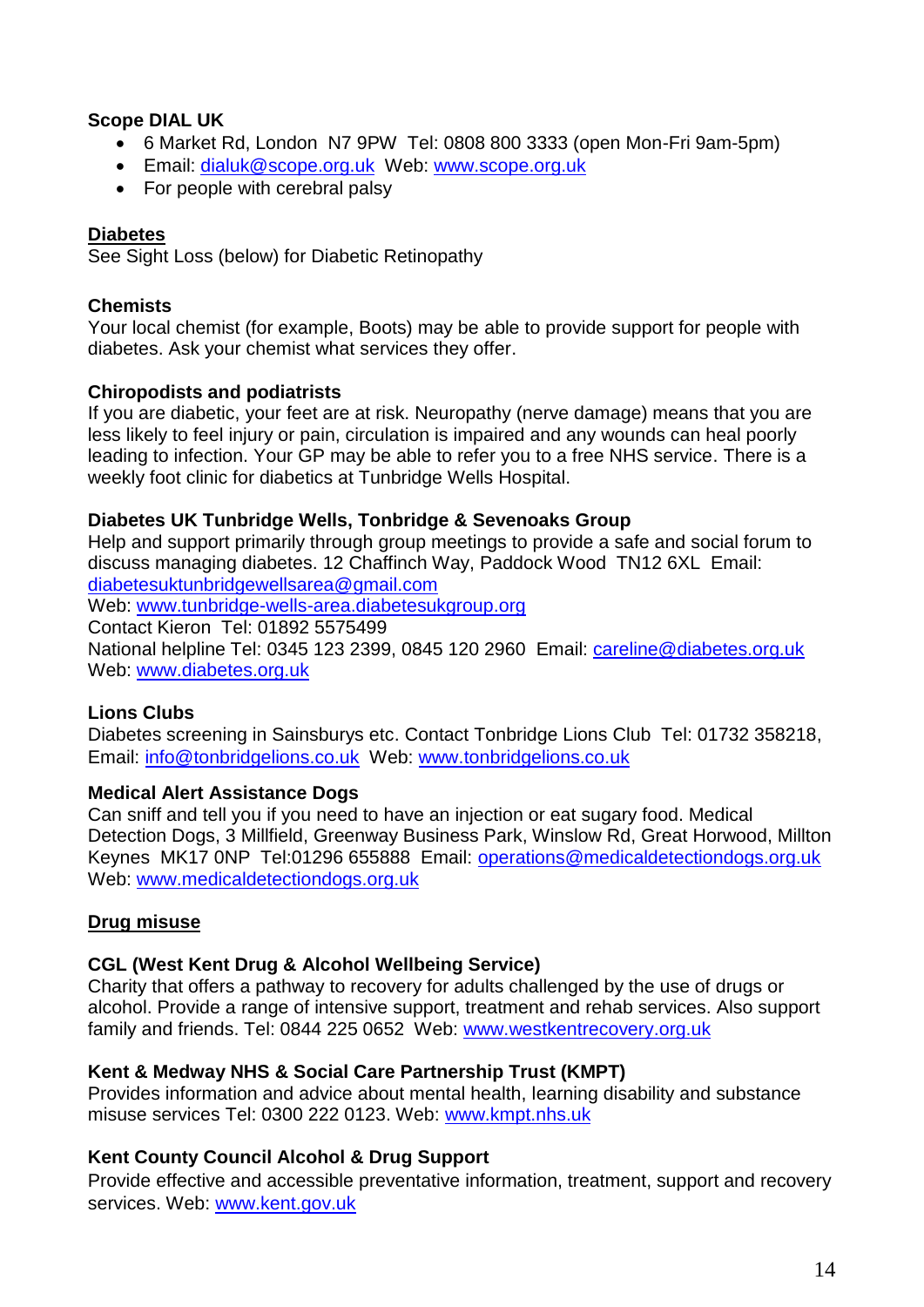## **Scope DIAL UK**

- 6 Market Rd, London N7 9PW Tel: 0808 800 3333 (open Mon-Fri 9am-5pm)
- Email: [dialuk@scope.org.uk](mailto:dialuk@scope.org.uk) Web: [www.scope.org.uk](http://www.scope.org.uk/)
- For people with cerebral palsy

## <span id="page-13-0"></span>**Diabetes**

See Sight Loss (below) for Diabetic Retinopathy

## **Chemists**

Your local chemist (for example, Boots) may be able to provide support for people with diabetes. Ask your chemist what services they offer.

## **Chiropodists and podiatrists**

If you are diabetic, your feet are at risk. Neuropathy (nerve damage) means that you are less likely to feel injury or pain, circulation is impaired and any wounds can heal poorly leading to infection. Your GP may be able to refer you to a free NHS service. There is a weekly foot clinic for diabetics at Tunbridge Wells Hospital.

## **Diabetes UK Tunbridge Wells, Tonbridge & Sevenoaks Group**

Help and support primarily through group meetings to provide a safe and social forum to discuss managing diabetes. 12 Chaffinch Way, Paddock Wood TN12 6XL Email: diabetesuktunbridgewellsarea@gmail.com Web: [www.tunbridge-wells-area.diabetesukgroup.org](http://www.tunbridge-wells-area.diabetesukgroup.org/) Contact Kieron Tel: 01892 5575499

National helpline Tel: 0345 123 2399, 0845 120 2960 Email: careline@diabetes.org.uk Web: [www.diabetes.org.uk](http://www.diabetes.org.uk/)

## **Lions Clubs**

Diabetes screening in Sainsburys etc. Contact Tonbridge Lions Club Tel: 01732 358218, Email: [info@tonbridgelions.co.uk](mailto:info@tonbridgelions.co.uk) Web: [www.tonbridgelions.co.uk](http://www.tonbridgelions.co.uk/)

## **Medical Alert Assistance Dogs**

Can sniff and tell you if you need to have an injection or eat sugary food. Medical Detection Dogs, 3 Millfield, Greenway Business Park, Winslow Rd, Great Horwood, Millton Keynes MK17 0NP Tel:01296 655888 Email: operations@medicaldetectiondogs.org.uk Web: www.medicaldetectiondogs.org.uk

## <span id="page-13-1"></span>**Drug misuse**

## **CGL (West Kent Drug & Alcohol Wellbeing Service)**

Charity that offers a pathway to recovery for adults challenged by the use of drugs or alcohol. Provide a range of intensive support, treatment and rehab services. Also support family and friends. Tel: 0844 225 0652 Web: www.westkentrecovery.org.uk

## **Kent & Medway NHS & Social Care Partnership Trust (KMPT)**

Provides information and advice about mental health, learning disability and substance misuse services Tel: 0300 222 0123. Web: www.kmpt.nhs.uk

## **Kent County Council Alcohol & Drug Support**

Provide effective and accessible preventative information, treatment, support and recovery services. Web: www.kent.gov.uk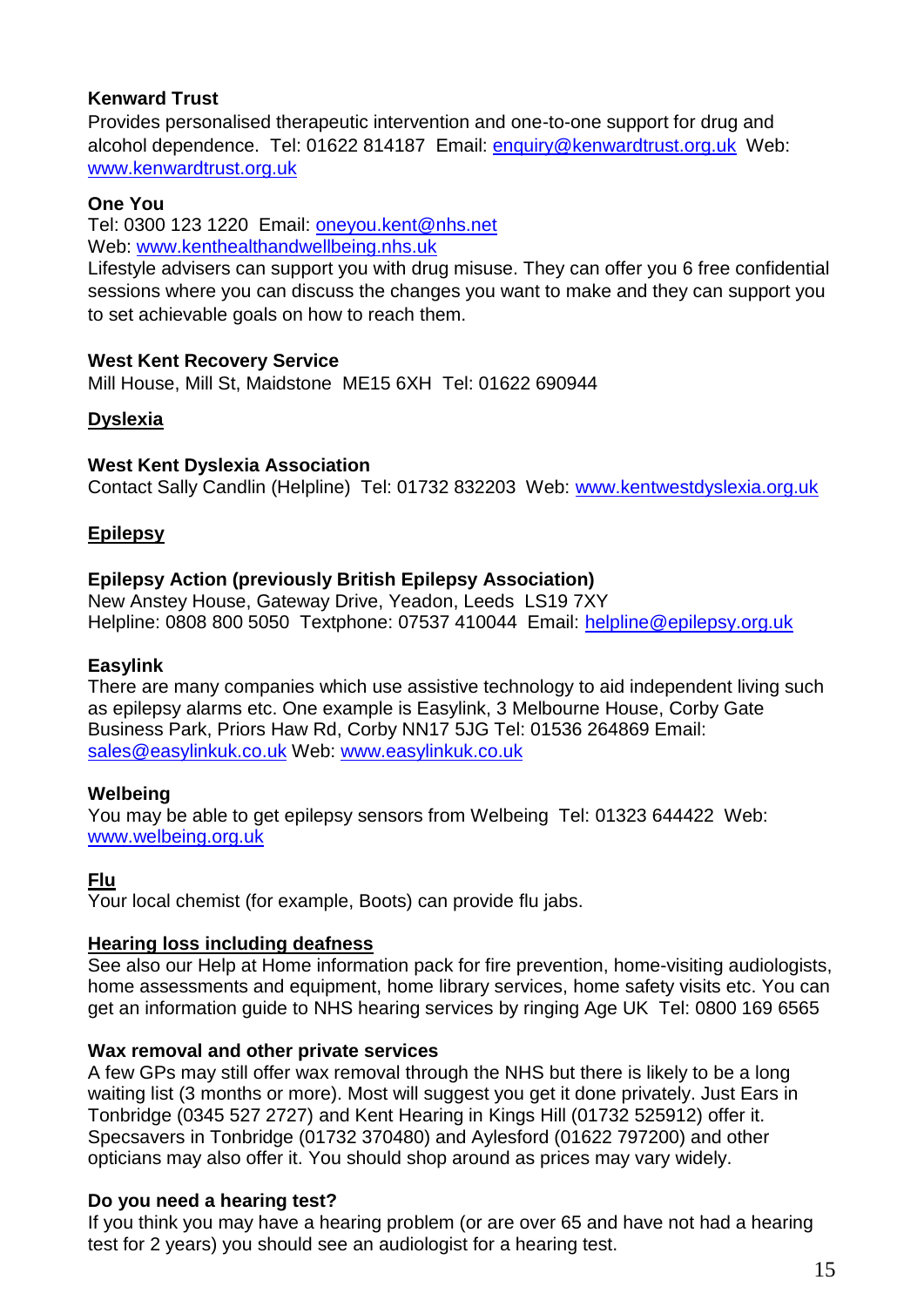## **Kenward Trust**

Provides personalised therapeutic intervention and one-to-one support for drug and alcohol dependence. Tel: 01622 814187 Email: enquiry@kenwardtrust.org.uk Web: www.kenwardtrust.org.uk

## **One You**

Tel: 0300 123 1220 Email: [oneyou.kent@nhs.net](mailto:oneyou.kent@nhs.net)

Web: [www.kenthealthandwellbeing.nhs.uk](http://www.kenthealthandwellbeing.nhs.uk/)

Lifestyle advisers can support you with drug misuse. They can offer you 6 free confidential sessions where you can discuss the changes you want to make and they can support you to set achievable goals on how to reach them.

## **West Kent Recovery Service**

Mill House, Mill St, Maidstone ME15 6XH Tel: 01622 690944

## <span id="page-14-0"></span>**Dyslexia**

## **West Kent Dyslexia Association**

Contact Sally Candlin (Helpline) Tel: 01732 832203 Web: [www.kentwestdyslexia.org.uk](http://www.kentwestdyslexia.org.uk/)

## <span id="page-14-1"></span>**Epilepsy**

## **Epilepsy Action (previously British Epilepsy Association)**

New Anstey House, Gateway Drive, Yeadon, Leeds LS19 7XY Helpline: 0808 800 5050 Textphone: 07537 410044 Email: [helpline@epilepsy.org.uk](mailto:helpline@epilepsy.org.uk)

## **Easylink**

There are many companies which use assistive technology to aid independent living such as epilepsy alarms etc. One example is Easylink, 3 Melbourne House, Corby Gate Business Park, Priors Haw Rd, Corby NN17 5JG Tel: 01536 264869 Email: sales@easylinkuk.co.uk Web: www.easylinkuk.co.uk

## **Welbeing**

You may be able to get epilepsy sensors from Welbeing Tel: 01323 644422 Web: [www.welbeing.org.uk](http://www.welbeing.org.uk/)

## <span id="page-14-2"></span>**Flu**

Your local chemist (for example, Boots) can provide flu jabs.

## <span id="page-14-3"></span>**Hearing loss including deafness**

See also our Help at Home information pack for fire prevention, home-visiting audiologists, home assessments and equipment, home library services, home safety visits etc. You can get an information guide to NHS hearing services by ringing Age UK Tel: 0800 169 6565

## **Wax removal and other private services**

A few GPs may still offer wax removal through the NHS but there is likely to be a long waiting list (3 months or more). Most will suggest you get it done privately. Just Ears in Tonbridge (0345 527 2727) and Kent Hearing in Kings Hill (01732 525912) offer it. Specsavers in Tonbridge (01732 370480) and Aylesford (01622 797200) and other opticians may also offer it. You should shop around as prices may vary widely.

## **Do you need a hearing test?**

If you think you may have a hearing problem (or are over 65 and have not had a hearing test for 2 years) you should see an audiologist for a hearing test.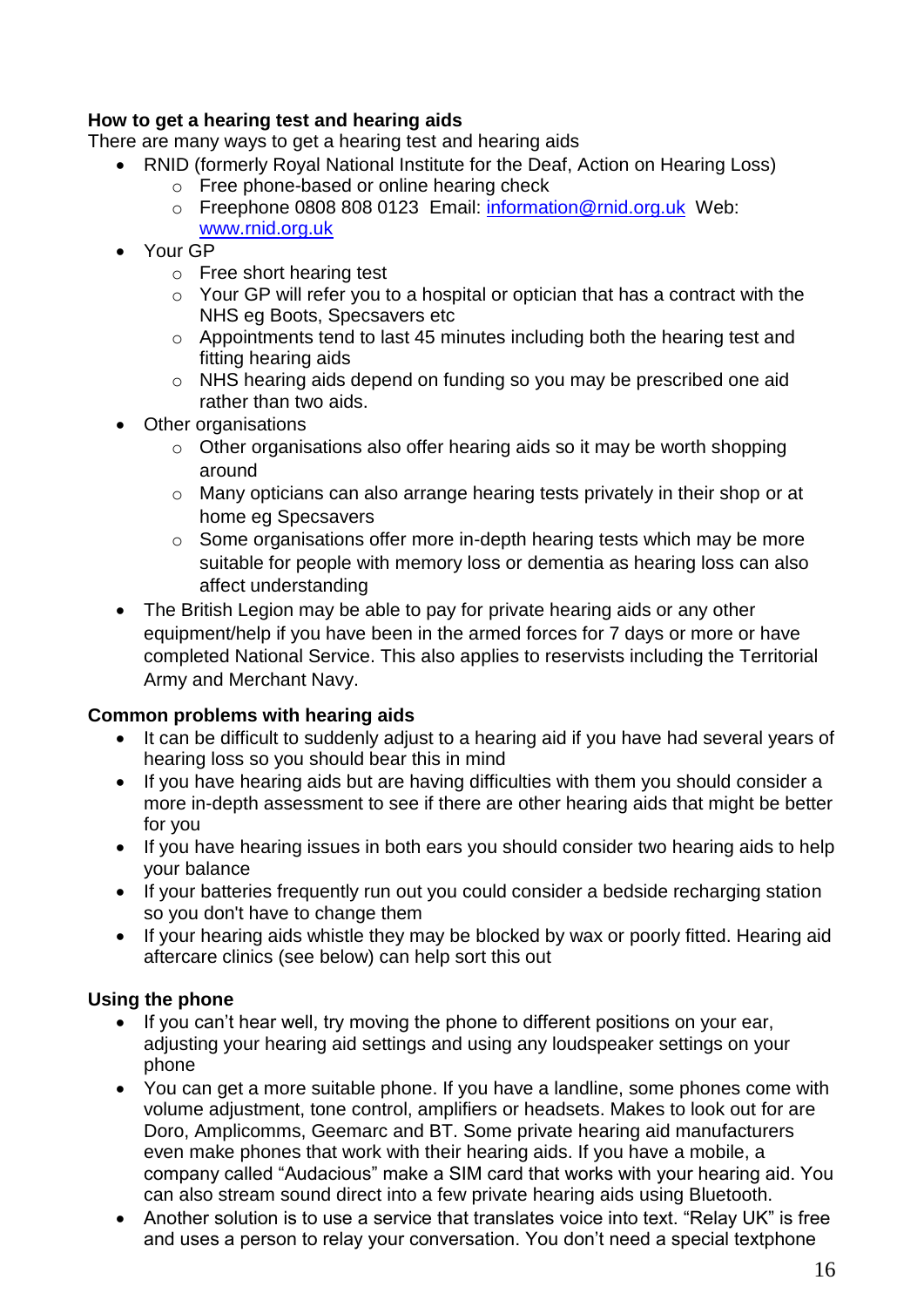## **How to get a hearing test and hearing aids**

There are many ways to get a hearing test and hearing aids

- RNID (formerly Roval National Institute for the Deaf. Action on Hearing Loss)
	- o Free phone-based or online hearing check
	- o Freephone 0808 808 0123 Email: [information@rnid.org.uk](mailto:information@rnid.org.uk) Web: [www.rnid.org.uk](http://www.rnid.org.uk/)
- Your GP
	- o Free short hearing test
	- o Your GP will refer you to a hospital or optician that has a contract with the NHS eg Boots, Specsavers etc
	- o Appointments tend to last 45 minutes including both the hearing test and fitting hearing aids
	- o NHS hearing aids depend on funding so you may be prescribed one aid rather than two aids.
- Other organisations
	- o Other organisations also offer hearing aids so it may be worth shopping around
	- o Many opticians can also arrange hearing tests privately in their shop or at home eg Specsavers
	- o Some organisations offer more in-depth hearing tests which may be more suitable for people with memory loss or dementia as hearing loss can also affect understanding
- The British Legion may be able to pay for private hearing aids or any other equipment/help if you have been in the armed forces for 7 days or more or have completed National Service. This also applies to reservists including the Territorial Army and Merchant Navy.

## **Common problems with hearing aids**

- It can be difficult to suddenly adjust to a hearing aid if you have had several years of hearing loss so you should bear this in mind
- If you have hearing aids but are having difficulties with them you should consider a more in-depth assessment to see if there are other hearing aids that might be better for you
- If you have hearing issues in both ears you should consider two hearing aids to help your balance
- If your batteries frequently run out you could consider a bedside recharging station so you don't have to change them
- If your hearing aids whistle they may be blocked by wax or poorly fitted. Hearing aid aftercare clinics (see below) can help sort this out

## **Using the phone**

- If you can't hear well, try moving the phone to different positions on your ear, adjusting your hearing aid settings and using any loudspeaker settings on your phone
- You can get a more suitable phone. If you have a landline, some phones come with volume adjustment, tone control, amplifiers or headsets. Makes to look out for are Doro, Amplicomms, Geemarc and BT. Some private hearing aid manufacturers even make phones that work with their hearing aids. If you have a mobile, a company called "Audacious" make a SIM card that works with your hearing aid. You can also stream sound direct into a few private hearing aids using Bluetooth.
- Another solution is to use a service that translates voice into text. "Relay UK" is free and uses a person to relay your conversation. You don't need a special textphone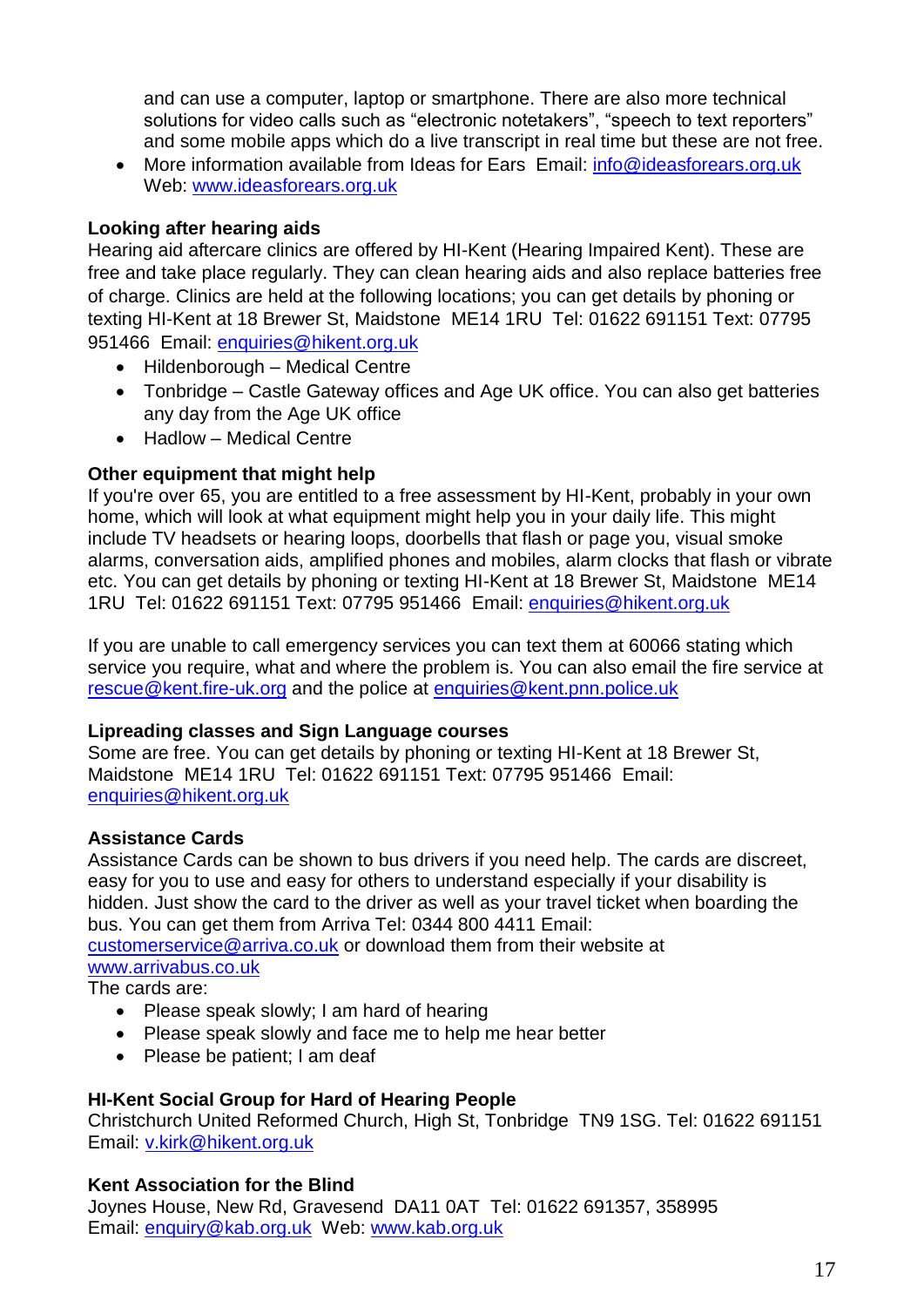and can use a computer, laptop or smartphone. There are also more technical solutions for video calls such as "electronic notetakers", "speech to text reporters" and some mobile apps which do a live transcript in real time but these are not free.

• More information available from Ideas for Ears Email: info@ideasforears.org.uk Web: [www.ideasforears.org.uk](http://www.ideasforears.org.uk/)

## **Looking after hearing aids**

Hearing aid aftercare clinics are offered by HI-Kent (Hearing Impaired Kent). These are free and take place regularly. They can clean hearing aids and also replace batteries free of charge. Clinics are held at the following locations; you can get details by phoning or texting HI-Kent at 18 Brewer St, Maidstone ME14 1RU Tel: 01622 691151 Text: 07795 951466 Email: enquiries@hikent.org.uk

- Hildenborough Medical Centre
- Tonbridge Castle Gateway offices and Age UK office. You can also get batteries any day from the Age UK office
- Hadlow Medical Centre

## **Other equipment that might help**

If you're over 65, you are entitled to a free assessment by HI-Kent, probably in your own home, which will look at what equipment might help you in your daily life. This might include TV headsets or hearing loops, doorbells that flash or page you, visual smoke alarms, conversation aids, amplified phones and mobiles, alarm clocks that flash or vibrate etc. You can get details by phoning or texting HI-Kent at 18 Brewer St, Maidstone ME14 1RU Tel: 01622 691151 Text: 07795 951466 Email: enquiries@hikent.org.uk

If you are unable to call emergency services you can text them at 60066 stating which service you require, what and where the problem is. You can also email the fire service at [rescue@kent.fire-uk.org](mailto:rescue@kent.fire-uk.org) and the police at [enquiries@kent.pnn.police.uk](mailto:enquiries@kent.pnn.police.uk)

## **Lipreading classes and Sign Language courses**

Some are free. You can get details by phoning or texting HI-Kent at 18 Brewer St, Maidstone ME14 1RU Tel: 01622 691151 Text: 07795 951466 Email: enquiries@hikent.org.uk

## **Assistance Cards**

Assistance Cards can be shown to bus drivers if you need help. The cards are discreet, easy for you to use and easy for others to understand especially if your disability is hidden. Just show the card to the driver as well as your travel ticket when boarding the bus. You can get them from Arriva Tel: 0344 800 4411 Email:

[customerservice@arriva.co.uk](mailto:customerservice@arriva.co.uk) or download them from their website at

[www.arrivabus.co.uk](http://www.arrivabus.co.uk/)

The cards are:

- Please speak slowly; I am hard of hearing
- Please speak slowly and face me to help me hear better
- Please be patient; I am deaf

## **HI-Kent Social Group for Hard of Hearing People**

Christchurch United Reformed Church, High St, Tonbridge TN9 1SG. Tel: 01622 691151 Email: [v.kirk@hikent.org.uk](mailto:v.kirk@hikent.org.uk)

## **Kent Association for the Blind**

Joynes House, New Rd, Gravesend DA11 0AT Tel: 01622 691357, 358995 Email: [enquiry@kab.org.uk](mailto:rehab.gravesend@kab.org.uk) Web: [www.kab.org.uk](http://www.kab.org.uk/)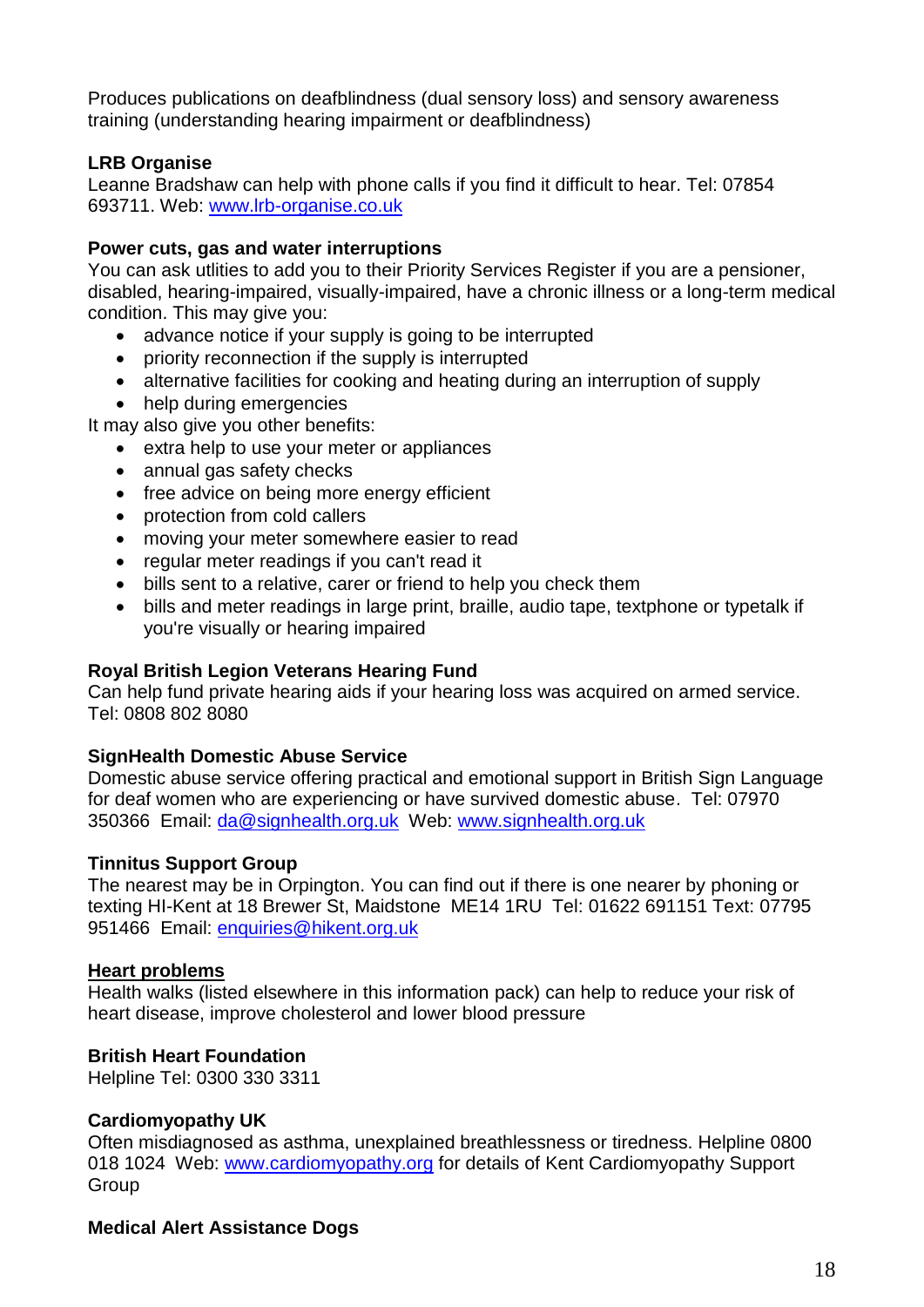Produces publications on deafblindness (dual sensory loss) and sensory awareness training (understanding hearing impairment or deafblindness)

## **LRB Organise**

Leanne Bradshaw can help with phone calls if you find it difficult to hear. Tel: 07854 693711. Web: [www.lrb-organise.co.uk](http://www.lrb-organise.co.uk/)

#### **Power cuts, gas and water interruptions**

You can ask utlities to add you to their Priority Services Register if you are a pensioner, disabled, hearing-impaired, visually-impaired, have a chronic illness or a long-term medical condition. This may give you:

- advance notice if your supply is going to be interrupted
- priority reconnection if the supply is interrupted
- alternative facilities for cooking and heating during an interruption of supply
- help during emergencies

It may also give you other benefits:

- extra help to use your meter or appliances
- annual gas safety checks
- free advice on being more energy efficient
- protection from cold callers
- moving your meter somewhere easier to read
- regular meter readings if you can't read it
- bills sent to a relative, carer or friend to help you check them
- bills and meter readings in large print, braille, audio tape, textphone or typetalk if you're visually or hearing impaired

## **Royal British Legion Veterans Hearing Fund**

Can help fund private hearing aids if your hearing loss was acquired on armed service. Tel: 0808 802 8080

#### **SignHealth Domestic Abuse Service**

Domestic abuse service offering practical and emotional support in British Sign Language for deaf women who are experiencing or have survived domestic abuse. Tel: 07970 350366 Email: da@signhealth.org.uk Web: www.signhealth.org.uk

## **Tinnitus Support Group**

The nearest may be in Orpington. You can find out if there is one nearer by phoning or texting HI-Kent at 18 Brewer St, Maidstone ME14 1RU Tel: 01622 691151 Text: 07795 951466 Email: enquiries@hikent.org.uk

#### <span id="page-17-0"></span>**Heart problems**

Health walks (listed elsewhere in this information pack) can help to reduce your risk of heart disease, improve cholesterol and lower blood pressure

#### **British Heart Foundation**

Helpline Tel: 0300 330 3311

#### **Cardiomyopathy UK**

Often misdiagnosed as asthma, unexplained breathlessness or tiredness. Helpline 0800 018 1024 Web: www.cardiomyopathy.org for details of Kent Cardiomyopathy Support Group

## **Medical Alert Assistance Dogs**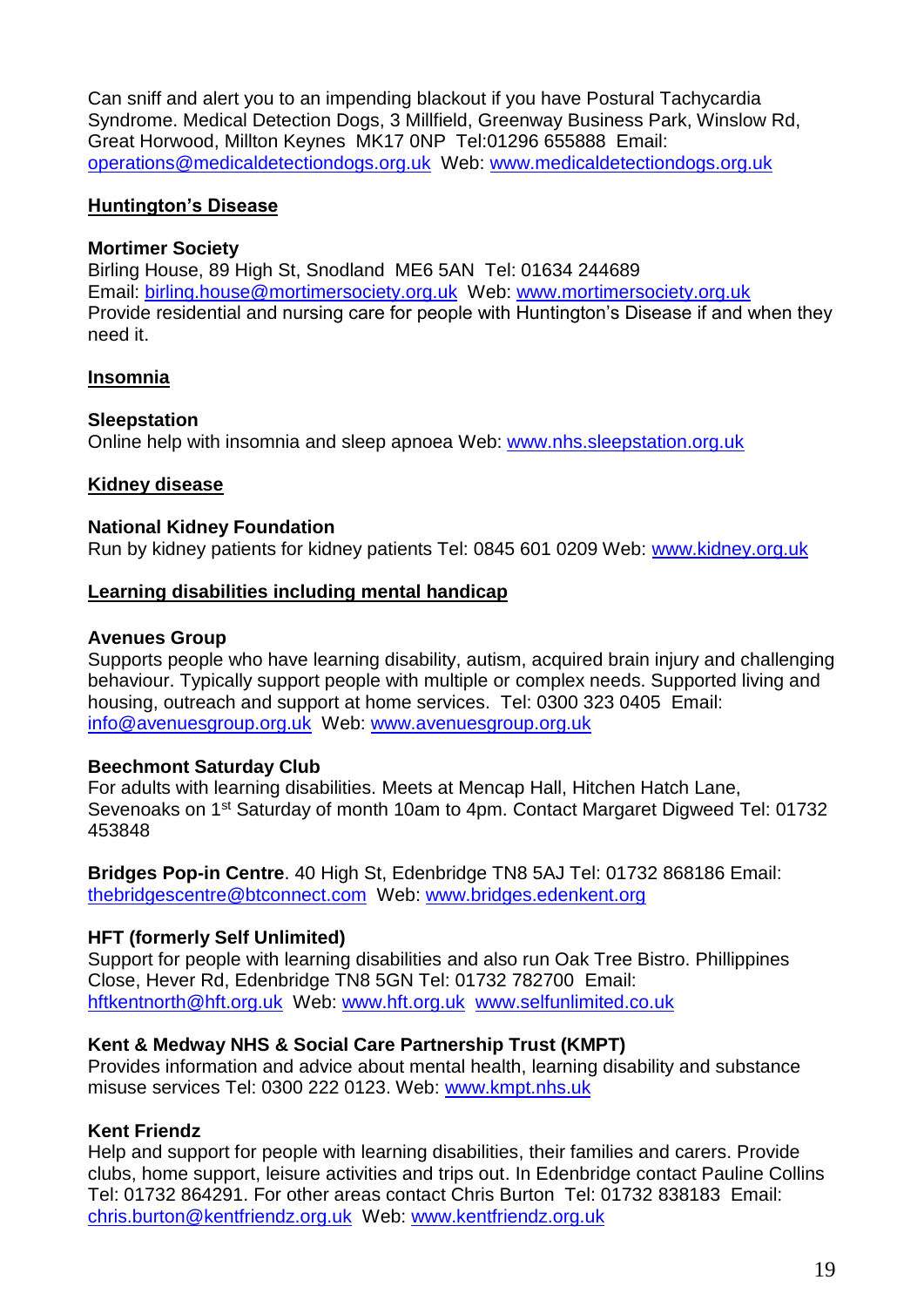Can sniff and alert you to an impending blackout if you have Postural Tachycardia Syndrome. Medical Detection Dogs, 3 Millfield, Greenway Business Park, Winslow Rd, Great Horwood, Millton Keynes MK17 0NP Tel:01296 655888 Email: operations@medicaldetectiondogs.org.uk Web: www.medicaldetectiondogs.org.uk

#### <span id="page-18-0"></span>**Huntington's Disease**

#### **Mortimer Society**

Birling House, 89 High St, Snodland ME6 5AN Tel: 01634 244689 Email: [birling.house@mortimersociety.org.uk](mailto:birling.house@mortimersociety.org.uk) Web: [www.mortimersociety.org.uk](http://www.mortimersociety.org.uk/) Provide residential and nursing care for people with Huntington's Disease if and when they need it.

## <span id="page-18-1"></span>**Insomnia**

#### **Sleepstation**

Online help with insomnia and sleep apnoea Web: www.nhs.sleepstation.org.uk

#### <span id="page-18-2"></span>**Kidney disease**

#### **National Kidney Foundation**

Run by kidney patients for kidney patients Tel: 0845 601 0209 Web: www.kidney.org.uk

#### <span id="page-18-3"></span>**Learning disabilities including mental handicap**

#### **Avenues Group**

Supports people who have learning disability, autism, acquired brain injury and challenging behaviour. Typically support people with multiple or complex needs. Supported living and housing, outreach and support at home services. Tel: 0300 323 0405 Email: info@avenuesgroup.org.uk Web: www.avenuesgroup.org.uk

## **Beechmont Saturday Club**

For adults with learning disabilities. Meets at Mencap Hall, Hitchen Hatch Lane, Sevenoaks on 1st Saturday of month 10am to 4pm. Contact Margaret Digweed Tel: 01732 453848

**Bridges Pop-in Centre**. 40 High St, Edenbridge TN8 5AJ Tel: 01732 868186 Email: [thebridgescentre@btconnect.com](mailto:thebridgescentre@btconnect.com) Web: www.bridges.edenkent.org

## **HFT (formerly Self Unlimited)**

Support for people with learning disabilities and also run Oak Tree Bistro. Phillippines Close, Hever Rd, Edenbridge TN8 5GN Tel: 01732 782700 Email: hftkentnorth@hft.org.uk Web: www.hft.org.uk www.selfunlimited.co.uk

## **Kent & Medway NHS & Social Care Partnership Trust (KMPT)**

Provides information and advice about mental health, learning disability and substance misuse services Tel: 0300 222 0123. Web: www.kmpt.nhs.uk

## **Kent Friendz**

Help and support for people with learning disabilities, their families and carers. Provide clubs, home support, leisure activities and trips out. In Edenbridge contact Pauline Collins Tel: 01732 864291. For other areas contact Chris Burton Tel: 01732 838183 Email: chris.burton@kentfriendz.org.uk Web: www.kentfriendz.org.uk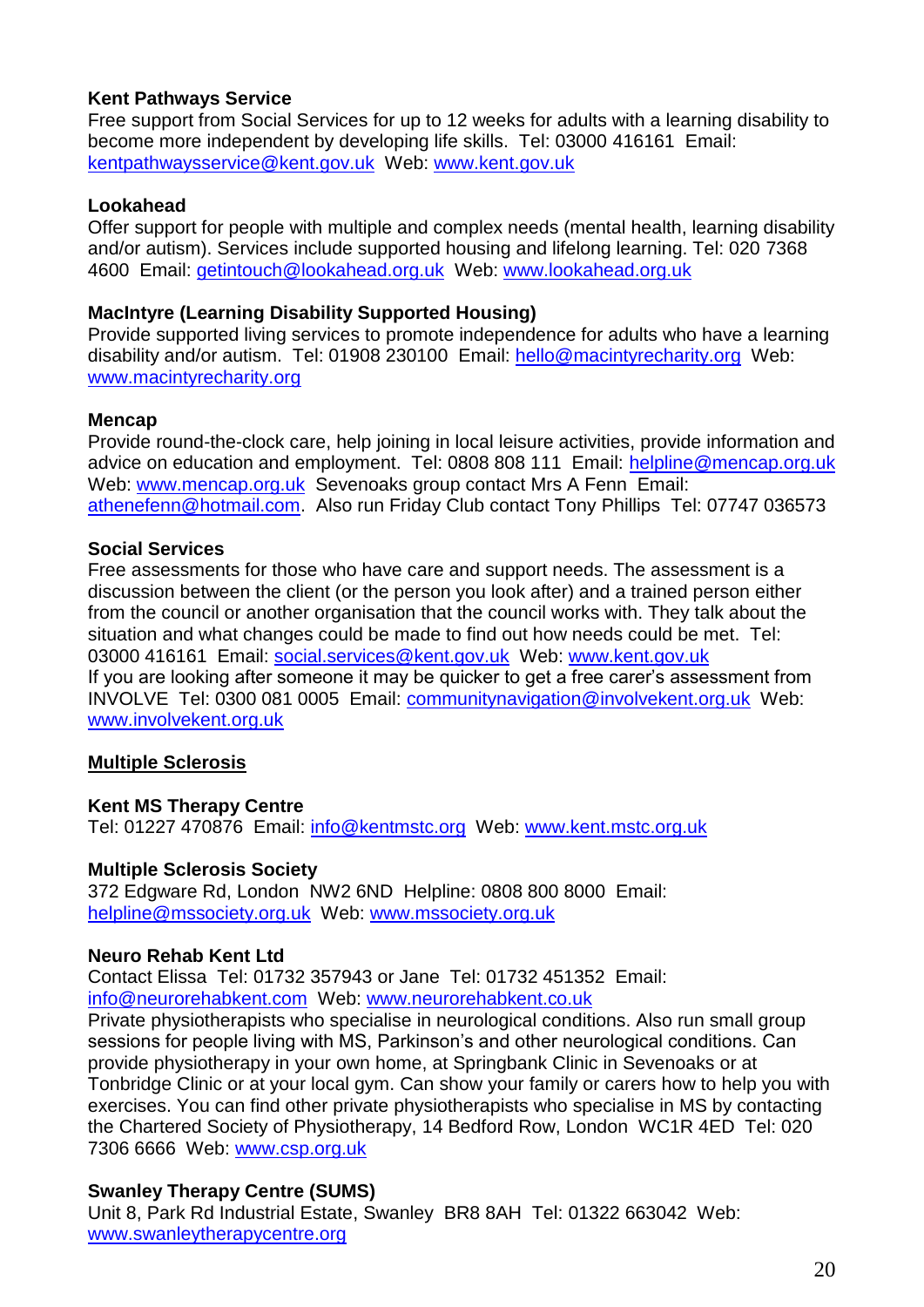## **Kent Pathways Service**

Free support from Social Services for up to 12 weeks for adults with a learning disability to become more independent by developing life skills. Tel: 03000 416161 Email: kentpathwaysservice@kent.gov.uk Web: www.kent.gov.uk

#### **Lookahead**

Offer support for people with multiple and complex needs (mental health, learning disability and/or autism). Services include supported housing and lifelong learning. Tel: 020 7368 4600 Email: getintouch@lookahead.org.uk Web: www.lookahead.org.uk

#### **MacIntyre (Learning Disability Supported Housing)**

Provide supported living services to promote independence for adults who have a learning disability and/or autism. Tel: 01908 230100 Email: hello@macintyrecharity.org Web: www.macintyrecharity.org

#### **Mencap**

Provide round-the-clock care, help joining in local leisure activities, provide information and advice on education and employment. Tel: 0808 808 111 Email: helpline@mencap.org.uk Web: www.mencap.org.uk Sevenoaks group contact Mrs A Fenn Email: [athenefenn@hotmail.com.](mailto:athenefenn@hotmail.com) Also run Friday Club contact Tony Phillips Tel: 07747 036573

#### **Social Services**

Free assessments for those who have care and support needs. The assessment is a discussion between the client (or the person you look after) and a trained person either from the council or another organisation that the council works with. They talk about the situation and what changes could be made to find out how needs could be met. Tel: 03000 416161 Email: social.services@kent.gov.uk Web: www.kent.gov.uk If you are looking after someone it may be quicker to get a free carer's assessment from INVOLVE Tel: 0300 081 0005 Email: [communitynavigation@involvekent.org.uk](mailto:communitynavigation@involvekent.org.uk) Web: [www.involvekent.org.uk](http://www.involvekent.org.uk/)

#### <span id="page-19-0"></span>**Multiple Sclerosis**

#### **Kent MS Therapy Centre** Tel: 01227 470876 Email: [info@kentmstc.org](mailto:info@kentmstc.org) Web: www.kent.mstc.org.uk

#### **Multiple Sclerosis Society**

372 Edgware Rd, London NW2 6ND Helpline: 0808 800 8000 Email: [helpline@mssociety.org.uk](mailto:helpline@mssociety.org.uk) Web: [www.mssociety.org.uk](http://www.mssociety.org.uk/)

#### **Neuro Rehab Kent Ltd**

Contact Elissa Tel: 01732 357943 or Jane Tel: 01732 451352 Email: [info@neurorehabkent.com](mailto:info@neurorehabkent.com) Web: [www.neurorehabkent.co.uk](http://www.neurorehabkent.co.uk/)

Private physiotherapists who specialise in neurological conditions. Also run small group sessions for people living with MS, Parkinson's and other neurological conditions. Can provide physiotherapy in your own home, at Springbank Clinic in Sevenoaks or at Tonbridge Clinic or at your local gym. Can show your family or carers how to help you with exercises. You can find other private physiotherapists who specialise in MS by contacting the Chartered Society of Physiotherapy, 14 Bedford Row, London WC1R 4ED Tel: 020 7306 6666 Web: www.csp.org.uk

## **Swanley Therapy Centre (SUMS)**

Unit 8, Park Rd Industrial Estate, Swanley BR8 8AH Tel: 01322 663042 Web: www.swanleytherapycentre.org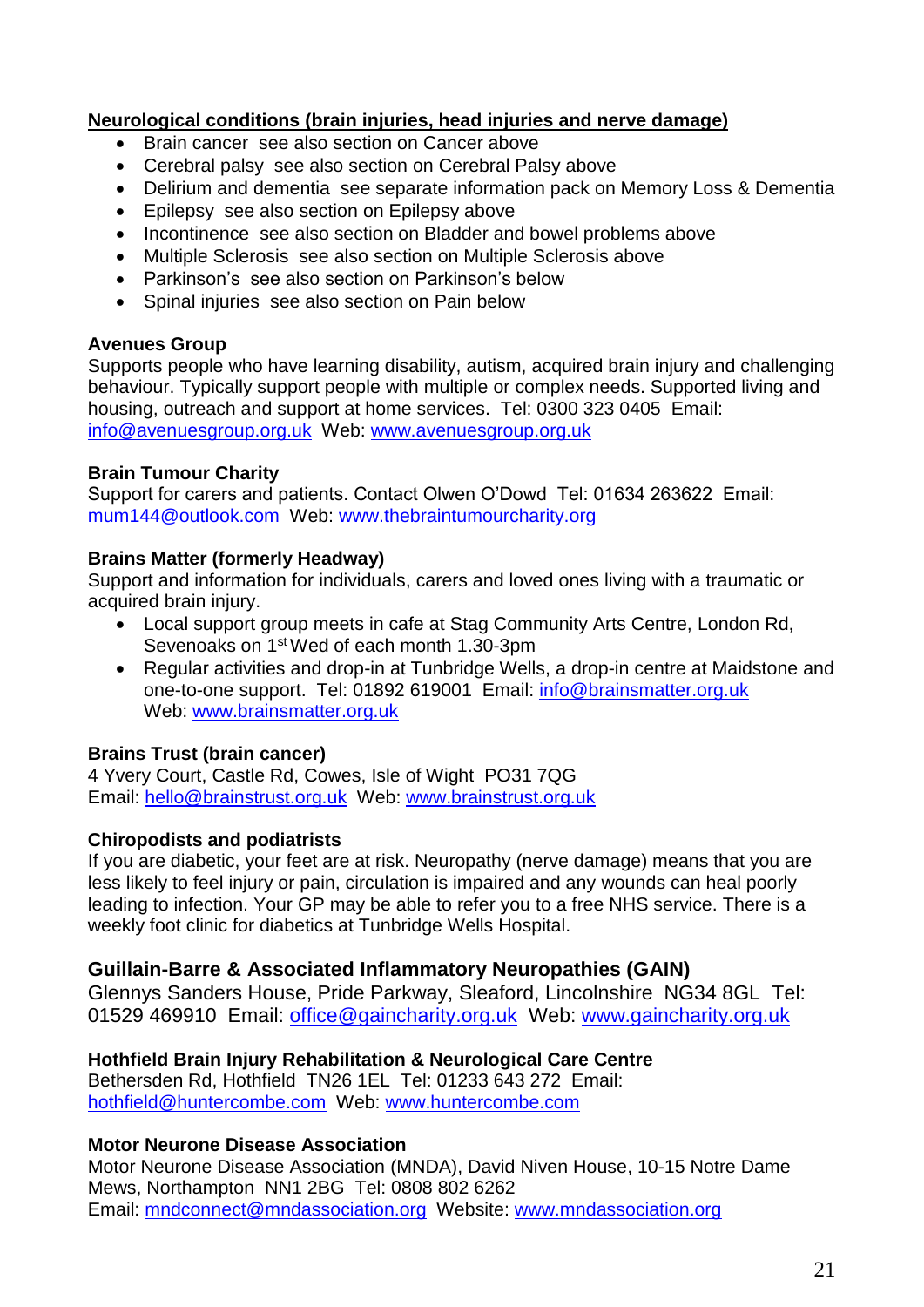## <span id="page-20-0"></span>**Neurological conditions (brain injuries, head injuries and nerve damage)**

- Brain cancer see also section on Cancer above
- Cerebral palsy see also section on Cerebral Palsy above
- Delirium and dementia see separate information pack on Memory Loss & Dementia
- Epilepsy see also section on Epilepsy above
- Incontinence see also section on Bladder and bowel problems above
- Multiple Sclerosis see also section on Multiple Sclerosis above
- Parkinson's see also section on Parkinson's below
- Spinal injuries see also section on Pain below

#### **Avenues Group**

Supports people who have learning disability, autism, acquired brain injury and challenging behaviour. Typically support people with multiple or complex needs. Supported living and housing, outreach and support at home services. Tel: 0300 323 0405 Email: info@avenuesgroup.org.uk Web: www.avenuesgroup.org.uk

## **Brain Tumour Charity**

Support for carers and patients. Contact Olwen O'Dowd Tel: 01634 263622 Email: [mum144@outlook.com](mailto:mum144@outlook.com) Web: [www.thebraintumourcharity.org](http://www.thebraintumourcharity.org/)

#### **Brains Matter (formerly Headway)**

Support and information for individuals, carers and loved ones living with a traumatic or acquired brain injury.

- Local support group meets in cafe at Stag Community Arts Centre, London Rd, Sevenoaks on 1<sup>st</sup> Wed of each month 1.30-3pm
- Regular activities and drop-in at Tunbridge Wells, a drop-in centre at Maidstone and one-to-one support. Tel: 01892 619001 Email: [info@brainsmatter.org.uk](mailto:info@brainsmatter.org.uk)  Web: [www.brainsmatter.org.uk](http://www.brainsmatter.org.uk/)

## **Brains Trust (brain cancer)**

4 Yvery Court, Castle Rd, Cowes, Isle of Wight PO31 7QG Email: [hello@brainstrust.org.uk](mailto:hello@brainstrust.org.uk) Web: [www.brainstrust.org.uk](http://www.brainstrust.org.uk/)

## **Chiropodists and podiatrists**

If you are diabetic, your feet are at risk. Neuropathy (nerve damage) means that you are less likely to feel injury or pain, circulation is impaired and any wounds can heal poorly leading to infection. Your GP may be able to refer you to a free NHS service. There is a weekly foot clinic for diabetics at Tunbridge Wells Hospital.

## **Guillain-Barre & Associated Inflammatory Neuropathies (GAIN)**

Glennys Sanders House, Pride Parkway, Sleaford, Lincolnshire NG34 8GL Tel: 01529 469910 Email: [office@gaincharity.org.uk](mailto:office@gaincharity.org.uk) Web: [www.gaincharity.org.uk](http://www.gaincharity.org.uk/)

## **Hothfield Brain Injury Rehabilitation & Neurological Care Centre**

Bethersden Rd, Hothfield TN26 1EL Tel: 01233 643 272 Email: [hothfield@huntercombe.com](mailto:hothfield@huntercombe.com) Web: [www.huntercombe.com](http://www.huntercombe.com/)

## **Motor Neurone Disease Association**

Motor Neurone Disease Association (MNDA), David Niven House, 10-15 Notre Dame Mews, Northampton NN1 2BG Tel: 0808 802 6262 Email: [mndconnect@mndassociation.org](mailto:mndconnect@mndassociation.org) Website: [www.mndassociation.org](https://www.mndassociation.org/)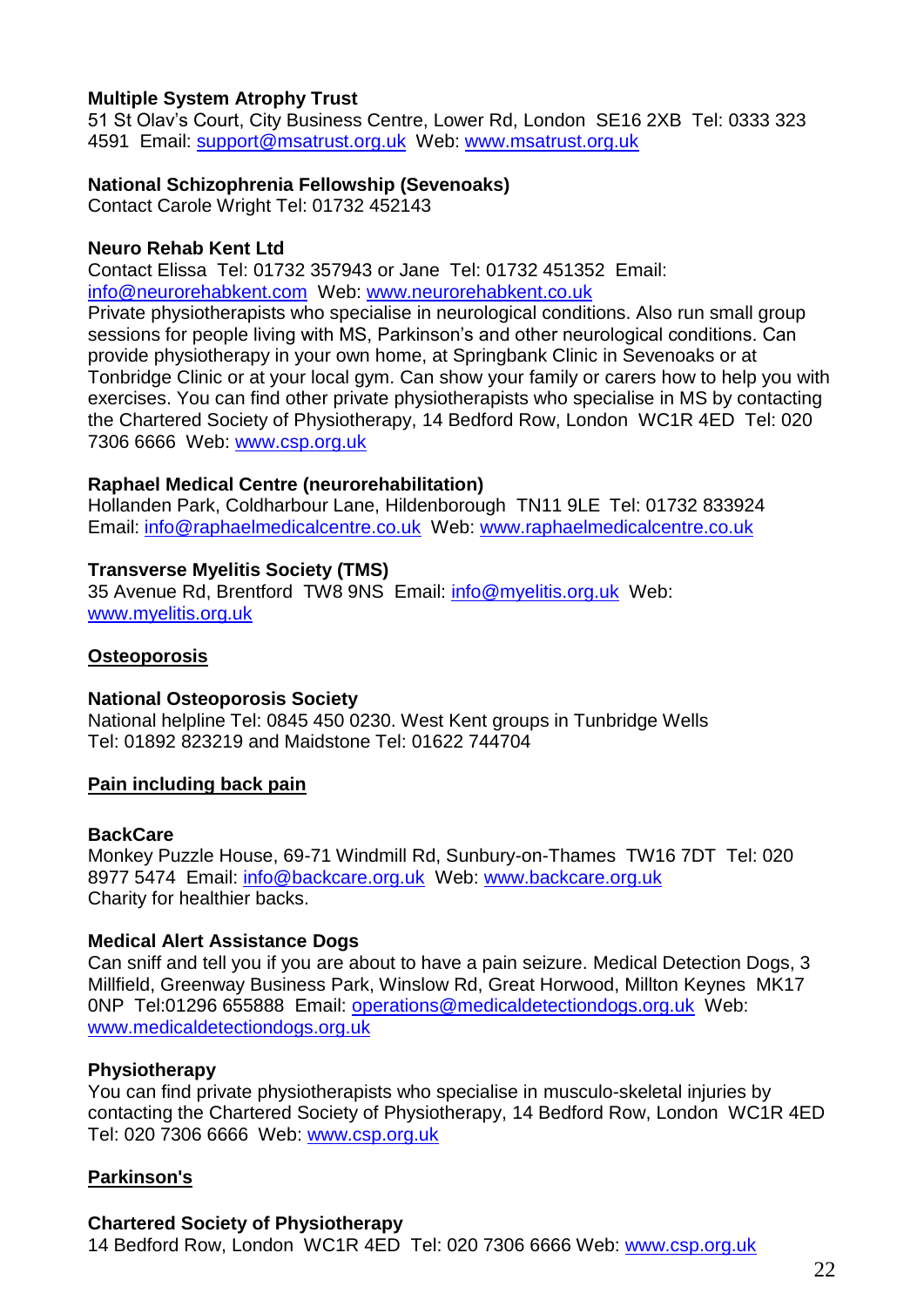#### **Multiple System Atrophy Trust**

51 St Olav's Court, City Business Centre, Lower Rd, London SE16 2XB Tel: 0333 323 4591 Email: [support@msatrust.org.uk](mailto:support@msatrust.org.uk) Web: [www.msatrust.org.uk](http://www.msatrust.org.uk/)

#### **National Schizophrenia Fellowship (Sevenoaks)**

Contact Carole Wright Tel: 01732 452143

#### **Neuro Rehab Kent Ltd**

Contact Elissa Tel: 01732 357943 or Jane Tel: 01732 451352 Email: [info@neurorehabkent.com](mailto:info@neurorehabkent.com) Web: [www.neurorehabkent.co.uk](http://www.neurorehabkent.co.uk/)

Private physiotherapists who specialise in neurological conditions. Also run small group sessions for people living with MS, Parkinson's and other neurological conditions. Can provide physiotherapy in your own home, at Springbank Clinic in Sevenoaks or at Tonbridge Clinic or at your local gym. Can show your family or carers how to help you with exercises. You can find other private physiotherapists who specialise in MS by contacting the Chartered Society of Physiotherapy, 14 Bedford Row, London WC1R 4ED Tel: 020 7306 6666 Web: www.csp.org.uk

#### **Raphael Medical Centre (neurorehabilitation)**

Hollanden Park, Coldharbour Lane, Hildenborough TN11 9LE Tel: 01732 833924 Email: [info@raphaelmedicalcentre.co.uk](mailto:info@raphaelmedicalcentre.co.uk) Web: [www.raphaelmedicalcentre.co.uk](http://www.raphaelmedicalcentre.co.uk/)

#### **Transverse Myelitis Society (TMS)**

35 Avenue Rd, Brentford TW8 9NS Email: [info@myelitis.org.uk](mailto:info@myelitis.org.uk) Web: [www.myelitis.org.uk](http://www.myelitis.org.uk/)

#### <span id="page-21-0"></span>**Osteoporosis**

#### **National Osteoporosis Society**

National helpline Tel: 0845 450 0230. West Kent groups in Tunbridge Wells Tel: 01892 823219 and Maidstone Tel: 01622 744704

#### <span id="page-21-1"></span>**Pain including back pain**

#### **BackCare**

Monkey Puzzle House, 69-71 Windmill Rd, Sunbury-on-Thames TW16 7DT Tel: 020 8977 5474 Email: [info@backcare.org.uk](mailto:info@backcare.org.uk) Web: [www.backcare.org.uk](http://www.backcare.org.uk/) Charity for healthier backs.

#### **Medical Alert Assistance Dogs**

Can sniff and tell you if you are about to have a pain seizure. Medical Detection Dogs, 3 Millfield, Greenway Business Park, Winslow Rd, Great Horwood, Millton Keynes MK17 0NP Tel:01296 655888 Email: operations@medicaldetectiondogs.org.uk Web: www.medicaldetectiondogs.org.uk

#### **Physiotherapy**

You can find private physiotherapists who specialise in musculo-skeletal injuries by contacting the Chartered Society of Physiotherapy, 14 Bedford Row, London WC1R 4ED Tel: 020 7306 6666 Web: www.csp.org.uk

## <span id="page-21-2"></span>**Parkinson's**

#### **Chartered Society of Physiotherapy**

14 Bedford Row, London WC1R 4ED Tel: 020 7306 6666 Web: www.csp.org.uk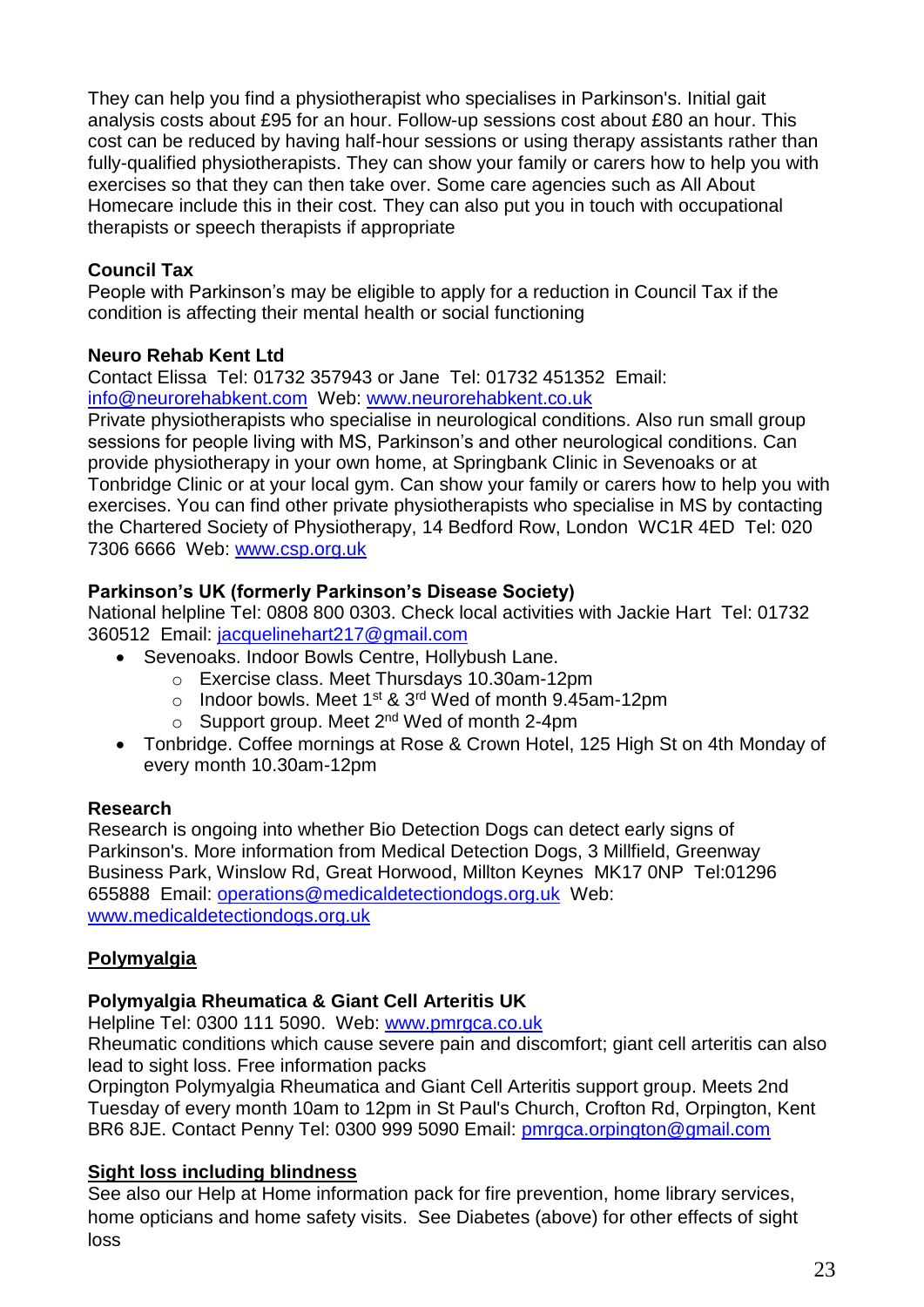They can help you find a physiotherapist who specialises in Parkinson's. Initial gait analysis costs about £95 for an hour. Follow-up sessions cost about £80 an hour. This cost can be reduced by having half-hour sessions or using therapy assistants rather than fully-qualified physiotherapists. They can show your family or carers how to help you with exercises so that they can then take over. Some care agencies such as All About Homecare include this in their cost. They can also put you in touch with occupational therapists or speech therapists if appropriate

## **Council Tax**

People with Parkinson's may be eligible to apply for a reduction in Council Tax if the condition is affecting their mental health or social functioning

## **Neuro Rehab Kent Ltd**

Contact Elissa Tel: 01732 357943 or Jane Tel: 01732 451352 Email: [info@neurorehabkent.com](mailto:info@neurorehabkent.com) Web: [www.neurorehabkent.co.uk](http://www.neurorehabkent.co.uk/)

Private physiotherapists who specialise in neurological conditions. Also run small group sessions for people living with MS, Parkinson's and other neurological conditions. Can provide physiotherapy in your own home, at Springbank Clinic in Sevenoaks or at Tonbridge Clinic or at your local gym. Can show your family or carers how to help you with exercises. You can find other private physiotherapists who specialise in MS by contacting the Chartered Society of Physiotherapy, 14 Bedford Row, London WC1R 4ED Tel: 020 7306 6666 Web: www.csp.org.uk

## **Parkinson's UK (formerly Parkinson's Disease Society)**

National helpline Tel: 0808 800 0303. Check local activities with Jackie Hart Tel: 01732 360512 Email: [jacquelinehart217@gmail.com](mailto:jacquelinehart217@gmail.com)

- Sevenoaks. Indoor Bowls Centre, Hollybush Lane.
	- o Exercise class. Meet Thursdays 10.30am-12pm
	- o Indoor bowls. Meet 1<sup>st</sup> & 3<sup>rd</sup> Wed of month 9.45am-12pm
	- $\circ$  Support group. Meet 2<sup>nd</sup> Wed of month 2-4pm
- Tonbridge. Coffee mornings at Rose & Crown Hotel, 125 High St on 4th Monday of every month 10.30am-12pm

## **Research**

Research is ongoing into whether Bio Detection Dogs can detect early signs of Parkinson's. More information from Medical Detection Dogs, 3 Millfield, Greenway Business Park, Winslow Rd, Great Horwood, Millton Keynes MK17 0NP Tel:01296 655888 Email: operations@medicaldetectiondogs.org.uk Web: www.medicaldetectiondogs.org.uk

## <span id="page-22-0"></span>**Polymyalgia**

## **Polymyalgia Rheumatica & Giant Cell Arteritis UK**

Helpline Tel: 0300 111 5090. Web: [www.pmrgca.co.uk](http://www.pmrgca.co.uk/)

Rheumatic conditions which cause severe pain and discomfort; giant cell arteritis can also lead to sight loss. Free information packs

Orpington Polymyalgia Rheumatica and Giant Cell Arteritis support group. Meets 2nd Tuesday of every month 10am to 12pm in St Paul's Church, Crofton Rd, Orpington, Kent BR6 8JE. Contact Penny Tel: 0300 999 5090 Email: [pmrgca.orpington@gmail.com](mailto:pmrgca.orpington@gmail.com)

## <span id="page-22-1"></span>**Sight loss including blindness**

See also our Help at Home information pack for fire prevention, home library services, home opticians and home safety visits. See Diabetes (above) for other effects of sight loss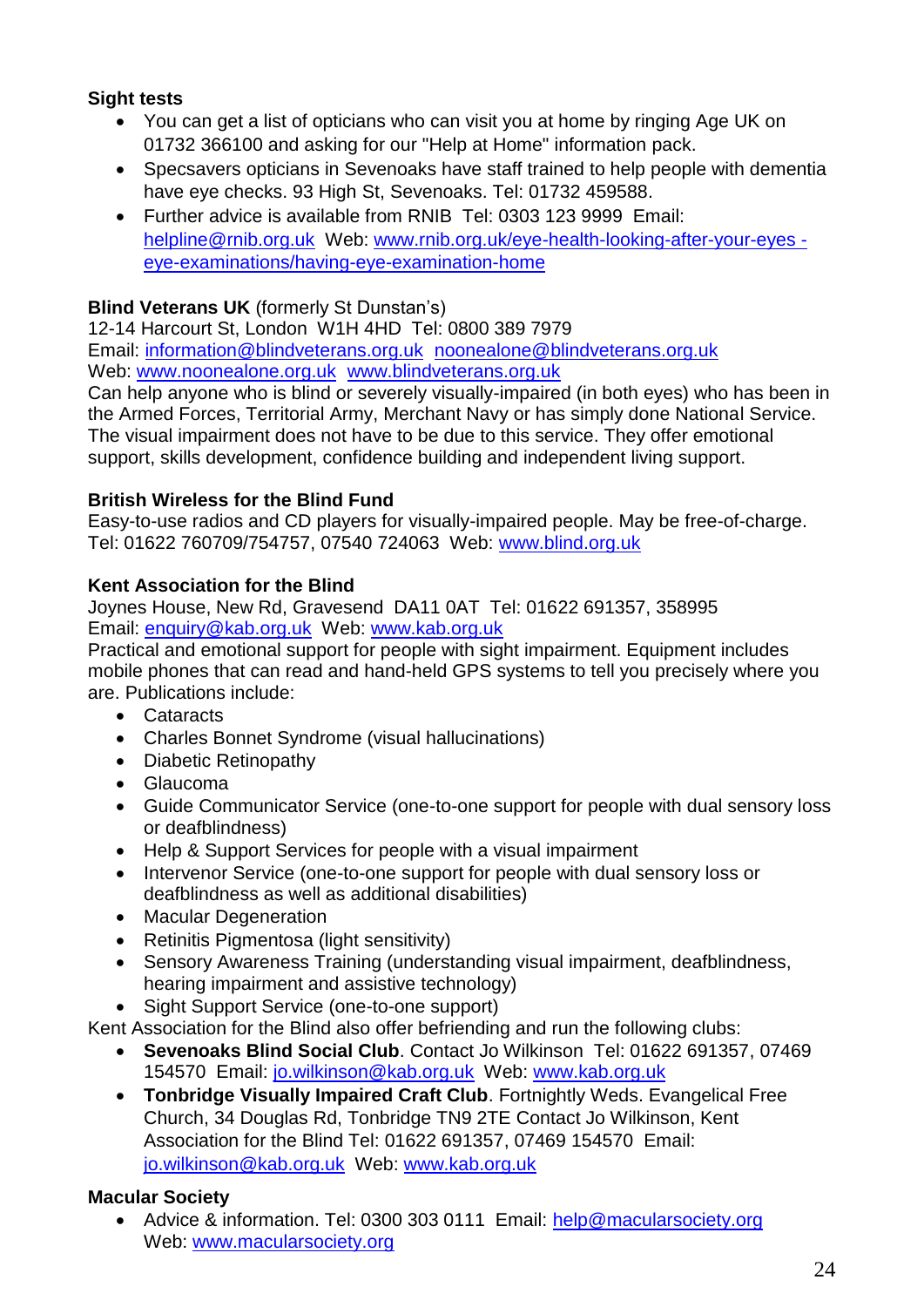## **Sight tests**

- You can get a list of opticians who can visit you at home by ringing Age UK on 01732 366100 and asking for our "Help at Home" information pack.
- Specsavers opticians in Sevenoaks have staff trained to help people with dementia have eye checks. 93 High St, Sevenoaks. Tel: 01732 459588.
- Further advice is available from RNIB Tel: 0303 123 9999 Email: helpline@rnib.org.uk Web: www.rnib.org.uk/eye-health-looking-after-your-eyes eye-examinations/having-eye-examination-home

## **Blind Veterans UK** (formerly St Dunstan's)

12-14 Harcourt St, London W1H 4HD Tel: 0800 389 7979 Email: [information@blindveterans.org.uk](mailto:information@blindveterans.org.uk)[noonealone@blindveterans.org.uk](mailto:noonealone@blindveterans.org.uk)  Web: [www.noonealone.org.uk](http://www.noonealone.org.uk/)www.blindveterans.org.uk

Can help anyone who is blind or severely visually-impaired (in both eyes) who has been in the Armed Forces, Territorial Army, Merchant Navy or has simply done National Service. The visual impairment does not have to be due to this service. They offer emotional support, skills development, confidence building and independent living support.

## **British Wireless for the Blind Fund**

Easy-to-use radios and CD players for visually-impaired people. May be free-of-charge. Tel: 01622 760709/754757, 07540 724063 Web: [www.blind.org.uk](http://www.blind.org.uk/)

## **Kent Association for the Blind**

Joynes House, New Rd, Gravesend DA11 0AT Tel: 01622 691357, 358995 Email: [enquiry@kab.org.uk](mailto:rehab.gravesend@kab.org.uk) Web: [www.kab.org.uk](http://www.kab.org.uk/)

Practical and emotional support for people with sight impairment. Equipment includes mobile phones that can read and hand-held GPS systems to tell you precisely where you are. Publications include:

- Cataracts
- Charles Bonnet Syndrome (visual hallucinations)
- Diabetic Retinopathy
- Glaucoma
- Guide Communicator Service (one-to-one support for people with dual sensory loss or deafblindness)
- Help & Support Services for people with a visual impairment
- Intervenor Service (one-to-one support for people with dual sensory loss or deafblindness as well as additional disabilities)
- Macular Degeneration
- Retinitis Pigmentosa (light sensitivity)
- Sensory Awareness Training (understanding visual impairment, deafblindness, hearing impairment and assistive technology)
- Sight Support Service (one-to-one support)

Kent Association for the Blind also offer befriending and run the following clubs:

- **Sevenoaks Blind Social Club**. Contact Jo Wilkinson Tel: 01622 691357, 07469 154570 Email: [jo.wilkinson@kab.org.uk](mailto:jo.wilkinson@kab.org.uk) Web: www.kab.org.uk
- **Tonbridge Visually Impaired Craft Club**. Fortnightly Weds. Evangelical Free Church, 34 Douglas Rd, Tonbridge TN9 2TE Contact Jo Wilkinson, Kent Association for the Blind Tel: 01622 691357, 07469 154570 Email: [jo.wilkinson@kab.org.uk](mailto:jo.wilkinson@kab.org.uk) Web: www.kab.org.uk

## **Macular Society**

 Advice & information. Tel: 0300 303 0111 Email: [help@macularsociety.org](mailto:help@macularsociety.org) Web: [www.macularsociety.org](http://www.macularsociety.org/)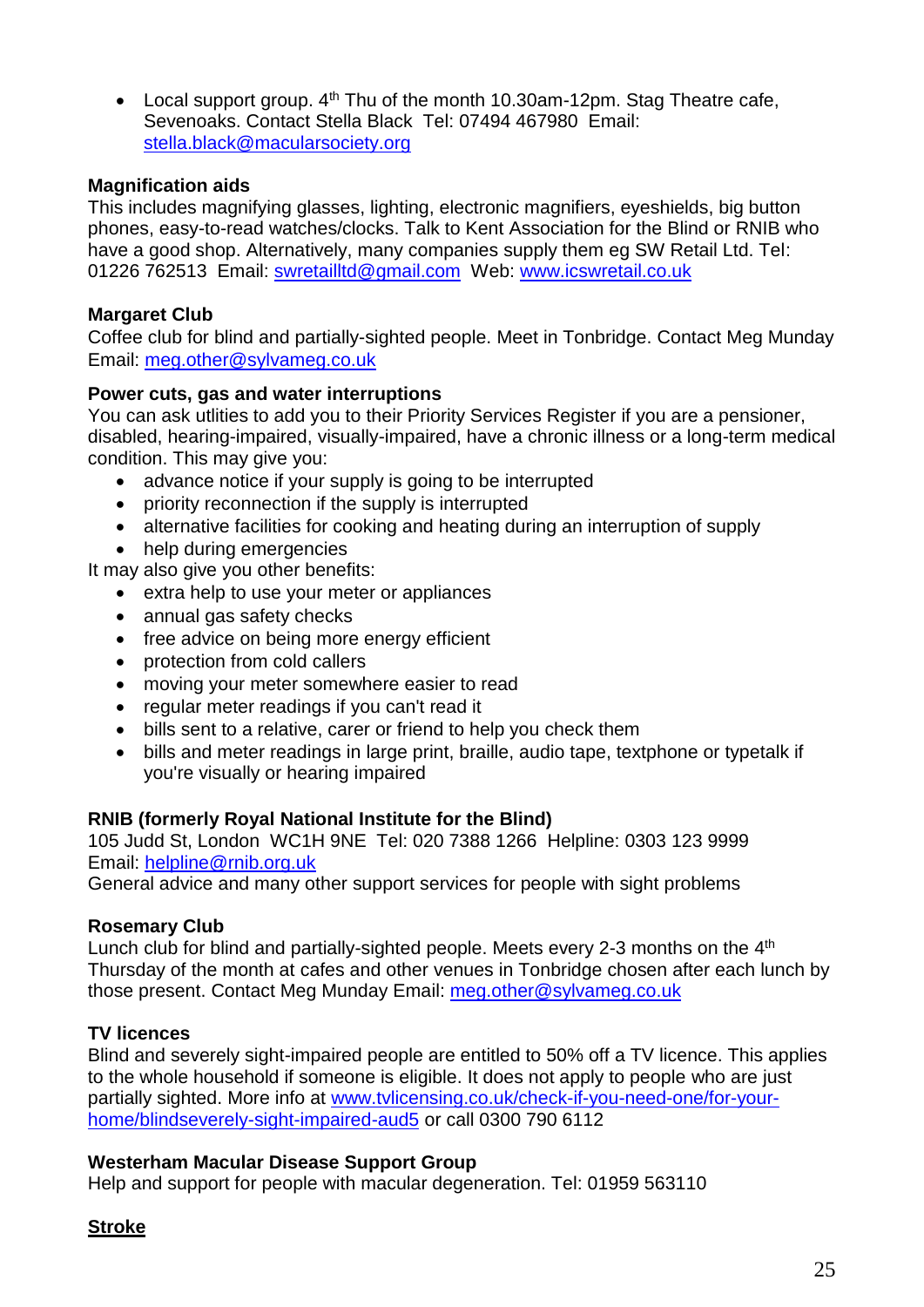• Local support group.  $4<sup>th</sup>$  Thu of the month 10.30am-12pm. Stag Theatre cafe, Sevenoaks. Contact Stella Black Tel: 07494 467980 Email: [stella.black@macularsociety.org](mailto:stella.black@macularsociety.org)

## **Magnification aids**

This includes magnifying glasses, lighting, electronic magnifiers, eyeshields, big button phones, easy-to-read watches/clocks. Talk to Kent Association for the Blind or RNIB who have a good shop. Alternatively, many companies supply them eg SW Retail Ltd. Tel: 01226 762513 Email: [swretailltd@gmail.com](mailto:swretailltd@gmail.com) Web: [www.icswretail.co.uk](http://www.icswretail.co.uk/)

#### **Margaret Club**

Coffee club for blind and partially-sighted people. Meet in Tonbridge. Contact Meg Munday Email: [meg.other@sylvameg.co.uk](mailto:meg.other@sylvameg.co.uk)

#### **Power cuts, gas and water interruptions**

You can ask utlities to add you to their Priority Services Register if you are a pensioner, disabled, hearing-impaired, visually-impaired, have a chronic illness or a long-term medical condition. This may give you:

- advance notice if your supply is going to be interrupted
- priority reconnection if the supply is interrupted
- alternative facilities for cooking and heating during an interruption of supply
- help during emergencies

It may also give you other benefits:

- extra help to use your meter or appliances
- annual gas safety checks
- free advice on being more energy efficient
- protection from cold callers
- moving your meter somewhere easier to read
- regular meter readings if you can't read it
- bills sent to a relative, carer or friend to help you check them
- bills and meter readings in large print, braille, audio tape, textphone or typetalk if you're visually or hearing impaired

#### **RNIB (formerly Royal National Institute for the Blind)**

105 Judd St, London WC1H 9NE Tel: 020 7388 1266 Helpline: 0303 123 9999 Email: [helpline@rnib.org.uk](mailto:helpline@rnib.org.uk)

General advice and many other support services for people with sight problems

#### **Rosemary Club**

Lunch club for blind and partially-sighted people. Meets every 2-3 months on the 4<sup>th</sup> Thursday of the month at cafes and other venues in Tonbridge chosen after each lunch by those present. Contact Meg Munday Email: [meg.other@sylvameg.co.uk](mailto:meg.other@sylvameg.co.uk)

#### **TV licences**

Blind and severely sight-impaired people are entitled to 50% off a TV licence. This applies to the whole household if someone is eligible. It does not apply to people who are just partially sighted. More info at [www.tvlicensing.co.uk/check-if-you-need-one/for-your](http://www.tvlicensing.co.uk/check-if-you-need-one/for-your-home/blindseverely-sight-impaired-aud5)[home/blindseverely-sight-impaired-aud5](http://www.tvlicensing.co.uk/check-if-you-need-one/for-your-home/blindseverely-sight-impaired-aud5) or call 0300 790 6112

#### **Westerham Macular Disease Support Group**

Help and support for people with macular degeneration. Tel: 01959 563110

#### <span id="page-24-0"></span>**Stroke**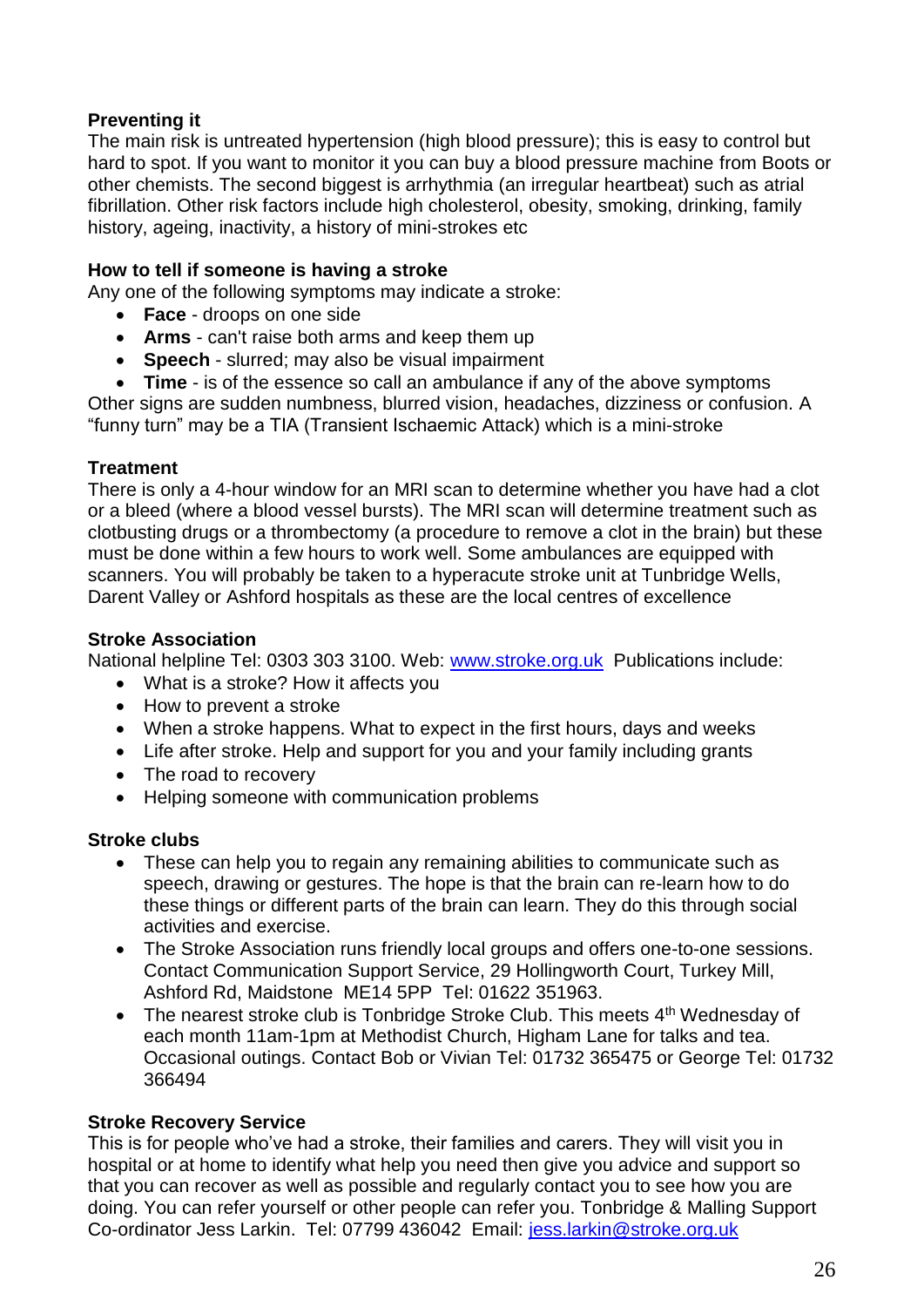## **Preventing it**

The main risk is untreated hypertension (high blood pressure); this is easy to control but hard to spot. If you want to monitor it you can buy a blood pressure machine from Boots or other chemists. The second biggest is arrhythmia (an irregular heartbeat) such as atrial fibrillation. Other risk factors include high cholesterol, obesity, smoking, drinking, family history, ageing, inactivity, a history of mini-strokes etc

## **How to tell if someone is having a stroke**

Any one of the following symptoms may indicate a stroke:

- **Face**  droops on one side
- **Arms**  can't raise both arms and keep them up
- **Speech** slurred; may also be visual impairment
- **Time** is of the essence so call an ambulance if any of the above symptoms

Other signs are sudden numbness, blurred vision, headaches, dizziness or confusion. A "funny turn" may be a TIA (Transient Ischaemic Attack) which is a mini-stroke

#### **Treatment**

There is only a 4-hour window for an MRI scan to determine whether you have had a clot or a bleed (where a blood vessel bursts). The MRI scan will determine treatment such as clotbusting drugs or a thrombectomy (a procedure to remove a clot in the brain) but these must be done within a few hours to work well. Some ambulances are equipped with scanners. You will probably be taken to a hyperacute stroke unit at Tunbridge Wells, Darent Valley or Ashford hospitals as these are the local centres of excellence

#### **Stroke Association**

National helpline Tel: 0303 303 3100. Web: [www.stroke.org.uk](http://www.stroke.org.uk/) Publications include:

- What is a stroke? How it affects you
- How to prevent a stroke
- When a stroke happens. What to expect in the first hours, days and weeks
- Life after stroke. Help and support for you and your family including grants
- The road to recovery
- Helping someone with communication problems

#### **Stroke clubs**

- These can help you to regain any remaining abilities to communicate such as speech, drawing or gestures. The hope is that the brain can re-learn how to do these things or different parts of the brain can learn. They do this through social activities and exercise.
- The Stroke Association runs friendly local groups and offers one-to-one sessions. Contact Communication Support Service, 29 Hollingworth Court, Turkey Mill, Ashford Rd, Maidstone ME14 5PP Tel: 01622 351963.
- The nearest stroke club is Tonbridge Stroke Club. This meets  $4<sup>th</sup>$  Wednesday of each month 11am-1pm at Methodist Church, Higham Lane for talks and tea. Occasional outings. Contact Bob or Vivian Tel: 01732 365475 or George Tel: 01732 366494

#### **Stroke Recovery Service**

This is for people who've had a stroke, their families and carers. They will visit you in hospital or at home to identify what help you need then give you advice and support so that you can recover as well as possible and regularly contact you to see how you are doing. You can refer yourself or other people can refer you. Tonbridge & Malling Support Co-ordinator Jess Larkin. Tel: 07799 436042 Email: [jess.larkin@stroke.org.uk](mailto:jess.larkin@stroke.org.uk)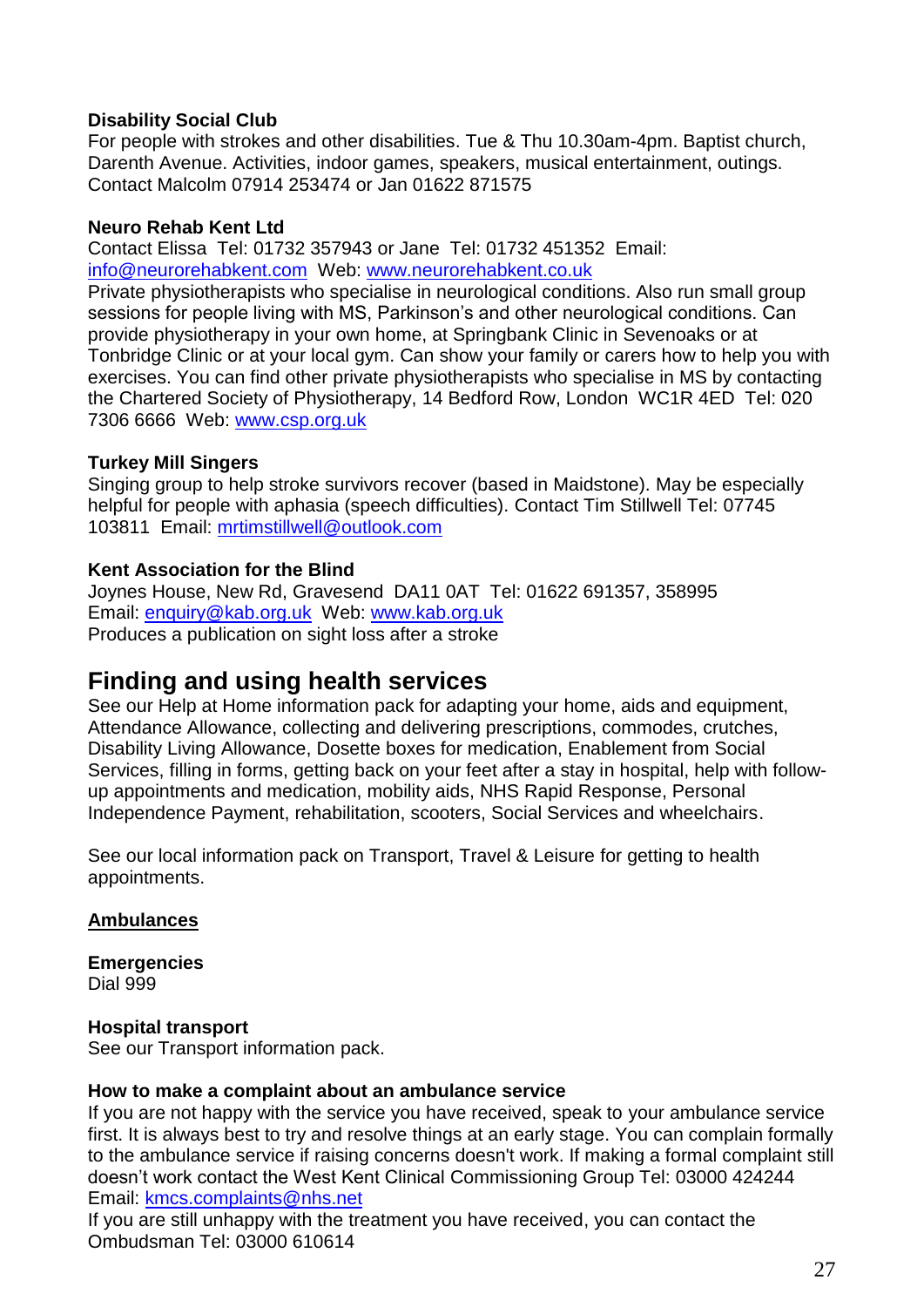## **Disability Social Club**

For people with strokes and other disabilities. Tue & Thu 10.30am-4pm. Baptist church, Darenth Avenue. Activities, indoor games, speakers, musical entertainment, outings. Contact Malcolm 07914 253474 or Jan 01622 871575

## **Neuro Rehab Kent Ltd**

Contact Elissa Tel: 01732 357943 or Jane Tel: 01732 451352 Email: [info@neurorehabkent.com](mailto:info@neurorehabkent.com) Web: [www.neurorehabkent.co.uk](http://www.neurorehabkent.co.uk/)

Private physiotherapists who specialise in neurological conditions. Also run small group sessions for people living with MS, Parkinson's and other neurological conditions. Can provide physiotherapy in your own home, at Springbank Clinic in Sevenoaks or at Tonbridge Clinic or at your local gym. Can show your family or carers how to help you with exercises. You can find other private physiotherapists who specialise in MS by contacting the Chartered Society of Physiotherapy, 14 Bedford Row, London WC1R 4ED Tel: 020 7306 6666 Web: www.csp.org.uk

## **Turkey Mill Singers**

Singing group to help stroke survivors recover (based in Maidstone). May be especially helpful for people with aphasia (speech difficulties). Contact Tim Stillwell Tel: 07745 103811 Email: [mrtimstillwell@outlook.com](mailto:mrtimstillwell@outlook.com)

## **Kent Association for the Blind**

Joynes House, New Rd, Gravesend DA11 0AT Tel: 01622 691357, 358995 Email: [enquiry@kab.org.uk](mailto:rehab.gravesend@kab.org.uk) Web: [www.kab.org.uk](http://www.kab.org.uk/) Produces a publication on sight loss after a stroke

# <span id="page-26-0"></span>**Finding and using health services**

See our Help at Home information pack for adapting your home, aids and equipment, Attendance Allowance, collecting and delivering prescriptions, commodes, crutches, Disability Living Allowance, Dosette boxes for medication, Enablement from Social Services, filling in forms, getting back on your feet after a stay in hospital, help with followup appointments and medication, mobility aids, NHS Rapid Response, Personal Independence Payment, rehabilitation, scooters, Social Services and wheelchairs.

See our local information pack on Transport, Travel & Leisure for getting to health appointments.

## <span id="page-26-1"></span>**Ambulances**

**Emergencies** Dial 999

## **Hospital transport**

See our Transport information pack.

## **How to make a complaint about an ambulance service**

If you are not happy with the service you have received, speak to your ambulance service first. It is always best to try and resolve things at an early stage. You can complain formally to the ambulance service if raising concerns doesn't work. If making a formal complaint still doesn't work contact the West Kent Clinical Commissioning Group Tel: 03000 424244 Email: kmcs.complaints@nhs.net

If you are still unhappy with the treatment you have received, you can contact the Ombudsman Tel: 03000 610614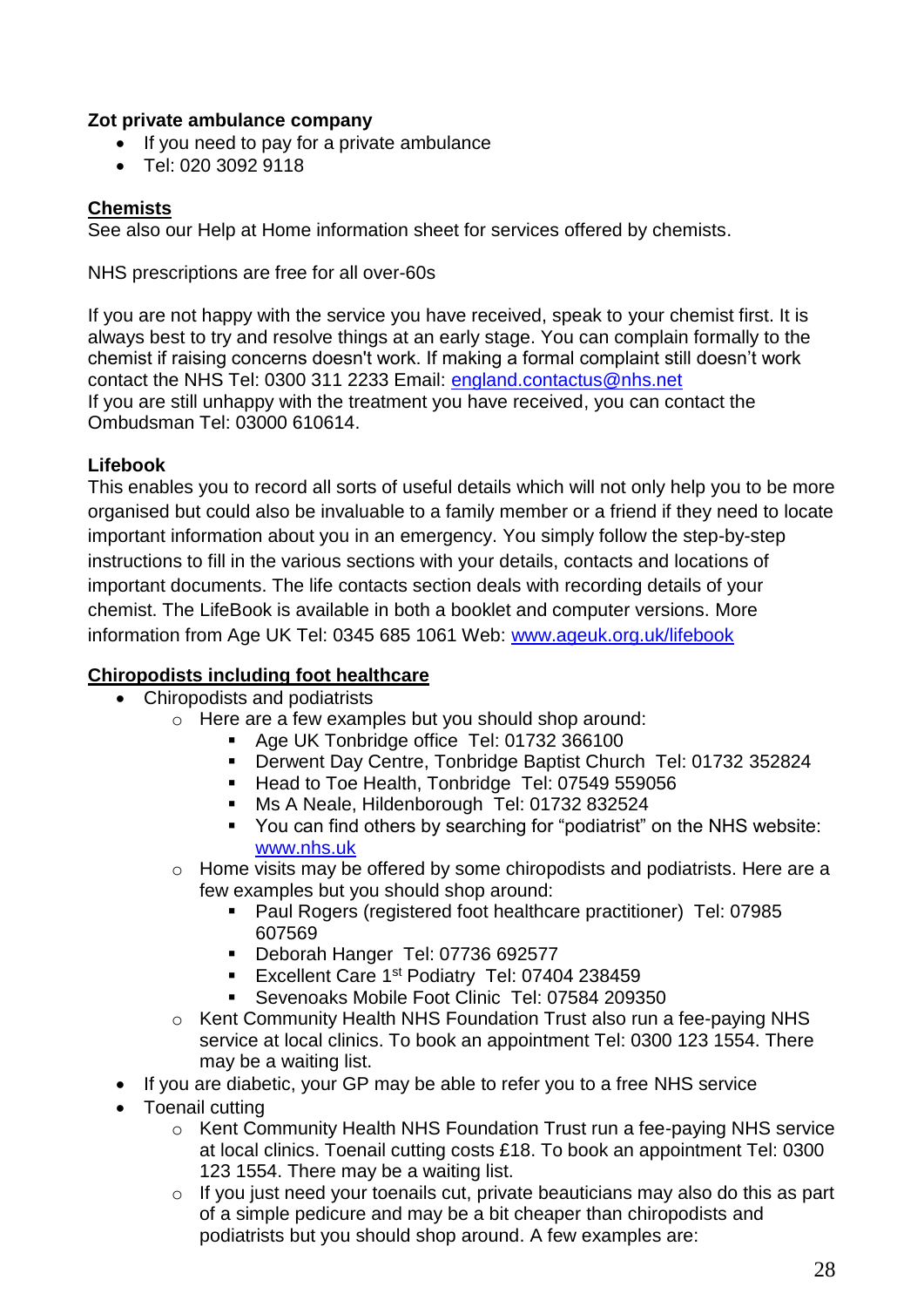## **Zot private ambulance company**

- If you need to pay for a private ambulance
- Tel: 020 3092 9118

## <span id="page-27-0"></span>**Chemists**

See also our Help at Home information sheet for services offered by chemists.

NHS prescriptions are free for all over-60s

If you are not happy with the service you have received, speak to your chemist first. It is always best to try and resolve things at an early stage. You can complain formally to the chemist if raising concerns doesn't work. If making a formal complaint still doesn't work contact the NHS Tel: 0300 311 2233 Email: england.contactus@nhs.net If you are still unhappy with the treatment you have received, you can contact the Ombudsman Tel: 03000 610614.

## **Lifebook**

This enables you to record all sorts of useful details which will not only help you to be more organised but could also be invaluable to a family member or a friend if they need to locate important information about you in an emergency. You simply follow the step-by-step instructions to fill in the various sections with your details, contacts and locations of important documents. The life contacts section deals with recording details of your chemist. The LifeBook is available in both a booklet and computer versions. More information from Age UK Tel: 0345 685 1061 Web: www.ageuk.org.uk/lifebook

## <span id="page-27-1"></span>**Chiropodists including foot healthcare**

- Chiropodists and podiatrists
	- o Here are a few examples but you should shop around:
		- Age UK Tonbridge office Tel: 01732 366100
		- **Derwent Day Centre, Tonbridge Baptist Church Tel: 01732 352824**
		- Head to Toe Health, Tonbridge Tel: 07549 559056
		- Ms A Neale, Hildenborough Tel: 01732 832524
		- You can find others by searching for "podiatrist" on the NHS website: [www.nhs.uk](http://www.nhs.uk/)
	- o Home visits may be offered by some chiropodists and podiatrists. Here are a few examples but you should shop around:
		- Paul Rogers (registered foot healthcare practitioner) Tel: 07985 607569
		- Deborah Hanger Tel: 07736 692577
		- Excellent Care 1<sup>st</sup> Podiatry Tel: 07404 238459
		- Sevenoaks Mobile Foot Clinic Tel: 07584 209350
	- o Kent Community Health NHS Foundation Trust also run a fee-paying NHS service at local clinics. To book an appointment Tel: 0300 123 1554. There may be a waiting list.
- If you are diabetic, your GP may be able to refer you to a free NHS service
- Toenail cutting
	- o Kent Community Health NHS Foundation Trust run a fee-paying NHS service at local clinics. Toenail cutting costs £18. To book an appointment Tel: 0300 123 1554. There may be a waiting list.
	- o If you just need your toenails cut, private beauticians may also do this as part of a simple pedicure and may be a bit cheaper than chiropodists and podiatrists but you should shop around. A few examples are: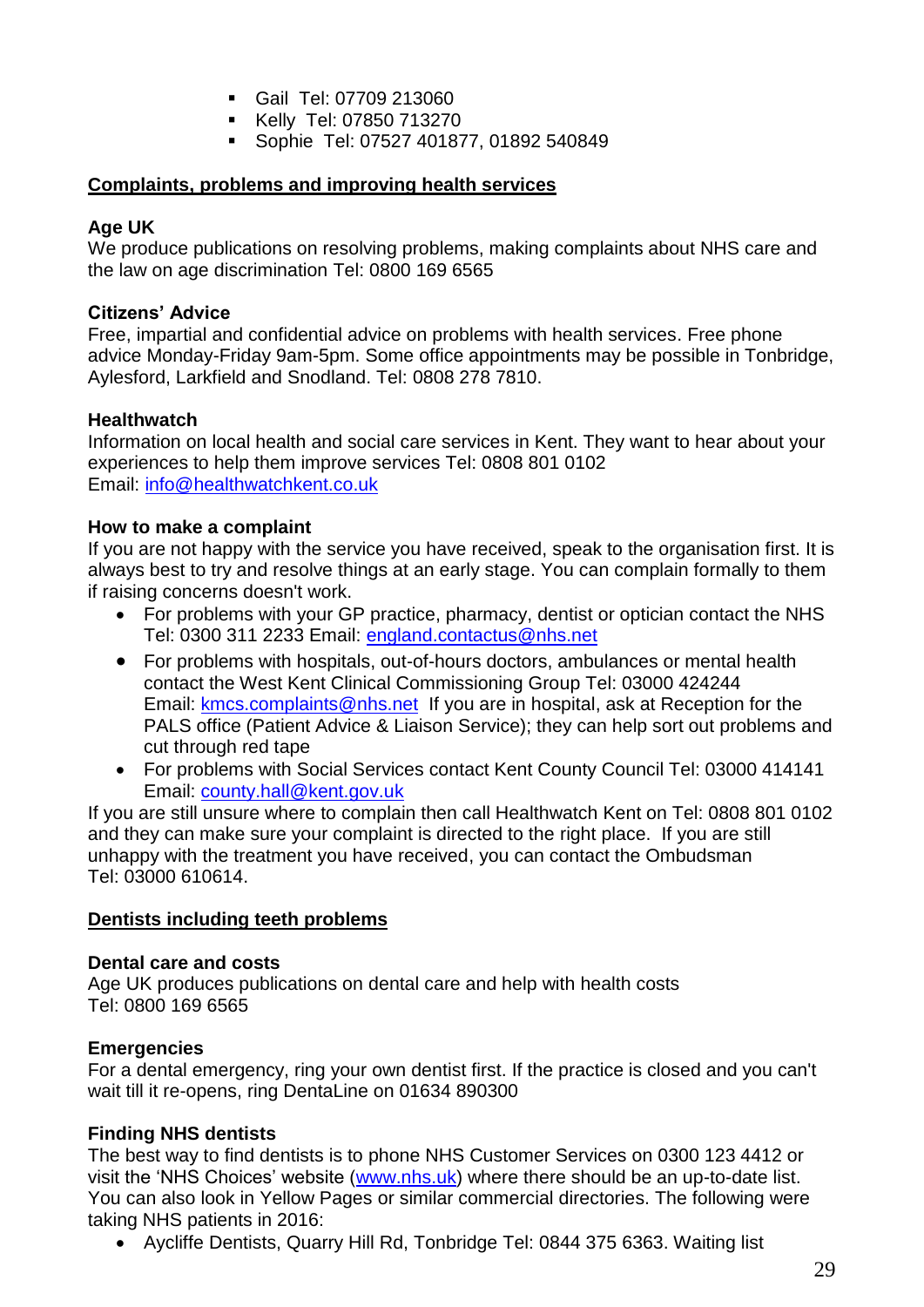- Gail Tel: 07709 213060
- Kelly Tel: 07850 713270
- Sophie Tel: 07527 401877, 01892 540849

## <span id="page-28-0"></span>**Complaints, problems and improving health services**

#### **Age UK**

We produce publications on resolving problems, making complaints about NHS care and the law on age discrimination Tel: 0800 169 6565

#### **Citizens' Advice**

Free, impartial and confidential advice on problems with health services. Free phone advice Monday-Friday 9am-5pm. Some office appointments may be possible in Tonbridge, Aylesford, Larkfield and Snodland. Tel: 0808 278 7810.

#### **Healthwatch**

Information on local health and social care services in Kent. They want to hear about your experiences to help them improve services Tel: 0808 801 0102 Email: info@healthwatchkent.co.uk

#### **How to make a complaint**

If you are not happy with the service you have received, speak to the organisation first. It is always best to try and resolve things at an early stage. You can complain formally to them if raising concerns doesn't work.

- For problems with your GP practice, pharmacy, dentist or optician contact the NHS Tel: 0300 311 2233 Email: [england.contactus@nhs.net](mailto:england.contactus@nhs.net)
- For problems with hospitals, out-of-hours doctors, ambulances or mental health contact the West Kent Clinical Commissioning Group Tel: 03000 424244 Email: **kmcs.complaints@nhs.net** If you are in hospital, ask at Reception for the PALS office (Patient Advice & Liaison Service); they can help sort out problems and cut through red tape
- For problems with Social Services contact Kent County Council Tel: 03000 414141 Email: county.hall@kent.gov.uk

If you are still unsure where to complain then call Healthwatch Kent on Tel: 0808 801 0102 and they can make sure your complaint is directed to the right place. If you are still unhappy with the treatment you have received, you can contact the Ombudsman Tel: 03000 610614.

#### <span id="page-28-1"></span>**Dentists including teeth problems**

#### **Dental care and costs**

Age UK produces publications on dental care and help with health costs Tel: 0800 169 6565

#### **Emergencies**

For a dental emergency, ring your own dentist first. If the practice is closed and you can't wait till it re-opens, ring DentaLine on 01634 890300

## **Finding NHS dentists**

The best way to find dentists is to phone NHS Customer Services on 0300 123 4412 or visit the 'NHS Choices' website [\(www.nhs.uk\)](http://www.nhs.uk/) where there should be an up-to-date list. You can also look in Yellow Pages or similar commercial directories. The following were taking NHS patients in 2016:

Aycliffe Dentists, Quarry Hill Rd, Tonbridge Tel: 0844 375 6363. Waiting list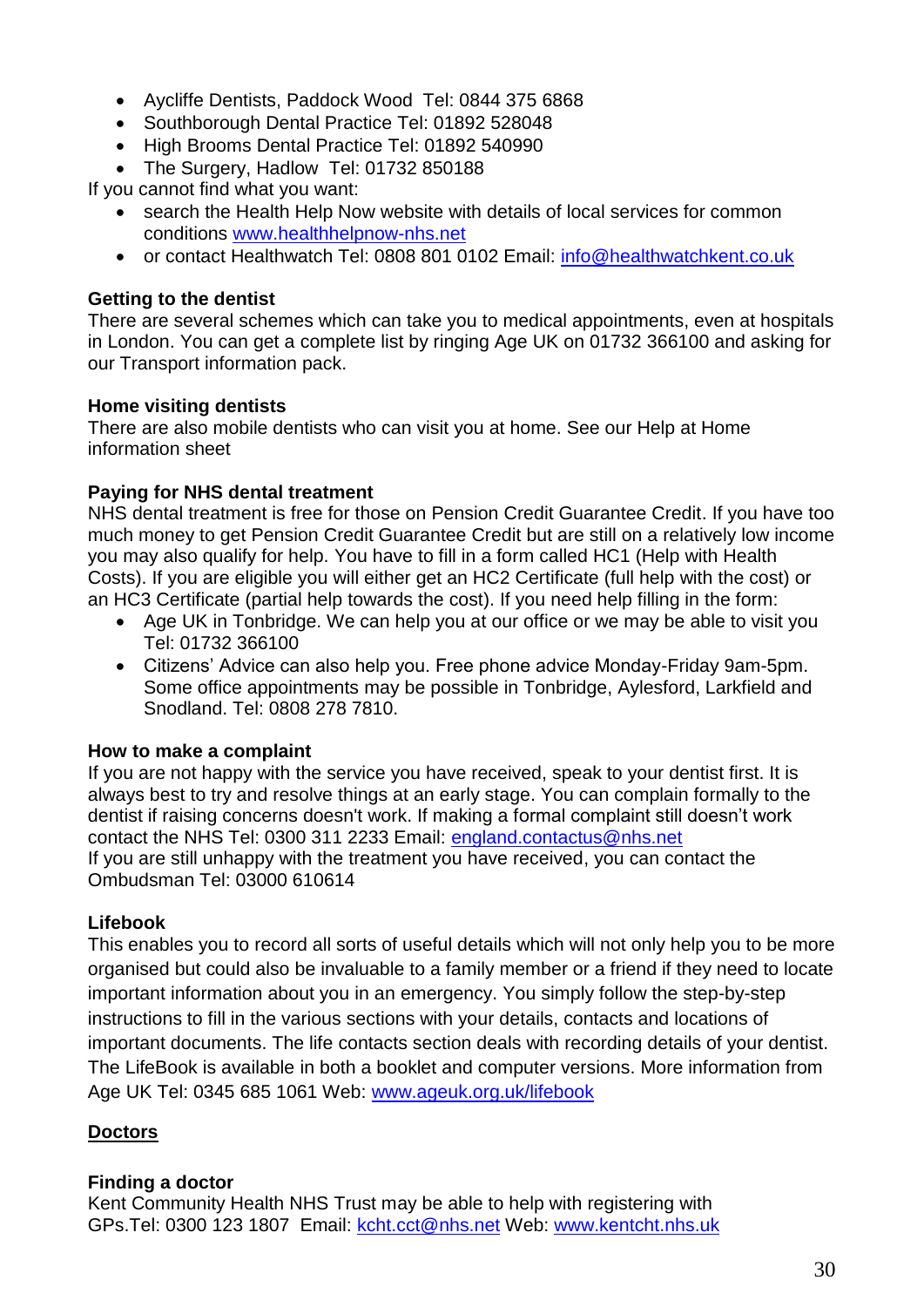- Aycliffe Dentists, Paddock Wood Tel: 0844 375 6868
- Southborough Dental Practice Tel: 01892 528048
- High Brooms Dental Practice Tel: 01892 540990
- The Surgery, Hadlow Tel: 01732 850188

If you cannot find what you want:

- search the Health Help Now website with details of local services for common conditions [www.healthhelpnow-nhs.net](http://www.healthhelpnow-nhs.net/)
- or contact Healthwatch Tel: 0808 801 0102 Email: [info@healthwatchkent.co.uk](mailto:info@healthwatchkent.co.uk)

## **Getting to the dentist**

There are several schemes which can take you to medical appointments, even at hospitals in London. You can get a complete list by ringing Age UK on 01732 366100 and asking for our Transport information pack.

## **Home visiting dentists**

There are also mobile dentists who can visit you at home. See our Help at Home information sheet

## **Paying for NHS dental treatment**

NHS dental treatment is free for those on Pension Credit Guarantee Credit. If you have too much money to get Pension Credit Guarantee Credit but are still on a relatively low income you may also qualify for help. You have to fill in a form called HC1 (Help with Health Costs). If you are eligible you will either get an HC2 Certificate (full help with the cost) or an HC3 Certificate (partial help towards the cost). If you need help filling in the form:

- Age UK in Tonbridge. We can help you at our office or we may be able to visit you Tel: 01732 366100
- Citizens' Advice can also help you. Free phone advice Monday-Friday 9am-5pm. Some office appointments may be possible in Tonbridge, Aylesford, Larkfield and Snodland. Tel: 0808 278 7810.

## **How to make a complaint**

If you are not happy with the service you have received, speak to your dentist first. It is always best to try and resolve things at an early stage. You can complain formally to the dentist if raising concerns doesn't work. If making a formal complaint still doesn't work contact the NHS Tel: 0300 311 2233 Email: [england.contactus@nhs.net](mailto:england.contactus@nhs.net) If you are still unhappy with the treatment you have received, you can contact the Ombudsman Tel: 03000 610614

## **Lifebook**

This enables you to record all sorts of useful details which will not only help you to be more organised but could also be invaluable to a family member or a friend if they need to locate important information about you in an emergency. You simply follow the step-by-step instructions to fill in the various sections with your details, contacts and locations of important documents. The life contacts section deals with recording details of your dentist. The LifeBook is available in both a booklet and computer versions. More information from Age UK Tel: 0345 685 1061 Web: www.ageuk.org.uk/lifebook

## <span id="page-29-0"></span>**Doctors**

## **Finding a doctor**

Kent Community Health NHS Trust may be able to help with registering with GPs.Tel: 0300 123 1807 Email: [kcht.cct@nhs.net](mailto:kcht.cct@nhs.net) Web: [www.kentcht.nhs.uk](http://www.kentcht.nhs.uk/)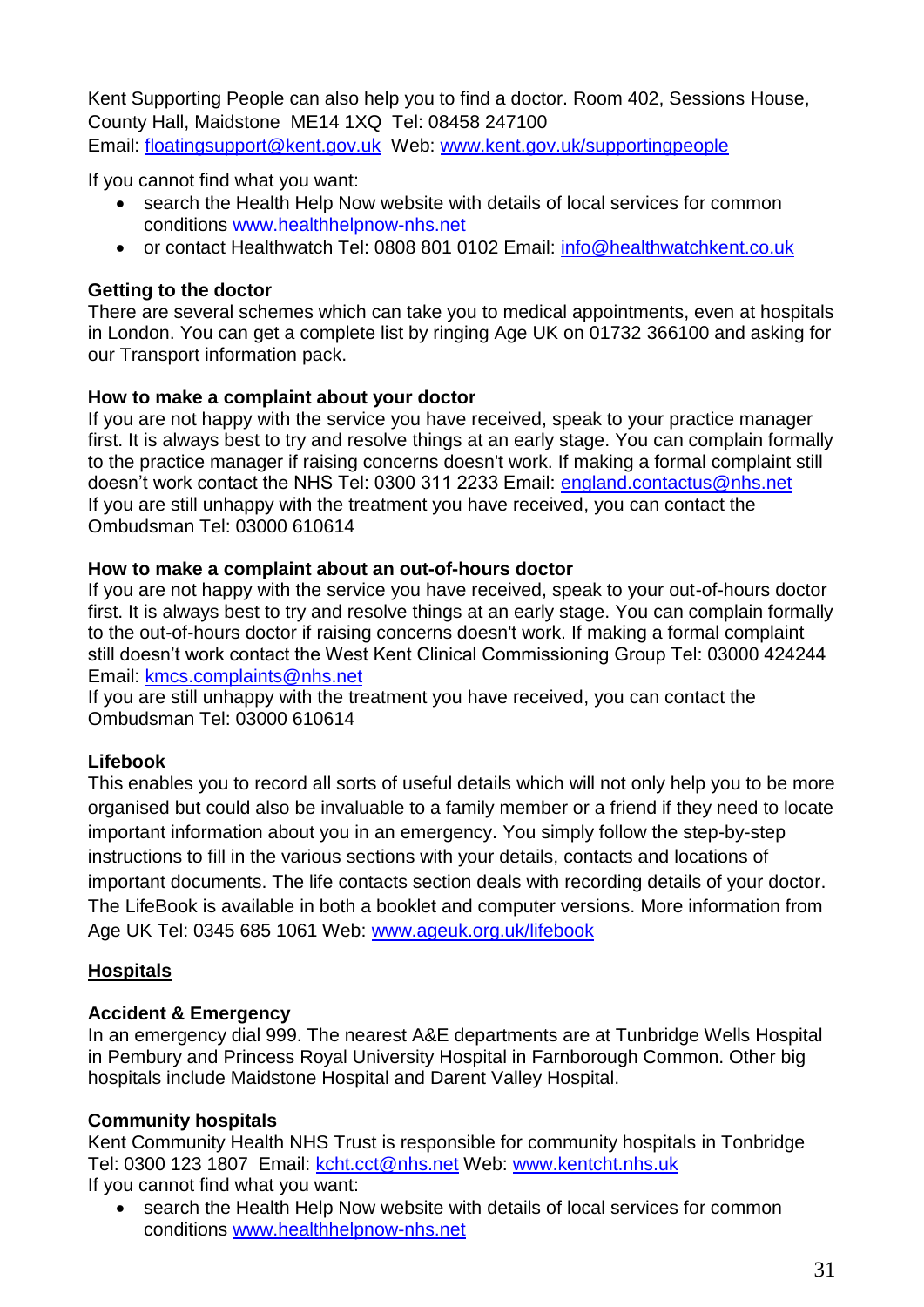Kent Supporting People can also help you to find a doctor. Room 402, Sessions House, County Hall, Maidstone ME14 1XQ Tel: 08458 247100 Email: [floatingsupport@kent.gov.uk](mailto:floatingsupport@kent.gov.uk) Web: [www.kent.gov.uk/supportingpeople](http://www.kent.gov.uk/supportingpeople)

If you cannot find what you want:

- search the Health Help Now website with details of local services for common conditions [www.healthhelpnow-nhs.net](http://www.healthhelpnow-nhs.net/)
- or contact Healthwatch Tel: 0808 801 0102 Email: [info@healthwatchkent.co.uk](mailto:info@healthwatchkent.co.uk)

## **Getting to the doctor**

There are several schemes which can take you to medical appointments, even at hospitals in London. You can get a complete list by ringing Age UK on 01732 366100 and asking for our Transport information pack.

## **How to make a complaint about your doctor**

If you are not happy with the service you have received, speak to your practice manager first. It is always best to try and resolve things at an early stage. You can complain formally to the practice manager if raising concerns doesn't work. If making a formal complaint still doesn't work contact the NHS Tel: 0300 311 2233 Email: england.contactus@nhs.net If you are still unhappy with the treatment you have received, you can contact the Ombudsman Tel: 03000 610614

## **How to make a complaint about an out-of-hours doctor**

If you are not happy with the service you have received, speak to your out-of-hours doctor first. It is always best to try and resolve things at an early stage. You can complain formally to the out-of-hours doctor if raising concerns doesn't work. If making a formal complaint still doesn't work contact the West Kent Clinical Commissioning Group Tel: 03000 424244 Email: kmcs.complaints@nhs.net

If you are still unhappy with the treatment you have received, you can contact the Ombudsman Tel: 03000 610614

## **Lifebook**

This enables you to record all sorts of useful details which will not only help you to be more organised but could also be invaluable to a family member or a friend if they need to locate important information about you in an emergency. You simply follow the step-by-step instructions to fill in the various sections with your details, contacts and locations of important documents. The life contacts section deals with recording details of your doctor. The LifeBook is available in both a booklet and computer versions. More information from Age UK Tel: 0345 685 1061 Web: www.ageuk.org.uk/lifebook

## <span id="page-30-0"></span>**Hospitals**

## **Accident & Emergency**

In an emergency dial 999. The nearest A&E departments are at Tunbridge Wells Hospital in Pembury and Princess Royal University Hospital in Farnborough Common. Other big hospitals include Maidstone Hospital and Darent Valley Hospital.

## **Community hospitals**

Kent Community Health NHS Trust is responsible for community hospitals in Tonbridge Tel: 0300 123 1807 Email: [kcht.cct@nhs.net](mailto:kcht.cct@nhs.net) Web: [www.kentcht.nhs.uk](http://www.kentcht.nhs.uk/) If you cannot find what you want:

 search the Health Help Now website with details of local services for common conditions [www.healthhelpnow-nhs.net](http://www.healthhelpnow-nhs.net/)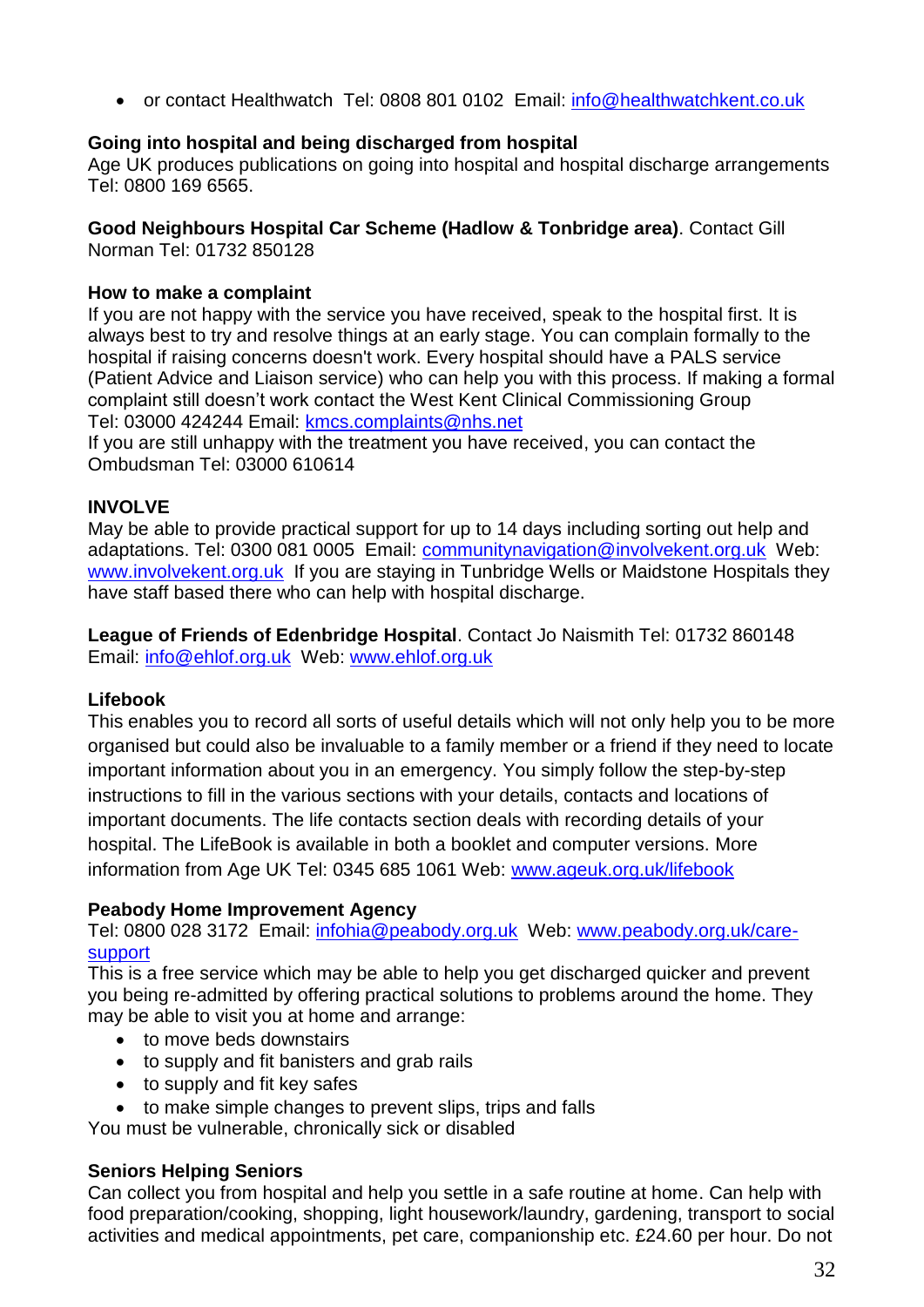or contact Healthwatch Tel: 0808 801 0102 Email: [info@healthwatchkent.co.uk](mailto:info@healthwatchkent.co.uk)

## **Going into hospital and being discharged from hospital**

Age UK produces publications on going into hospital and hospital discharge arrangements Tel: 0800 169 6565.

## **Good Neighbours Hospital Car Scheme (Hadlow & Tonbridge area)**. Contact Gill

Norman Tel: 01732 850128

## **How to make a complaint**

If you are not happy with the service you have received, speak to the hospital first. It is always best to try and resolve things at an early stage. You can complain formally to the hospital if raising concerns doesn't work. Every hospital should have a PALS service (Patient Advice and Liaison service) who can help you with this process. If making a formal complaint still doesn't work contact the West Kent Clinical Commissioning Group Tel: 03000 424244 Email: kmcs.complaints@nhs.net

If you are still unhappy with the treatment you have received, you can contact the Ombudsman Tel: 03000 610614

## **INVOLVE**

May be able to provide practical support for up to 14 days including sorting out help and adaptations. Tel: 0300 081 0005 Email: [communitynavigation@involvekent.org.uk](mailto:communitynavigation@involvekent.org.uk) Web: [www.involvekent.org.uk](http://www.involvekent.org.uk/) If you are staying in Tunbridge Wells or Maidstone Hospitals they have staff based there who can help with hospital discharge.

**League of Friends of Edenbridge Hospital**. Contact Jo Naismith Tel: 01732 860148 Email: info@ehlof.org.uk Web: www.ehlof.org.uk

## **Lifebook**

This enables you to record all sorts of useful details which will not only help you to be more organised but could also be invaluable to a family member or a friend if they need to locate important information about you in an emergency. You simply follow the step-by-step instructions to fill in the various sections with your details, contacts and locations of important documents. The life contacts section deals with recording details of your hospital. The LifeBook is available in both a booklet and computer versions. More information from Age UK Tel: 0345 685 1061 Web: www.ageuk.org.uk/lifebook

## **Peabody Home Improvement Agency**

Tel: 0800 028 3172 Email: infohia@peabody.org.uk Web: www.peabody.org.uk/caresupport

This is a free service which may be able to help you get discharged quicker and prevent you being re-admitted by offering practical solutions to problems around the home. They may be able to visit you at home and arrange:

- to move beds downstairs
- to supply and fit banisters and grab rails
- to supply and fit key safes
- to make simple changes to prevent slips, trips and falls

You must be vulnerable, chronically sick or disabled

## **Seniors Helping Seniors**

Can collect you from hospital and help you settle in a safe routine at home. Can help with food preparation/cooking, shopping, light housework/laundry, gardening, transport to social activities and medical appointments, pet care, companionship etc. £24.60 per hour. Do not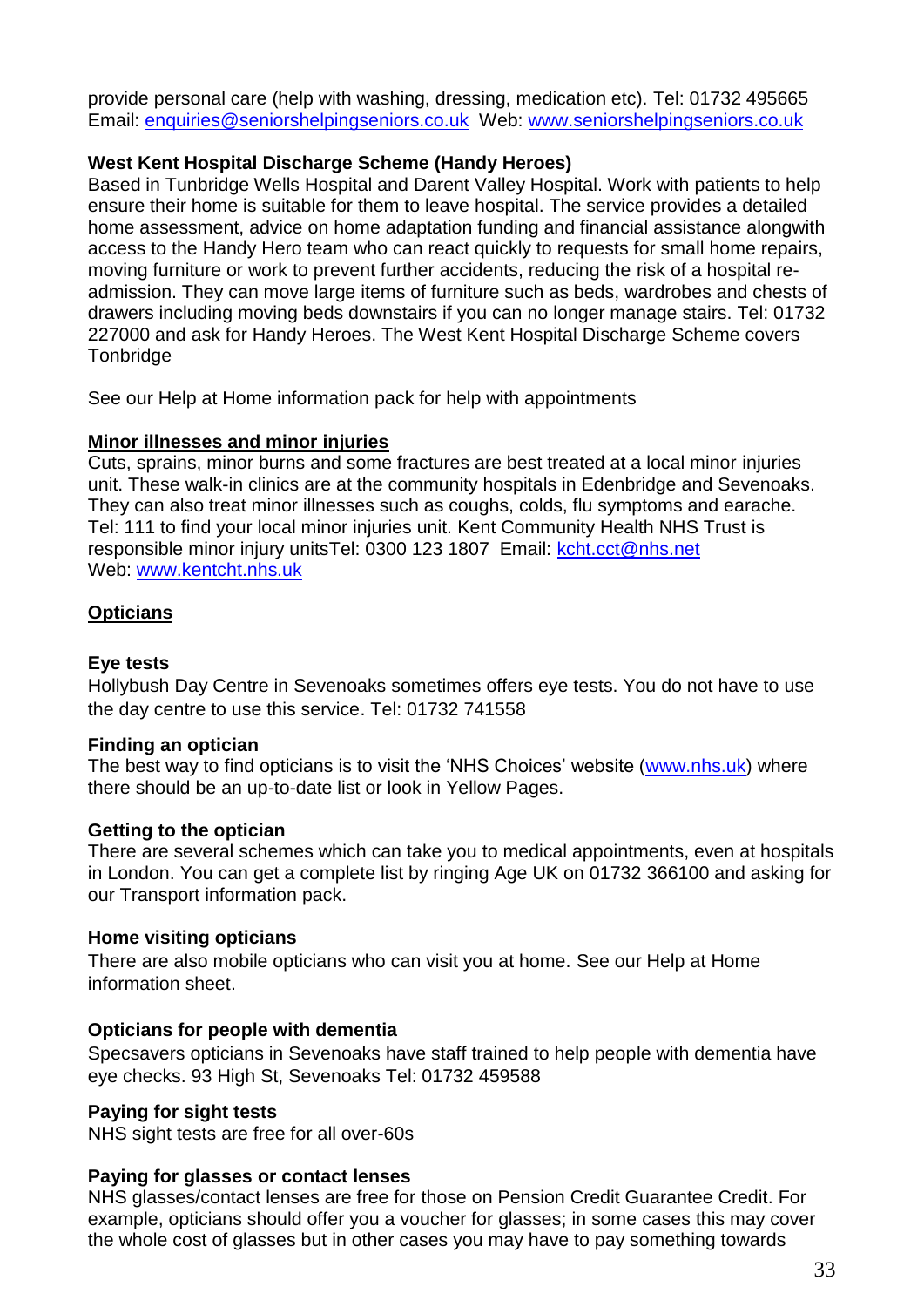provide personal care (help with washing, dressing, medication etc). Tel: 01732 495665 Email: enquiries@seniorshelpingseniors.co.uk Web: www.seniorshelpingseniors.co.uk

#### **West Kent Hospital Discharge Scheme (Handy Heroes)**

Based in Tunbridge Wells Hospital and Darent Valley Hospital. Work with patients to help ensure their home is suitable for them to leave hospital. The service provides a detailed home assessment, advice on home adaptation funding and financial assistance alongwith access to the Handy Hero team who can react quickly to requests for small home repairs, moving furniture or work to prevent further accidents, reducing the risk of a hospital readmission. They can move large items of furniture such as beds, wardrobes and chests of drawers including moving beds downstairs if you can no longer manage stairs. Tel: 01732 227000 and ask for Handy Heroes. The West Kent Hospital Discharge Scheme covers **Tonbridge** 

See our Help at Home information pack for help with appointments

#### <span id="page-32-0"></span>**Minor illnesses and minor injuries**

Cuts, sprains, minor burns and some fractures are best treated at a local minor injuries unit. These walk-in clinics are at the community hospitals in Edenbridge and Sevenoaks. They can also treat minor illnesses such as coughs, colds, flu symptoms and earache. Tel: 111 to find your local minor injuries unit. Kent Community Health NHS Trust is responsible minor injury unitsTel: 0300 123 1807 Email: [kcht.cct@nhs.net](mailto:kcht.cct@nhs.net) Web: [www.kentcht.nhs.uk](http://www.kentcht.nhs.uk/)

## <span id="page-32-1"></span>**Opticians**

#### **Eye tests**

Hollybush Day Centre in Sevenoaks sometimes offers eye tests. You do not have to use the day centre to use this service. Tel: 01732 741558

#### **Finding an optician**

The best way to find opticians is to visit the 'NHS Choices' website [\(www.nhs.uk\)](http://www.nhs.uk/) where there should be an up-to-date list or look in Yellow Pages.

#### **Getting to the optician**

There are several schemes which can take you to medical appointments, even at hospitals in London. You can get a complete list by ringing Age UK on 01732 366100 and asking for our Transport information pack.

#### **Home visiting opticians**

There are also mobile opticians who can visit you at home. See our Help at Home information sheet.

#### **Opticians for people with dementia**

Specsavers opticians in Sevenoaks have staff trained to help people with dementia have eye checks. 93 High St, Sevenoaks Tel: 01732 459588

#### **Paying for sight tests**

NHS sight tests are free for all over-60s

## **Paying for glasses or contact lenses**

NHS glasses/contact lenses are free for those on Pension Credit Guarantee Credit. For example, opticians should offer you a voucher for glasses; in some cases this may cover the whole cost of glasses but in other cases you may have to pay something towards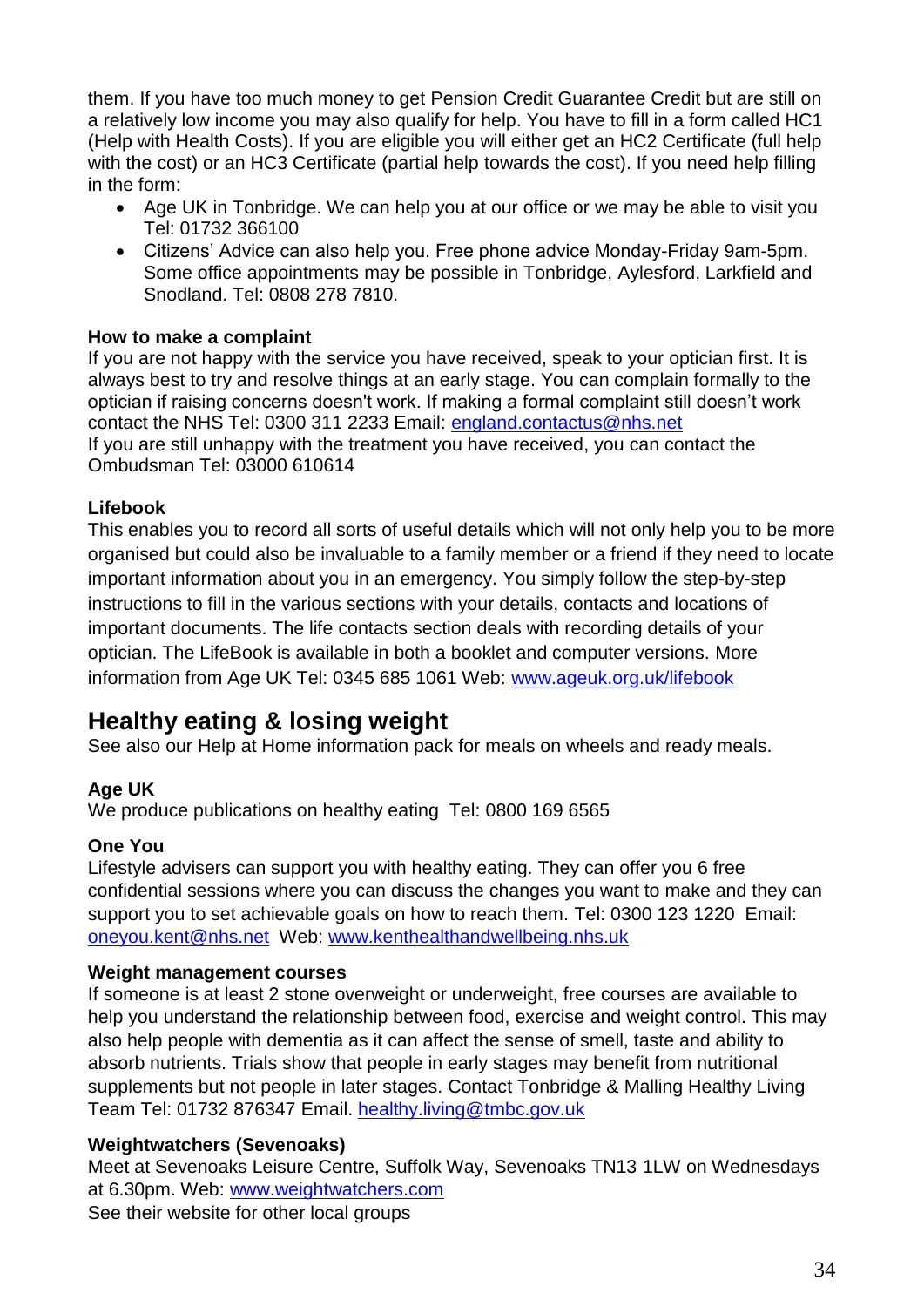them. If you have too much money to get Pension Credit Guarantee Credit but are still on a relatively low income you may also qualify for help. You have to fill in a form called HC1 (Help with Health Costs). If you are eligible you will either get an HC2 Certificate (full help with the cost) or an HC3 Certificate (partial help towards the cost). If you need help filling in the form:

- Age UK in Tonbridge. We can help you at our office or we may be able to visit you Tel: 01732 366100
- Citizens' Advice can also help you. Free phone advice Monday-Friday 9am-5pm. Some office appointments may be possible in Tonbridge, Aylesford, Larkfield and Snodland. Tel: 0808 278 7810.

## **How to make a complaint**

If you are not happy with the service you have received, speak to your optician first. It is always best to try and resolve things at an early stage. You can complain formally to the optician if raising concerns doesn't work. If making a formal complaint still doesn't work contact the NHS Tel: 0300 311 2233 Email: england.contactus@nhs.net If you are still unhappy with the treatment you have received, you can contact the Ombudsman Tel: 03000 610614

## **Lifebook**

This enables you to record all sorts of useful details which will not only help you to be more organised but could also be invaluable to a family member or a friend if they need to locate important information about you in an emergency. You simply follow the step-by-step instructions to fill in the various sections with your details, contacts and locations of important documents. The life contacts section deals with recording details of your optician. The LifeBook is available in both a booklet and computer versions. More information from Age UK Tel: 0345 685 1061 Web: www.ageuk.org.uk/lifebook

# <span id="page-33-0"></span>**Healthy eating & losing weight**

See also our Help at Home information pack for meals on wheels and ready meals.

## **Age UK**

We produce publications on healthy eating Tel: 0800 169 6565

## **One You**

Lifestyle advisers can support you with healthy eating. They can offer you 6 free confidential sessions where you can discuss the changes you want to make and they can support you to set achievable goals on how to reach them. Tel: 0300 123 1220 Email: [oneyou.kent@nhs.net](mailto:oneyou.kent@nhs.net) Web: [www.kenthealthandwellbeing.nhs.uk](http://www.kenthealthandwellbeing.nhs.uk/)

## **Weight management courses**

If someone is at least 2 stone overweight or underweight, free courses are available to help you understand the relationship between food, exercise and weight control. This may also help people with dementia as it can affect the sense of smell, taste and ability to absorb nutrients. Trials show that people in early stages may benefit from nutritional supplements but not people in later stages. Contact Tonbridge & Malling Healthy Living Team Tel: 01732 876347 Email. [healthy.living@tmbc.gov.uk](mailto:healthy.living@tmbc.gov.uk)

## **Weightwatchers (Sevenoaks)**

Meet at Sevenoaks Leisure Centre, Suffolk Way, Sevenoaks TN13 1LW on Wednesdays at 6.30pm. Web: [www.weightwatchers.com](http://www.weightwatchers.com/) See their website for other local groups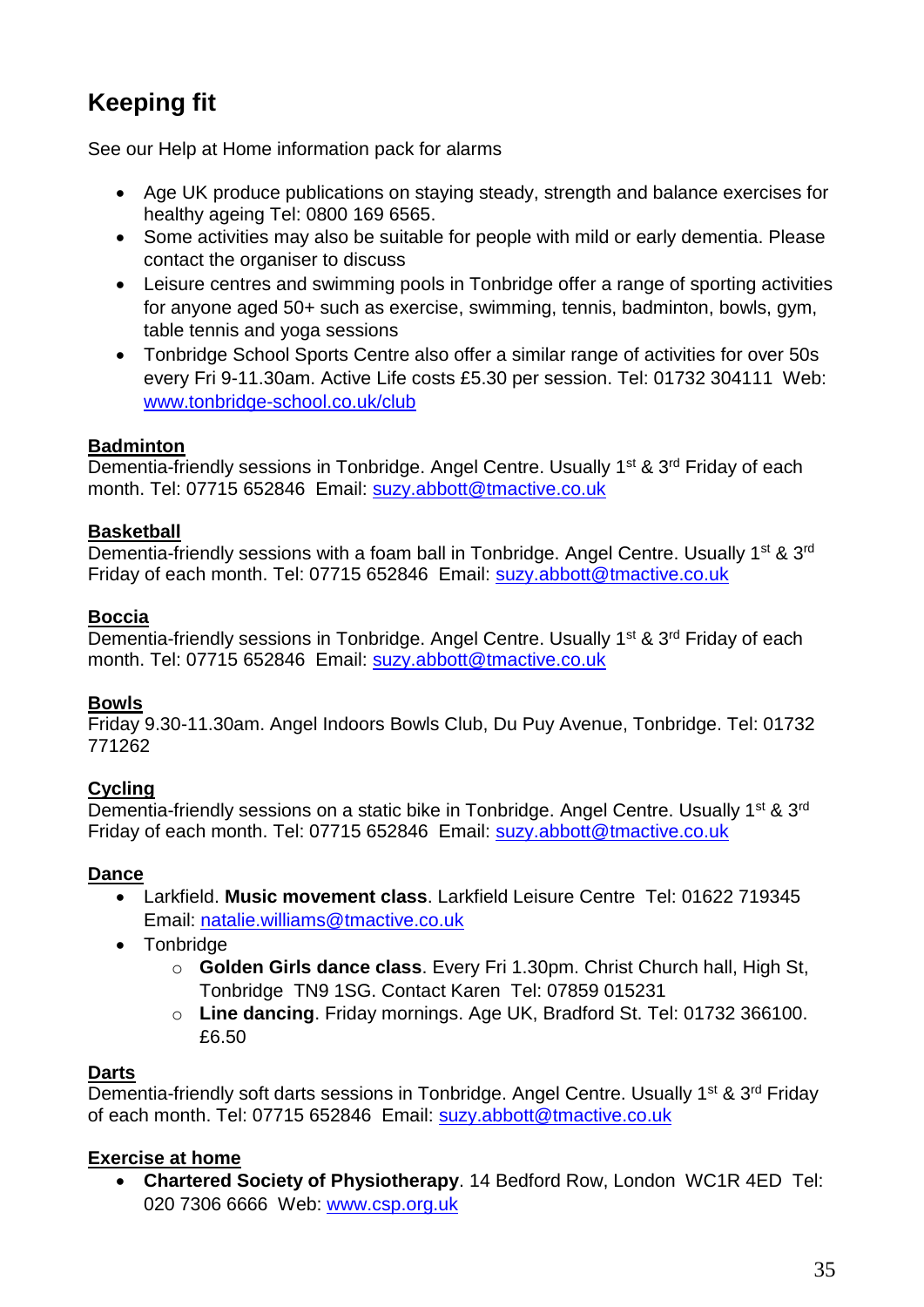# <span id="page-34-0"></span>**Keeping fit**

See our Help at Home information pack for alarms

- Age UK produce publications on staying steady, strength and balance exercises for healthy ageing Tel: 0800 169 6565.
- Some activities may also be suitable for people with mild or early dementia. Please contact the organiser to discuss
- Leisure centres and swimming pools in Tonbridge offer a range of sporting activities for anyone aged 50+ such as exercise, swimming, tennis, badminton, bowls, gym, table tennis and yoga sessions
- Tonbridge School Sports Centre also offer a similar range of activities for over 50s every Fri 9-11.30am. Active Life costs £5.30 per session. Tel: 01732 304111 Web: www.tonbridge-school.co.uk/club

## <span id="page-34-1"></span>**Badminton**

Dementia-friendly sessions in Tonbridge. Angel Centre. Usually 1<sup>st</sup> & 3<sup>rd</sup> Friday of each month. Tel: 07715 652846 Email: suzy.abbott@tmactive.co.uk

## <span id="page-34-2"></span>**Basketball**

Dementia-friendly sessions with a foam ball in Tonbridge. Angel Centre. Usually 1<sup>st</sup> & 3<sup>rd</sup> Friday of each month. Tel: 07715 652846 Email: suzy.abbott@tmactive.co.uk

## <span id="page-34-3"></span>**Boccia**

Dementia-friendly sessions in Tonbridge. Angel Centre. Usually 1<sup>st</sup> & 3<sup>rd</sup> Friday of each month. Tel: 07715 652846 Email: suzy.abbott@tmactive.co.uk

## <span id="page-34-4"></span>**Bowls**

Friday 9.30-11.30am. Angel Indoors Bowls Club, Du Puy Avenue, Tonbridge. Tel: 01732 771262

## <span id="page-34-5"></span>**Cycling**

Dementia-friendly sessions on a static bike in Tonbridge. Angel Centre. Usually 1<sup>st</sup> & 3<sup>rd</sup> Friday of each month. Tel: 07715 652846 Email: suzy.abbott@tmactive.co.uk

## <span id="page-34-6"></span>**Dance**

- Larkfield. **Music movement class**. Larkfield Leisure Centre Tel: 01622 719345 Email: [natalie.williams@tmactive.co.uk](mailto:natalie.williams@tmactive.co.uk)
- Tonbridge
	- o **Golden Girls dance class**. Every Fri 1.30pm. Christ Church hall, High St, Tonbridge TN9 1SG. Contact Karen Tel: 07859 015231
	- o **Line dancing**. Friday mornings. Age UK, Bradford St. Tel: 01732 366100. £6.50

## <span id="page-34-7"></span>**Darts**

Dementia-friendly soft darts sessions in Tonbridge. Angel Centre. Usually 1<sup>st</sup> & 3<sup>rd</sup> Friday of each month. Tel: 07715 652846 Email: suzy.abbott@tmactive.co.uk

## <span id="page-34-8"></span>**Exercise at home**

 **Chartered Society of Physiotherapy**. 14 Bedford Row, London WC1R 4ED Tel: 020 7306 6666 Web: www.csp.org.uk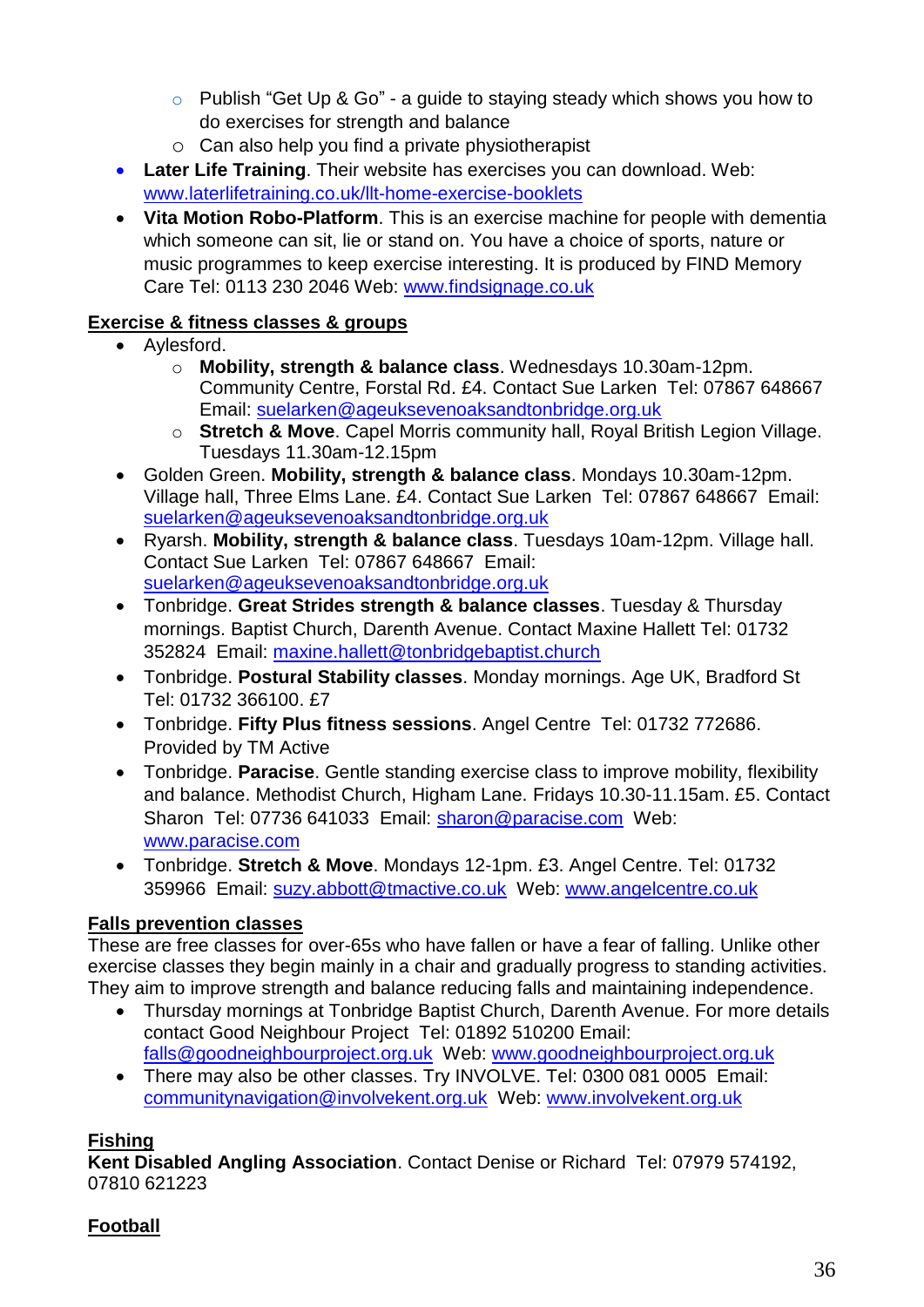- o Publish "Get Up & Go" a guide to staying steady which shows you how to do exercises for strength and balance
- o Can also help you find a private physiotherapist
- **Later Life Training**. Their website has exercises you can download. Web: [www.laterlifetraining.co.uk/llt-home-exercise-booklets](http://www.laterlifetraining.co.uk/llt-home-exercise-booklets)
- **Vita Motion Robo-Platform**. This is an exercise machine for people with dementia which someone can sit, lie or stand on. You have a choice of sports, nature or music programmes to keep exercise interesting. It is produced by FIND Memory Care Tel: 0113 230 2046 Web: www.findsignage.co.uk

## <span id="page-35-0"></span>**Exercise & fitness classes & groups**

- Aylesford.
	- o **Mobility, strength & balance class**. Wednesdays 10.30am-12pm. Community Centre, Forstal Rd. £4. Contact Sue Larken Tel: 07867 648667 Email: [suelarken@ageuksevenoaksandtonbridge.org.uk](mailto:suelarken@ageuksevenoaksandtonbridge.org.uk)
	- o **Stretch & Move**. Capel Morris community hall, Royal British Legion Village. Tuesdays 11.30am-12.15pm
- Golden Green. **Mobility, strength & balance class**. Mondays 10.30am-12pm. Village hall, Three Elms Lane. £4. Contact Sue Larken Tel: 07867 648667 Email: [suelarken@ageuksevenoaksandtonbridge.org.uk](mailto:suelarken@ageuksevenoaksandtonbridge.org.uk)
- Ryarsh. **Mobility, strength & balance class**. Tuesdays 10am-12pm. Village hall. Contact Sue Larken Tel: 07867 648667 Email: [suelarken@ageuksevenoaksandtonbridge.org.uk](mailto:suelarken@ageuksevenoaksandtonbridge.org.uk)
- Tonbridge. **Great Strides strength & balance classes**. Tuesday & Thursday mornings. Baptist Church, Darenth Avenue. Contact Maxine Hallett Tel: 01732 352824 Email: [maxine.hallett@tonbridgebaptist.church](mailto:maxine.hallett@tonbridgebaptist.church)
- Tonbridge. **Postural Stability classes**. Monday mornings. Age UK, Bradford St Tel: 01732 366100. £7
- Tonbridge. **Fifty Plus fitness sessions**. Angel Centre Tel: 01732 772686. Provided by TM Active
- Tonbridge. **Paracise**. Gentle standing exercise class to improve mobility, flexibility and balance. Methodist Church, Higham Lane. Fridays 10.30-11.15am. £5. Contact Sharon Tel: 07736 641033 Email: sharon@paracise.com Web: [www.paracise.com](http://www.paracise.com/)
- Tonbridge. **Stretch & Move**. Mondays 12-1pm. £3. Angel Centre. Tel: 01732 359966 Email: [suzy.abbott@tmactive.co.uk](mailto:suzy.abbott@tmactive.co.uk) Web: [www.angelcentre.co.uk](http://www.angelcentre.co.uk/)

## <span id="page-35-1"></span>**Falls prevention classes**

These are free classes for over-65s who have fallen or have a fear of falling. Unlike other exercise classes they begin mainly in a chair and gradually progress to standing activities. They aim to improve strength and balance reducing falls and maintaining independence.

- Thursday mornings at Tonbridge Baptist Church, Darenth Avenue. For more details contact Good Neighbour Project Tel: 01892 510200 Email: [falls@goodneighbourproject.org.uk](mailto:falls@goodneighbourproject.org.uk) Web: [www.goodneighbourproject.org.uk](http://www.goodneighbourproject.org.uk/)
- There may also be other classes. Try INVOLVE. Tel: 0300 081 0005 Email: [communitynavigation@involvekent.org.uk](mailto:communitynavigation@involvekent.org.uk) Web: [www.involvekent.org.uk](http://www.involvekent.org.uk/)

## <span id="page-35-2"></span>**Fishing**

**Kent Disabled Angling Association**. Contact Denise or Richard Tel: 07979 574192, 07810 621223

## <span id="page-35-3"></span>**Football**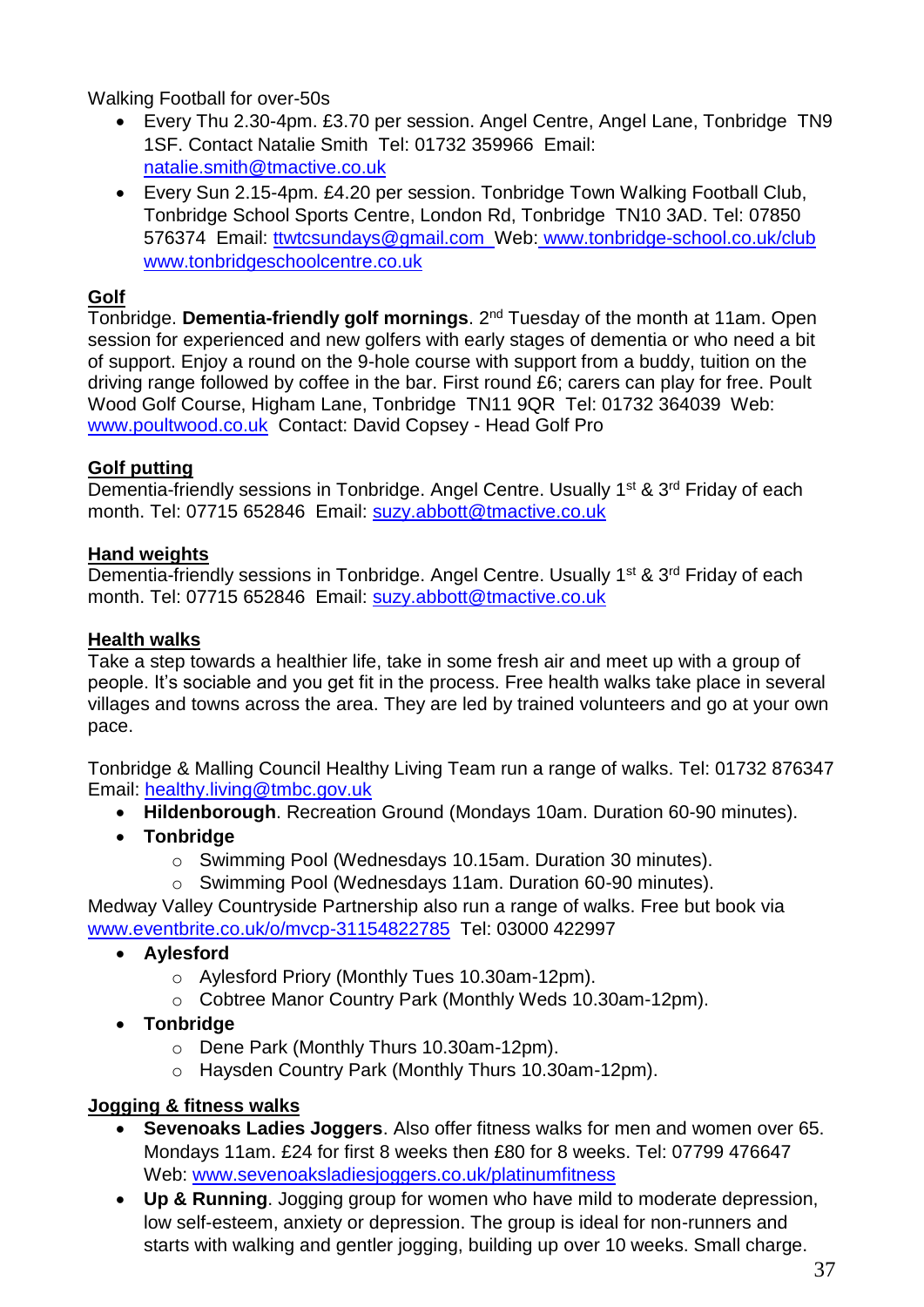Walking Football for over-50s

- Every Thu 2.30-4pm. £3.70 per session. Angel Centre, Angel Lane, Tonbridge TN9 1SF. Contact Natalie Smith Tel: 01732 359966 Email: natalie.smith@tmactive.co.uk
- Every Sun 2.15-4pm. £4.20 per session. Tonbridge Town Walking Football Club, Tonbridge School Sports Centre, London Rd, Tonbridge TN10 3AD. Tel: 07850 576374 Email: ttwtcsundays@gmail.com Web: www.tonbridge-school.co.uk/club www.tonbridgeschoolcentre.co.uk

## <span id="page-36-0"></span>**Golf**

Tonbridge. **Dementia-friendly golf mornings**. 2nd Tuesday of the month at 11am. Open session for experienced and new golfers with early stages of dementia or who need a bit of support. Enjoy a round on the 9-hole course with support from a buddy, tuition on the driving range followed by coffee in the bar. First round £6; carers can play for free. Poult Wood Golf Course, Higham Lane, Tonbridge TN11 9QR Tel: 01732 364039 Web: [www.poultwood.co.uk](http://www.poultwood.co.uk/) Contact: David Copsey - Head Golf Pro

## <span id="page-36-1"></span>**Golf putting**

Dementia-friendly sessions in Tonbridge. Angel Centre. Usually 1<sup>st</sup> & 3<sup>rd</sup> Friday of each month. Tel: 07715 652846 Email: suzy.abbott@tmactive.co.uk

## <span id="page-36-2"></span>**Hand weights**

Dementia-friendly sessions in Tonbridge. Angel Centre. Usually 1<sup>st</sup> & 3<sup>rd</sup> Friday of each month. Tel: 07715 652846 Email: suzy.abbott@tmactive.co.uk

## <span id="page-36-3"></span>**Health walks**

Take a step towards a healthier life, take in some fresh air and meet up with a group of people. It's sociable and you get fit in the process. Free health walks take place in several villages and towns across the area. They are led by trained volunteers and go at your own pace.

Tonbridge & Malling Council Healthy Living Team run a range of walks. Tel: 01732 876347 Email: healthy.living@tmbc.gov.uk

- **Hildenborough**. Recreation Ground (Mondays 10am. Duration 60-90 minutes).
- **Tonbridge**
	- o Swimming Pool (Wednesdays 10.15am. Duration 30 minutes).
	- o Swimming Pool (Wednesdays 11am. Duration 60-90 minutes).

Medway Valley Countryside Partnership also run a range of walks. Free but book via [www.eventbrite.co.uk/o/mvcp-31154822785](http://www.eventbrite.co.uk/o/mvcp-31154822785) Tel: 03000 422997

- **Aylesford**
	- o Aylesford Priory (Monthly Tues 10.30am-12pm).
	- o Cobtree Manor Country Park (Monthly Weds 10.30am-12pm).
- **Tonbridge**
	- o Dene Park (Monthly Thurs 10.30am-12pm).
	- o Haysden Country Park (Monthly Thurs 10.30am-12pm).

## <span id="page-36-4"></span>**Jogging & fitness walks**

- **Sevenoaks Ladies Joggers**. Also offer fitness walks for men and women over 65. Mondays 11am. £24 for first 8 weeks then £80 for 8 weeks. Tel: 07799 476647 Web: www.sevenoaksladiesjoggers.co.uk/platinumfitness
- **Up & Running**. Jogging group for women who have mild to moderate depression, low self-esteem, anxiety or depression. The group is ideal for non-runners and starts with walking and gentler jogging, building up over 10 weeks. Small charge.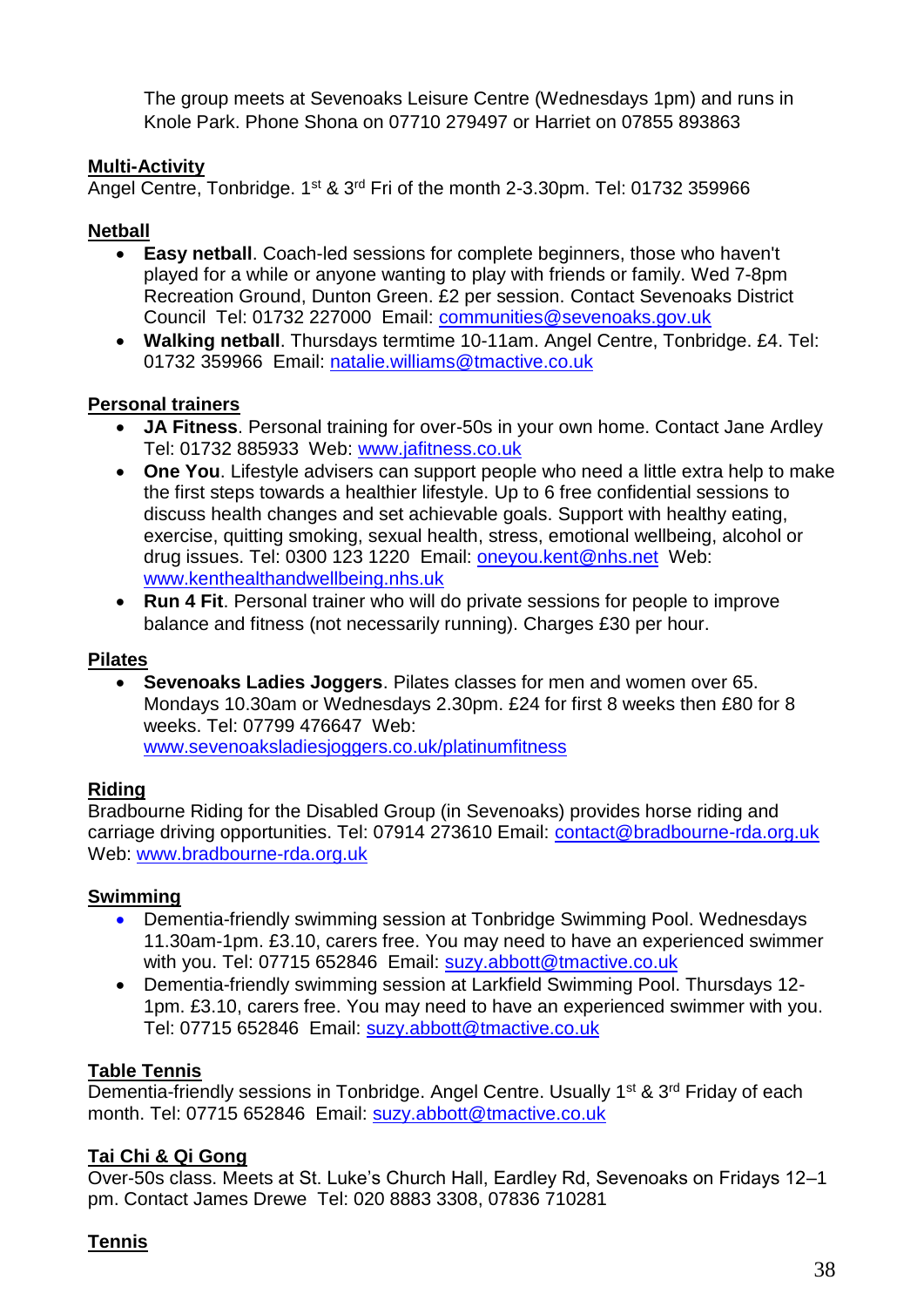The group meets at Sevenoaks Leisure Centre (Wednesdays 1pm) and runs in Knole Park. Phone Shona on 07710 279497 or Harriet on 07855 893863

## <span id="page-37-0"></span>**Multi-Activity**

Angel Centre, Tonbridge. 1<sup>st</sup> & 3<sup>rd</sup> Fri of the month 2-3.30pm. Tel: 01732 359966

## <span id="page-37-1"></span>**Netball**

- **Easy netball**. Coach-led sessions for complete beginners, those who haven't played for a while or anyone wanting to play with friends or family. Wed 7-8pm Recreation Ground, Dunton Green. £2 per session. Contact Sevenoaks District Council Tel: 01732 227000 Email: communities@sevenoaks.gov.uk
- **Walking netball**. Thursdays termtime 10-11am. Angel Centre, Tonbridge. £4. Tel: 01732 359966 Email: [natalie.williams@tmactive.co.uk](mailto:natalie.williams@tmactive.co.uk)

## <span id="page-37-2"></span>**Personal trainers**

- **JA Fitness**. Personal training for over-50s in your own home. Contact Jane Ardley Tel: 01732 885933 Web: [www.jafitness.co.uk](http://www.jafitness.co.uk/)
- **One You**. Lifestyle advisers can support people who need a little extra help to make the first steps towards a healthier lifestyle. Up to 6 free confidential sessions to discuss health changes and set achievable goals. Support with healthy eating, exercise, quitting smoking, sexual health, stress, emotional wellbeing, alcohol or drug issues. Tel: 0300 123 1220 Email: [oneyou.kent@nhs.net](mailto:oneyou.kent@nhs.net) Web: [www.kenthealthandwellbeing.nhs.uk](http://www.kenthealthandwellbeing.nhs.uk/)
- **Run 4 Fit**. Personal trainer who will do private sessions for people to improve balance and fitness (not necessarily running). Charges £30 per hour.

## <span id="page-37-3"></span>**Pilates**

 **Sevenoaks Ladies Joggers**. Pilates classes for men and women over 65. Mondays 10.30am or Wednesdays 2.30pm. £24 for first 8 weeks then £80 for 8 weeks. Tel: 07799 476647 Web: www.sevenoaksladiesjoggers.co.uk/platinumfitness

## <span id="page-37-4"></span>**Riding**

Bradbourne Riding for the Disabled Group (in Sevenoaks) provides horse riding and carriage driving opportunities. Tel: 07914 273610 Email: [contact@bradbourne-rda.org.uk](mailto:contact@bradbourne-rda.org.uk) Web: [www.bradbourne-rda.org.uk](http://www.bradbourne-rda.org.uk/)

## <span id="page-37-5"></span>**Swimming**

- Dementia-friendly swimming session at Tonbridge Swimming Pool. Wednesdays 11.30am-1pm. £3.10, carers free. You may need to have an experienced swimmer with you. Tel: 07715 652846 Email: suzy.abbott@tmactive.co.uk
- Dementia-friendly swimming session at Larkfield Swimming Pool. Thursdays 12- 1pm. £3.10, carers free. You may need to have an experienced swimmer with you. Tel: 07715 652846 Email: suzy.abbott@tmactive.co.uk

## <span id="page-37-6"></span>**Table Tennis**

Dementia-friendly sessions in Tonbridge. Angel Centre. Usually 1<sup>st</sup> & 3<sup>rd</sup> Friday of each month. Tel: 07715 652846 Email: suzy.abbott@tmactive.co.uk

## <span id="page-37-7"></span>**Tai Chi & Qi Gong**

Over-50s class. Meets at St. Luke's Church Hall, Eardley Rd, Sevenoaks on Fridays 12–1 pm. Contact James Drewe Tel: 020 8883 3308, 07836 710281

## <span id="page-37-8"></span>**Tennis**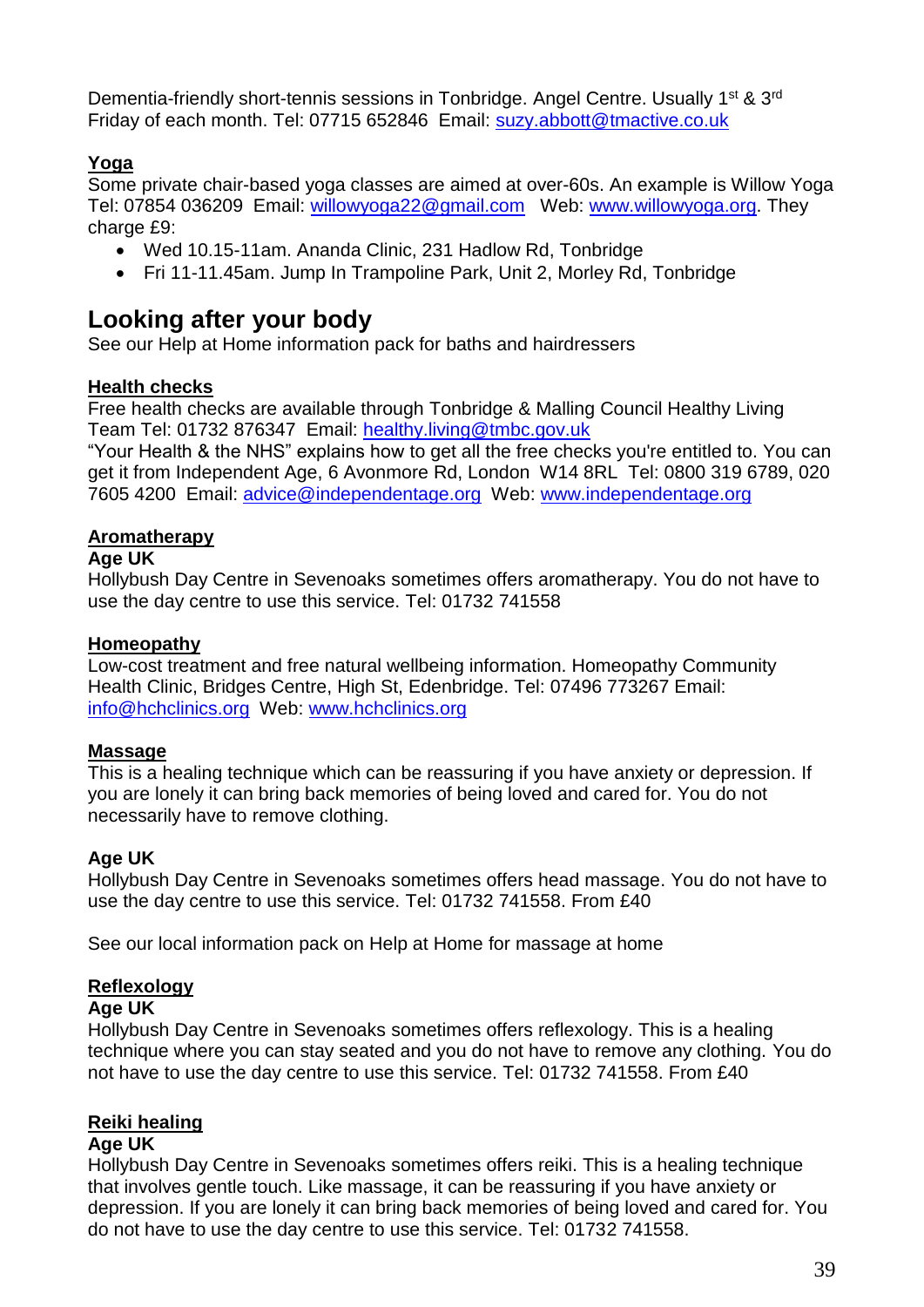Dementia-friendly short-tennis sessions in Tonbridge. Angel Centre. Usually 1<sup>st</sup> & 3<sup>rd</sup> Friday of each month. Tel: 07715 652846 Email: suzy.abbott@tmactive.co.uk

## <span id="page-38-0"></span>**Yoga**

Some private chair-based yoga classes are aimed at over-60s. An example is Willow Yoga Tel: 07854 036209 Email: willowyoga22@gmail.com Web: www.willowyoga.org. They charge £9:

- Wed 10.15-11am. Ananda Clinic, 231 Hadlow Rd, Tonbridge
- Fri 11-11.45am. Jump In Trampoline Park, Unit 2, Morley Rd, Tonbridge

# <span id="page-38-1"></span>**Looking after your body**

See our Help at Home information pack for baths and hairdressers

## <span id="page-38-2"></span>**Health checks**

Free health checks are available through Tonbridge & Malling Council Healthy Living Team Tel: 01732 876347 Email: healthy.living@tmbc.gov.uk

"Your Health & the NHS" explains how to get all the free checks you're entitled to. You can get it from Independent Age, 6 Avonmore Rd, London W14 8RL Tel: 0800 319 6789, 020 7605 4200 Email: [advice@independentage.org](mailto:advice@independentage.org) Web: [www.independentage.org](http://www.independentage.org/)

## <span id="page-38-3"></span>**Aromatherapy**

## **Age UK**

Hollybush Day Centre in Sevenoaks sometimes offers aromatherapy. You do not have to use the day centre to use this service. Tel: 01732 741558

## <span id="page-38-4"></span>**Homeopathy**

Low-cost treatment and free natural wellbeing information. Homeopathy Community Health Clinic, Bridges Centre, High St, Edenbridge. Tel: 07496 773267 Email: [info@hchclinics.org](mailto:info@hchclinics.org) Web: [www.hchclinics.org](http://www.hchclinics.org/)

## <span id="page-38-5"></span>**Massage**

This is a healing technique which can be reassuring if you have anxiety or depression. If you are lonely it can bring back memories of being loved and cared for. You do not necessarily have to remove clothing.

## **Age UK**

Hollybush Day Centre in Sevenoaks sometimes offers head massage. You do not have to use the day centre to use this service. Tel: 01732 741558. From £40

See our local information pack on Help at Home for massage at home

## <span id="page-38-6"></span>**Reflexology**

## **Age UK**

Hollybush Day Centre in Sevenoaks sometimes offers reflexology. This is a healing technique where you can stay seated and you do not have to remove any clothing. You do not have to use the day centre to use this service. Tel: 01732 741558. From £40

# <span id="page-38-7"></span>**Reiki healing**

## **Age UK**

Hollybush Day Centre in Sevenoaks sometimes offers reiki. This is a healing technique that involves gentle touch. Like massage, it can be reassuring if you have anxiety or depression. If you are lonely it can bring back memories of being loved and cared for. You do not have to use the day centre to use this service. Tel: 01732 741558.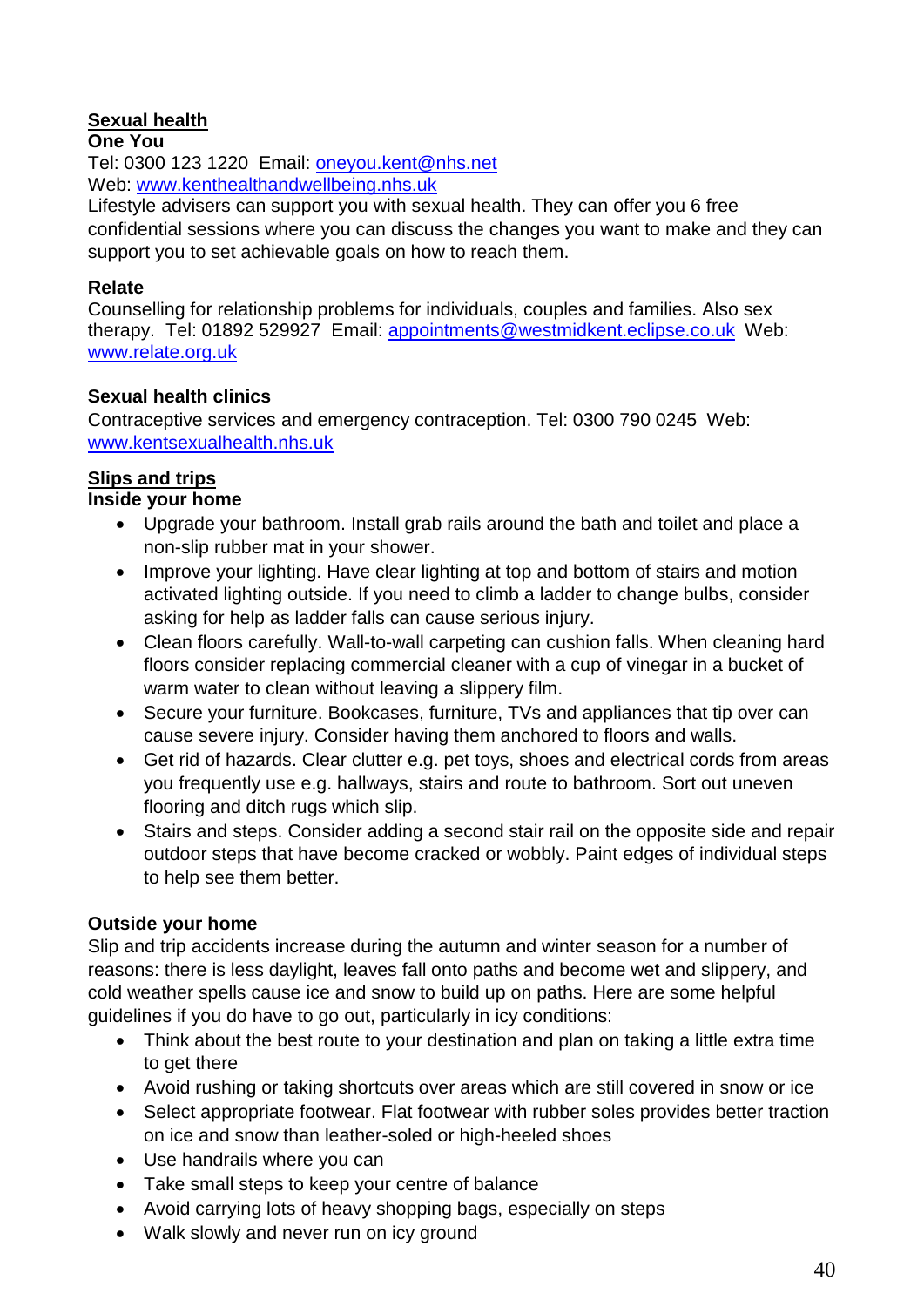## <span id="page-39-0"></span>**Sexual health**

#### **One You**

Tel: 0300 123 1220 Email: [oneyou.kent@nhs.net](mailto:oneyou.kent@nhs.net) Web: [www.kenthealthandwellbeing.nhs.uk](http://www.kenthealthandwellbeing.nhs.uk/)

Lifestyle advisers can support you with sexual health. They can offer you 6 free confidential sessions where you can discuss the changes you want to make and they can support you to set achievable goals on how to reach them.

#### **Relate**

Counselling for relationship problems for individuals, couples and families. Also sex therapy. Tel: 01892 529927 Email: appointments@westmidkent.eclipse.co.uk Web: www.relate.org.uk

## **Sexual health clinics**

Contraceptive services and emergency contraception. Tel: 0300 790 0245 Web: www.kentsexualhealth.nhs.uk

## <span id="page-39-1"></span>**Slips and trips**

## **Inside your home**

- Upgrade your bathroom. Install grab rails around the bath and toilet and place a non-slip rubber mat in your shower.
- Improve your lighting. Have clear lighting at top and bottom of stairs and motion activated lighting outside. If you need to climb a ladder to change bulbs, consider asking for help as ladder falls can cause serious injury.
- Clean floors carefully. Wall-to-wall carpeting can cushion falls. When cleaning hard floors consider replacing commercial cleaner with a cup of vinegar in a bucket of warm water to clean without leaving a slippery film.
- Secure your furniture. Bookcases, furniture, TVs and appliances that tip over can cause severe injury. Consider having them anchored to floors and walls.
- Get rid of hazards. Clear clutter e.g. pet toys, shoes and electrical cords from areas you frequently use e.g. hallways, stairs and route to bathroom. Sort out uneven flooring and ditch rugs which slip.
- Stairs and steps. Consider adding a second stair rail on the opposite side and repair outdoor steps that have become cracked or wobbly. Paint edges of individual steps to help see them better.

## **Outside your home**

Slip and trip accidents increase during the autumn and winter season for a number of reasons: there is less daylight, leaves fall onto paths and become wet and slippery, and cold weather spells cause ice and snow to build up on paths. Here are some helpful guidelines if you do have to go out, particularly in icy conditions:

- Think about the best route to your destination and plan on taking a little extra time to get there
- Avoid rushing or taking shortcuts over areas which are still covered in snow or ice
- Select appropriate footwear. Flat footwear with rubber soles provides better traction on ice and snow than leather-soled or high-heeled shoes
- Use handrails where you can
- Take small steps to keep your centre of balance
- Avoid carrying lots of heavy shopping bags, especially on steps
- Walk slowly and never run on icy ground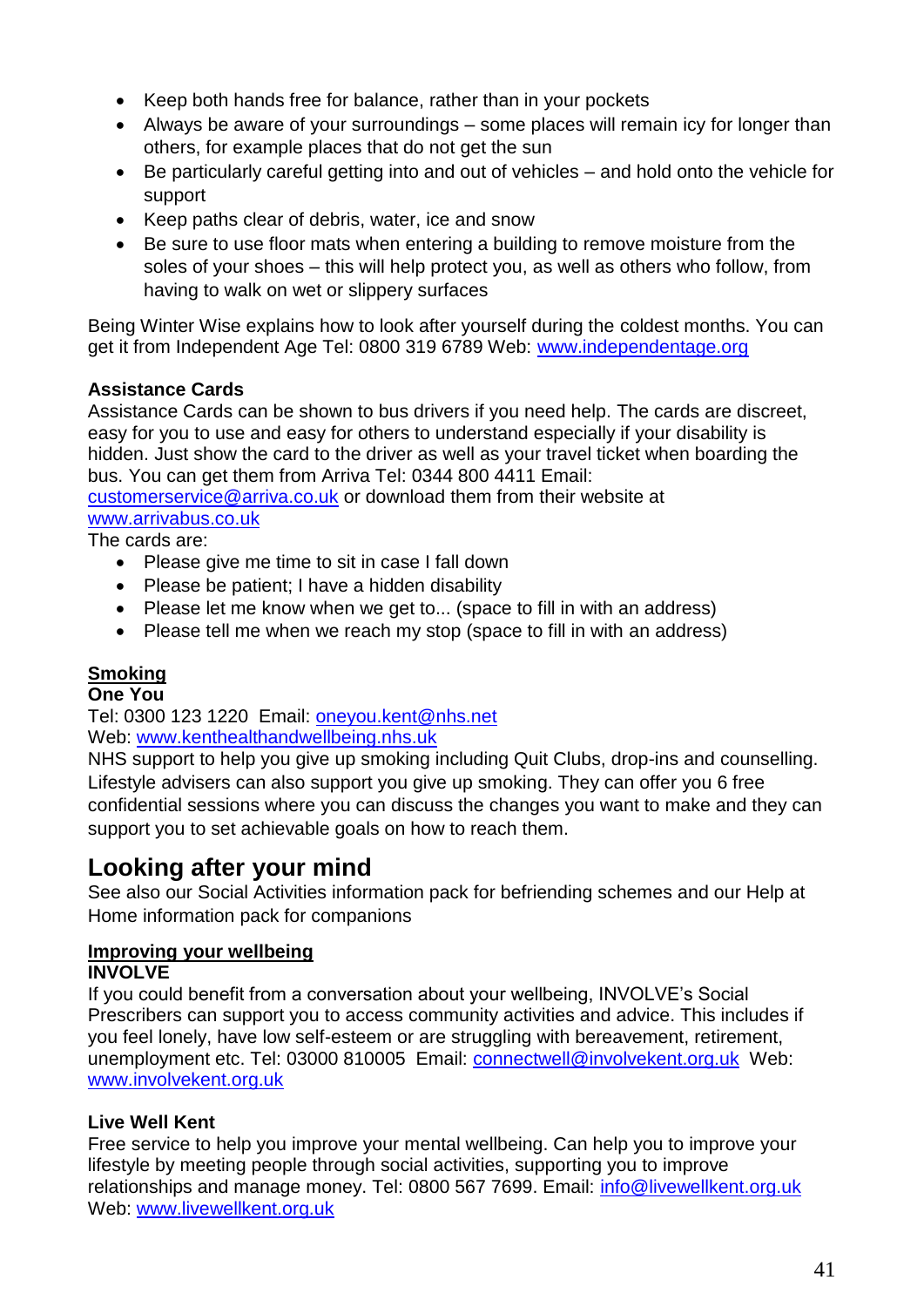- Keep both hands free for balance, rather than in your pockets
- Always be aware of your surroundings some places will remain icy for longer than others, for example places that do not get the sun
- Be particularly careful getting into and out of vehicles and hold onto the vehicle for support
- Keep paths clear of debris, water, ice and snow
- Be sure to use floor mats when entering a building to remove moisture from the soles of your shoes – this will help protect you, as well as others who follow, from having to walk on wet or slippery surfaces

Being Winter Wise explains how to look after yourself during the coldest months. You can get it from Independent Age Tel: 0800 319 6789 Web: [www.independentage.org](http://www.independentage.org/)

## **Assistance Cards**

Assistance Cards can be shown to bus drivers if you need help. The cards are discreet, easy for you to use and easy for others to understand especially if your disability is hidden. Just show the card to the driver as well as your travel ticket when boarding the bus. You can get them from Arriva Tel: 0344 800 4411 Email:

[customerservice@arriva.co.uk](mailto:customerservice@arriva.co.uk) or download them from their website at [www.arrivabus.co.uk](http://www.arrivabus.co.uk/)

The cards are:

- Please give me time to sit in case I fall down
- Please be patient; I have a hidden disability
- Please let me know when we get to... (space to fill in with an address)
- Please tell me when we reach my stop (space to fill in with an address)

## <span id="page-40-0"></span>**Smoking**

**One You**

Tel: 0300 123 1220 Email: [oneyou.kent@nhs.net](mailto:oneyou.kent@nhs.net) Web: [www.kenthealthandwellbeing.nhs.uk](http://www.kenthealthandwellbeing.nhs.uk/)

NHS support to help you give up smoking including Quit Clubs, drop-ins and counselling. Lifestyle advisers can also support you give up smoking. They can offer you 6 free confidential sessions where you can discuss the changes you want to make and they can support you to set achievable goals on how to reach them.

# <span id="page-40-1"></span>**Looking after your mind**

See also our Social Activities information pack for befriending schemes and our Help at Home information pack for companions

# <span id="page-40-2"></span>**Improving your wellbeing**

#### **INVOLVE**

If you could benefit from a conversation about your wellbeing, INVOLVE's Social Prescribers can support you to access community activities and advice. This includes if you feel lonely, have low self-esteem or are struggling with bereavement, retirement, unemployment etc. Tel: 03000 810005 Email: [connectwell@involvekent.org.uk](mailto:connectwell@involvekent.org.uk) Web: [www.involvekent.org.uk](http://www.involvekent.org.uk/) 

## **Live Well Kent**

Free service to help you improve your mental wellbeing. Can help you to improve your lifestyle by meeting people through social activities, supporting you to improve relationships and manage money. Tel: 0800 567 7699. Email: info@livewellkent.org.uk Web: www.livewellkent.org.uk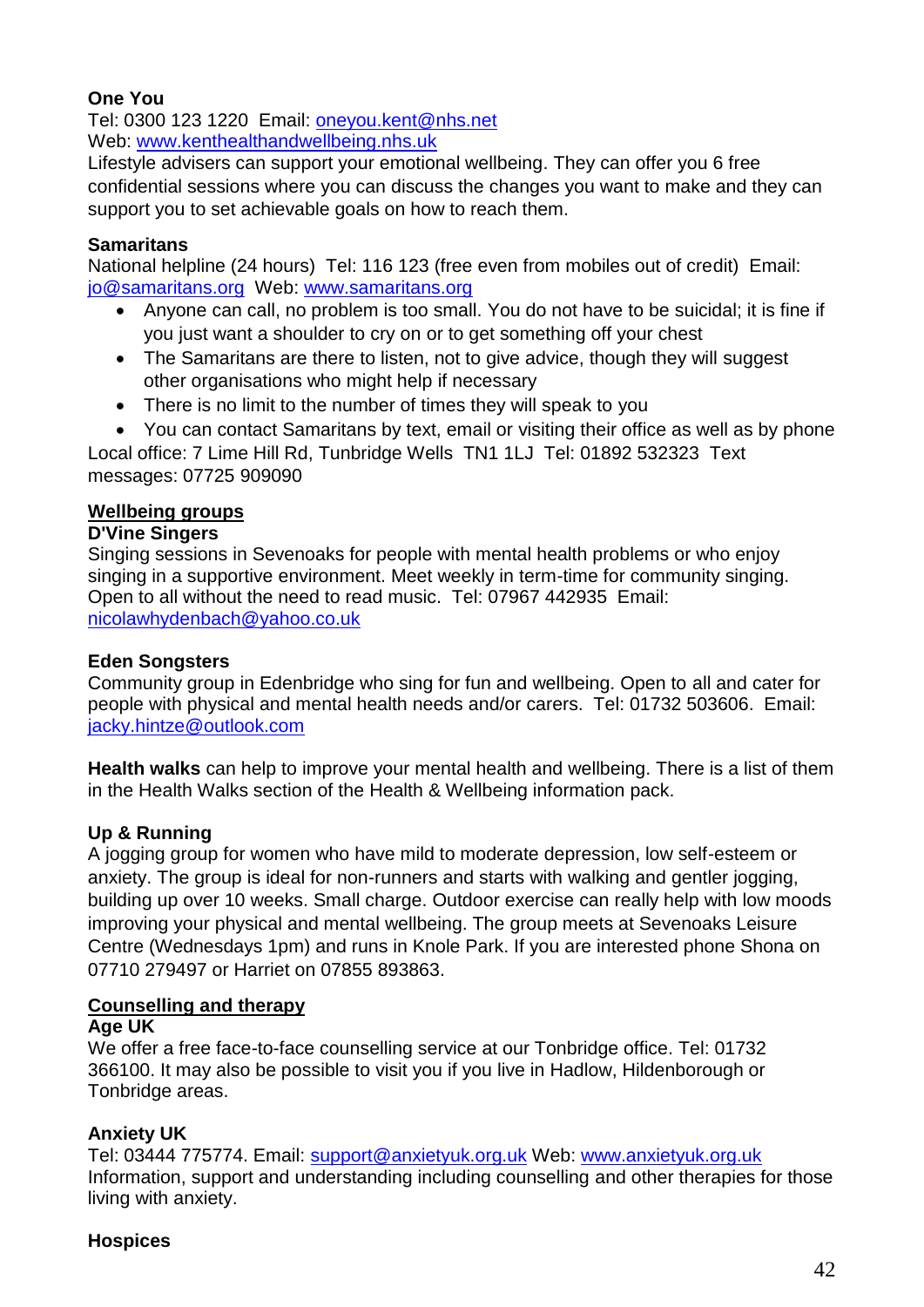## **One You**

Tel: 0300 123 1220 Email: [oneyou.kent@nhs.net](mailto:oneyou.kent@nhs.net) Web: [www.kenthealthandwellbeing.nhs.uk](http://www.kenthealthandwellbeing.nhs.uk/)

Lifestyle advisers can support your emotional wellbeing. They can offer you 6 free confidential sessions where you can discuss the changes you want to make and they can support you to set achievable goals on how to reach them.

## **Samaritans**

National helpline (24 hours) Tel: 116 123 (free even from mobiles out of credit) Email: [jo@samaritans.org](mailto:jo@samaritans.org) Web: www.samaritans.org

- Anyone can call, no problem is too small. You do not have to be suicidal; it is fine if you just want a shoulder to cry on or to get something off your chest
- The Samaritans are there to listen, not to give advice, though they will suggest other organisations who might help if necessary
- There is no limit to the number of times they will speak to you
- You can contact Samaritans by text, email or visiting their office as well as by phone

Local office: 7 Lime Hill Rd, Tunbridge Wells TN1 1LJ Tel: 01892 532323 Text messages: 07725 909090

## <span id="page-41-0"></span>**Wellbeing groups**

#### **D'Vine Singers**

Singing sessions in Sevenoaks for people with mental health problems or who enjoy singing in a supportive environment. Meet weekly in term-time for community singing. Open to all without the need to read music. Tel: 07967 442935 Email: nicolawhydenbach@yahoo.co.uk

#### **Eden Songsters**

Community group in Edenbridge who sing for fun and wellbeing. Open to all and cater for people with physical and mental health needs and/or carers. Tel: 01732 503606. Email: jacky.hintze@outlook.com

**Health walks** can help to improve your mental health and wellbeing. There is a list of them in the Health Walks section of the Health & Wellbeing information pack.

## **Up & Running**

A jogging group for women who have mild to moderate depression, low self-esteem or anxiety. The group is ideal for non-runners and starts with walking and gentler jogging, building up over 10 weeks. Small charge. Outdoor exercise can really help with low moods improving your physical and mental wellbeing. The group meets at Sevenoaks Leisure Centre (Wednesdays 1pm) and runs in Knole Park. If you are interested phone Shona on 07710 279497 or Harriet on 07855 893863.

#### <span id="page-41-1"></span>**Counselling and therapy**

#### **Age UK**

We offer a free face-to-face counselling service at our Tonbridge office. Tel: 01732 366100. It may also be possible to visit you if you live in Hadlow, Hildenborough or Tonbridge areas.

## **Anxiety UK**

Tel: 03444 775774. Email: [support@anxietyuk.org.uk](mailto:support@anxietyuk.org.uk) Web: [www.anxietyuk.org.uk](http://www.anxietyuk.org.uk/) Information, support and understanding including counselling and other therapies for those living with anxiety.

#### **Hospices**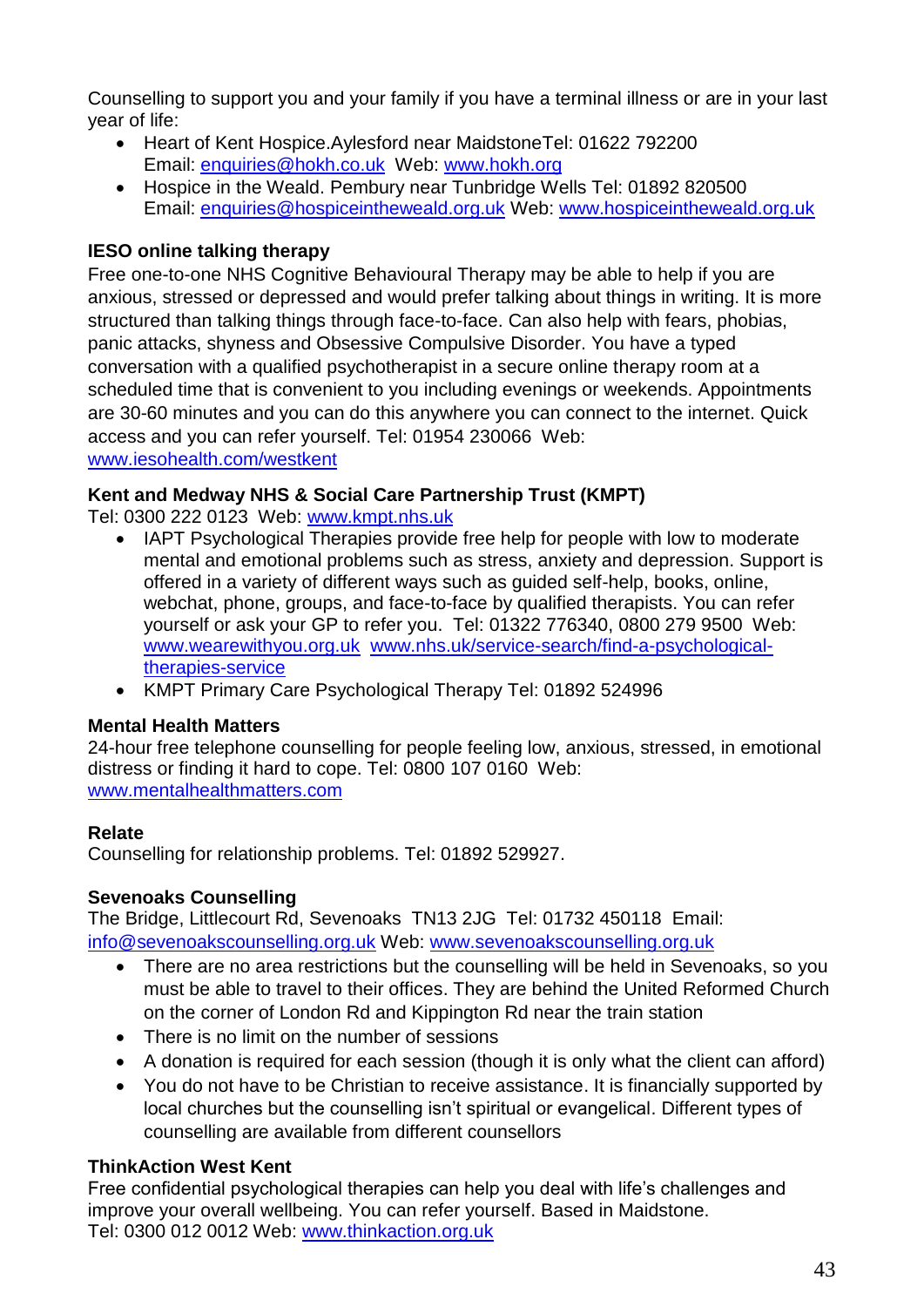Counselling to support you and your family if you have a terminal illness or are in your last year of life:

- Heart of Kent Hospice.Aylesford near MaidstoneTel: 01622 792200 Email: [enquiries@hokh.co.uk](mailto:enquiries@hokh.co.uk) Web: www.hokh.org
- Hospice in the Weald. Pembury near Tunbridge Wells Tel: 01892 820500 Email: [enquiries@hospiceintheweald.org.uk](mailto:enquiries@hospiceintheweald.org.uk) Web: [www.hospiceintheweald.org.uk](http://www.hospiceintheweald.org.uk/)

## **IESO online talking therapy**

Free one-to-one NHS Cognitive Behavioural Therapy may be able to help if you are anxious, stressed or depressed and would prefer talking about things in writing. It is more structured than talking things through face-to-face. Can also help with fears, phobias, panic attacks, shyness and Obsessive Compulsive Disorder. You have a typed conversation with a qualified psychotherapist in a secure online therapy room at a scheduled time that is convenient to you including evenings or weekends. Appointments are 30-60 minutes and you can do this anywhere you can connect to the internet. Quick access and you can refer yourself. Tel: 01954 230066 Web: [www.iesohealth.com/westkent](http://www.iesohealth.com/westkent)

## **Kent and Medway NHS & Social Care Partnership Trust (KMPT)**

Tel: 0300 222 0123 Web: www.kmpt.nhs.uk

- IAPT Psychological Therapies provide free help for people with low to moderate mental and emotional problems such as stress, anxiety and depression. Support is offered in a variety of different ways such as guided self-help, books, online, webchat, phone, groups, and face-to-face by qualified therapists. You can refer yourself or ask your GP to refer you. Tel: 01322 776340, 0800 279 9500 Web: [www.wearewithyou.org.uk](http://www.wearewithyou.org.uk/) [www.nhs.uk/service-search/find-a-psychological](http://www.nhs.uk/service-search/find-a-psychological-therapies-service)[therapies-service](http://www.nhs.uk/service-search/find-a-psychological-therapies-service)
- KMPT Primary Care Psychological Therapy Tel: 01892 524996

## **Mental Health Matters**

24-hour free telephone counselling for people feeling low, anxious, stressed, in emotional distress or finding it hard to cope. Tel: 0800 107 0160 Web: www.mentalhealthmatters.com

## **Relate**

Counselling for relationship problems. Tel: 01892 529927.

## **Sevenoaks Counselling**

The Bridge, Littlecourt Rd, Sevenoaks TN13 2JG Tel: 01732 450118 Email: [info@sevenoakscounselling.org.uk](mailto:info@sevenoakscounselling.org.uk) Web: [www.sevenoakscounselling.org.uk](http://www.sevenoakscounselling.org.uk/)

- There are no area restrictions but the counselling will be held in Sevenoaks, so you must be able to travel to their offices. They are behind the United Reformed Church on the corner of London Rd and Kippington Rd near the train station
- There is no limit on the number of sessions
- A donation is required for each session (though it is only what the client can afford)
- You do not have to be Christian to receive assistance. It is financially supported by local churches but the counselling isn't spiritual or evangelical. Different types of counselling are available from different counsellors

## **ThinkAction West Kent**

Free confidential psychological therapies can help you deal with life's challenges and improve your overall wellbeing. You can refer yourself. Based in Maidstone. Tel: 0300 012 0012 Web: [www.thinkaction.org.uk](http://www.thinkaction.org.uk/)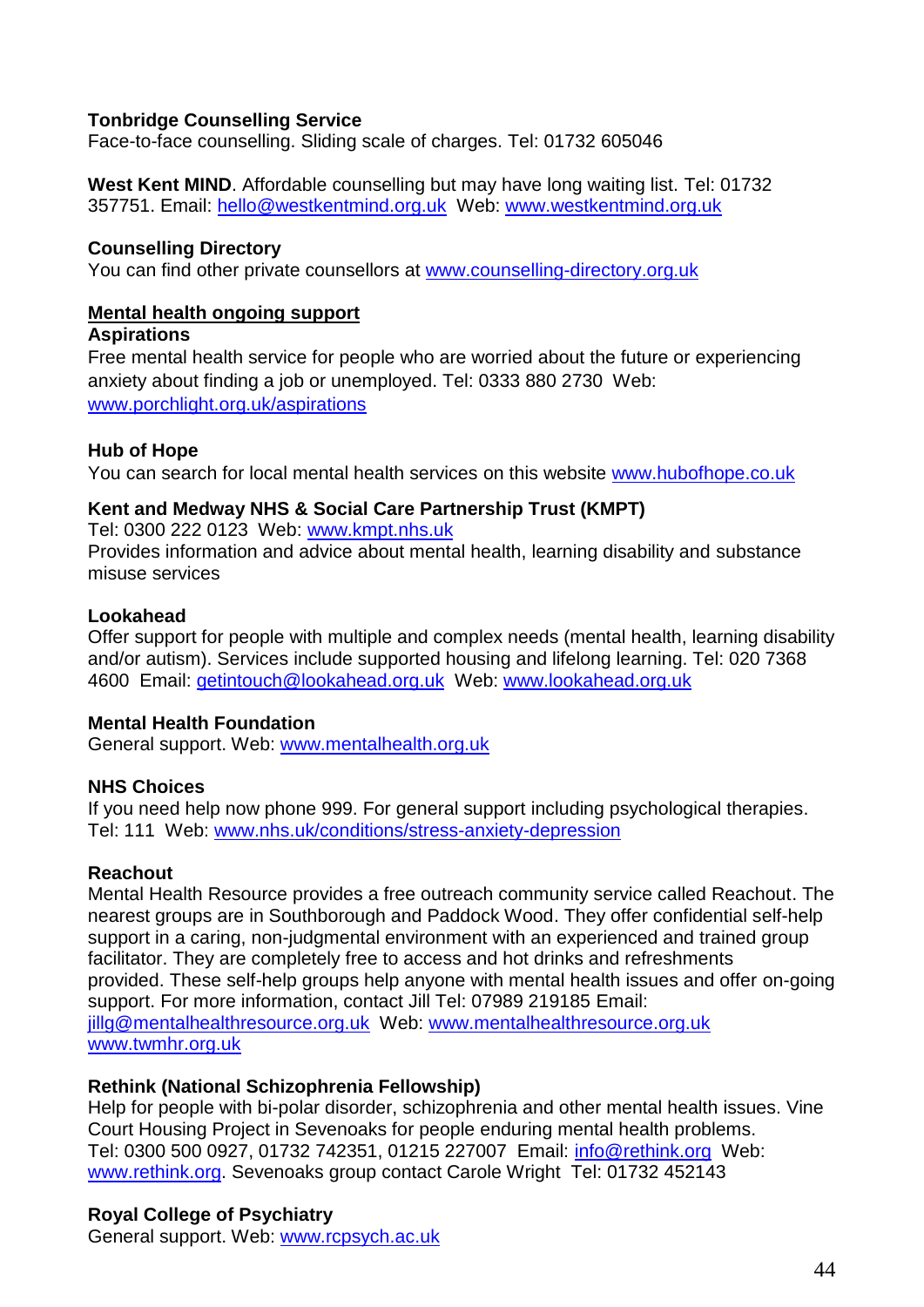#### **Tonbridge Counselling Service**

Face-to-face counselling. Sliding scale of charges. Tel: 01732 605046

**West Kent MIND**. Affordable counselling but may have long waiting list. Tel: 01732 357751. Email: [hello@westkentmind.org.uk](mailto:hello@westkentmind.org.uk) Web: www.westkentmind.org.uk

#### **Counselling Directory**

You can find other private counsellors at www.counselling-directory.org.uk

#### <span id="page-43-0"></span>**Mental health ongoing support**

#### **Aspirations**

Free mental health service for people who are worried about the future or experiencing anxiety about finding a job or unemployed. Tel: 0333 880 2730 Web: [www.porchlight.org.uk/aspirations](http://www.porchlight.org.uk/aspirations)

#### **Hub of Hope**

You can search for local mental health services on this website [www.hubofhope.co.uk](http://www.hubofhope.co.uk/)

#### **Kent and Medway NHS & Social Care Partnership Trust (KMPT)**

Tel: 0300 222 0123 Web: www.kmpt.nhs.uk

Provides information and advice about mental health, learning disability and substance misuse services

#### **Lookahead**

Offer support for people with multiple and complex needs (mental health, learning disability and/or autism). Services include supported housing and lifelong learning. Tel: 020 7368 4600 Email: getintouch@lookahead.org.uk Web: www.lookahead.org.uk

## **Mental Health Foundation**

General support. Web: www.mentalhealth.org.uk

#### **NHS Choices**

If you need help now phone 999. For general support including psychological therapies. Tel: 111 Web: [www.nhs.uk/conditions/stress-anxiety-depression](http://www.nhs.uk/conditions/stress-anxiety-depression)

#### **Reachout**

Mental Health Resource provides a free outreach community service called Reachout. The nearest groups are in Southborough and Paddock Wood. They offer confidential self-help support in a caring, non-judgmental environment with an experienced and trained group facilitator. They are completely free to access and hot drinks and refreshments provided. These self-help groups help anyone with mental health issues and offer on-going support. For more information, contact Jill Tel: 07989 219185 Email: [jillg@mentalhealthresource.org.uk](mailto:illg@mentalhealthresource.org.uk) Web: [www.mentalhealthresource.org.uk](http://www.mentalhealthresource.org.uk/) www.twmhr.org.uk

#### **Rethink (National Schizophrenia Fellowship)**

Help for people with bi-polar disorder, schizophrenia and other mental health issues. Vine Court Housing Project in Sevenoaks for people enduring mental health problems. Tel: 0300 500 0927, 01732 742351, 01215 227007 Email: info@rethink.org Web: www.rethink.org. Sevenoaks group contact Carole Wright Tel: 01732 452143

## **Royal College of Psychiatry**

General support. Web: www.rcpsych.ac.uk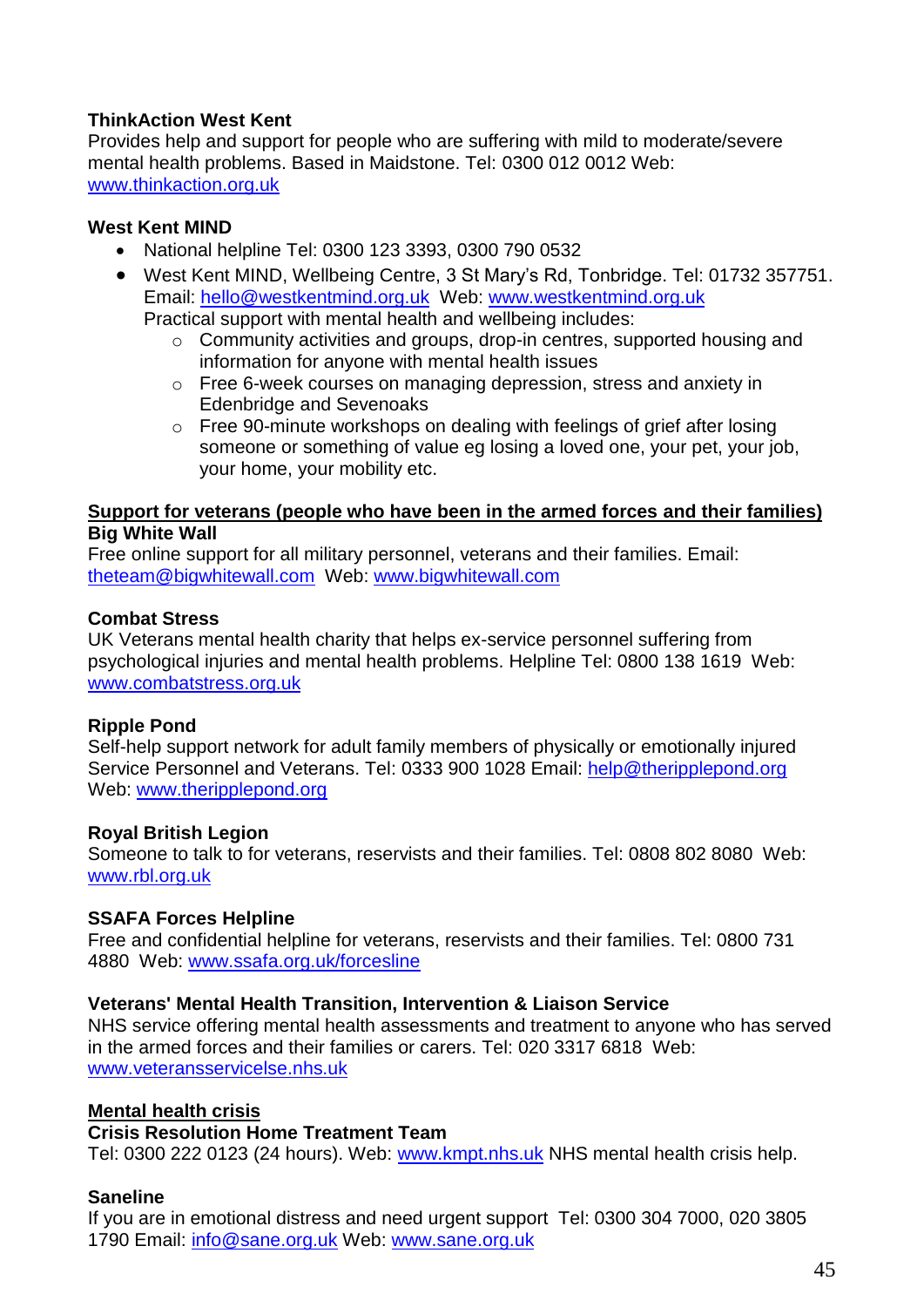## **ThinkAction West Kent**

Provides help and support for people who are suffering with mild to moderate/severe mental health problems. Based in Maidstone. Tel: 0300 012 0012 Web: [www.thinkaction.org.uk](http://www.thinkaction.org.uk/)

#### **West Kent MIND**

- National helpline Tel: 0300 123 3393, 0300 790 0532
- West Kent MIND, Wellbeing Centre, 3 St Mary's Rd, Tonbridge. Tel: 01732 357751. Email: [hello@westkentmind.org.uk](mailto:hello@westkentmind.org.uk) Web: www.westkentmind.org.uk Practical support with mental health and wellbeing includes:
	- o Community activities and groups, drop-in centres, supported housing and information for anyone with mental health issues
	- o Free 6-week courses on managing depression, stress and anxiety in Edenbridge and Sevenoaks
	- o Free 90-minute workshops on dealing with feelings of grief after losing someone or something of value eg losing a loved one, your pet, your job, your home, your mobility etc.

#### <span id="page-44-0"></span>**Support for veterans (people who have been in the armed forces and their families) Big White Wall**

Free online support for all military personnel, veterans and their families. Email: theteam@bigwhitewall.com Web: www.bigwhitewall.com

#### **Combat Stress**

UK Veterans mental health charity that helps ex-service personnel suffering from psychological injuries and mental health problems. Helpline Tel: 0800 138 1619 Web: www.combatstress.org.uk

#### **Ripple Pond**

Self-help support network for adult family members of physically or emotionally injured Service Personnel and Veterans. Tel: 0333 900 1028 Email: help@theripplepond.org Web: www.theripplepond.org

#### **Royal British Legion**

Someone to talk to for veterans, reservists and their families. Tel: 0808 802 8080 Web: www.rbl.org.uk

## **SSAFA Forces Helpline**

Free and confidential helpline for veterans, reservists and their families. Tel: 0800 731 4880 Web: www.ssafa.org.uk/forcesline

#### **Veterans' Mental Health Transition, Intervention & Liaison Service**

NHS service offering mental health assessments and treatment to anyone who has served in the armed forces and their families or carers. Tel: 020 3317 6818 Web: www.veteransservicelse.nhs.uk

#### <span id="page-44-1"></span>**Mental health crisis**

#### **Crisis Resolution Home Treatment Team**

Tel: 0300 222 0123 (24 hours). Web: [www.kmpt.nhs.uk](http://www.kmpt.nhs.uk/) NHS mental health crisis help.

#### **Saneline**

If you are in emotional distress and need urgent support Tel: 0300 304 7000, 020 3805 1790 Email: [info@sane.org.uk](mailto:info@sane.org.uk) Web: [www.sane.org.uk](http://www.sane.org.uk/)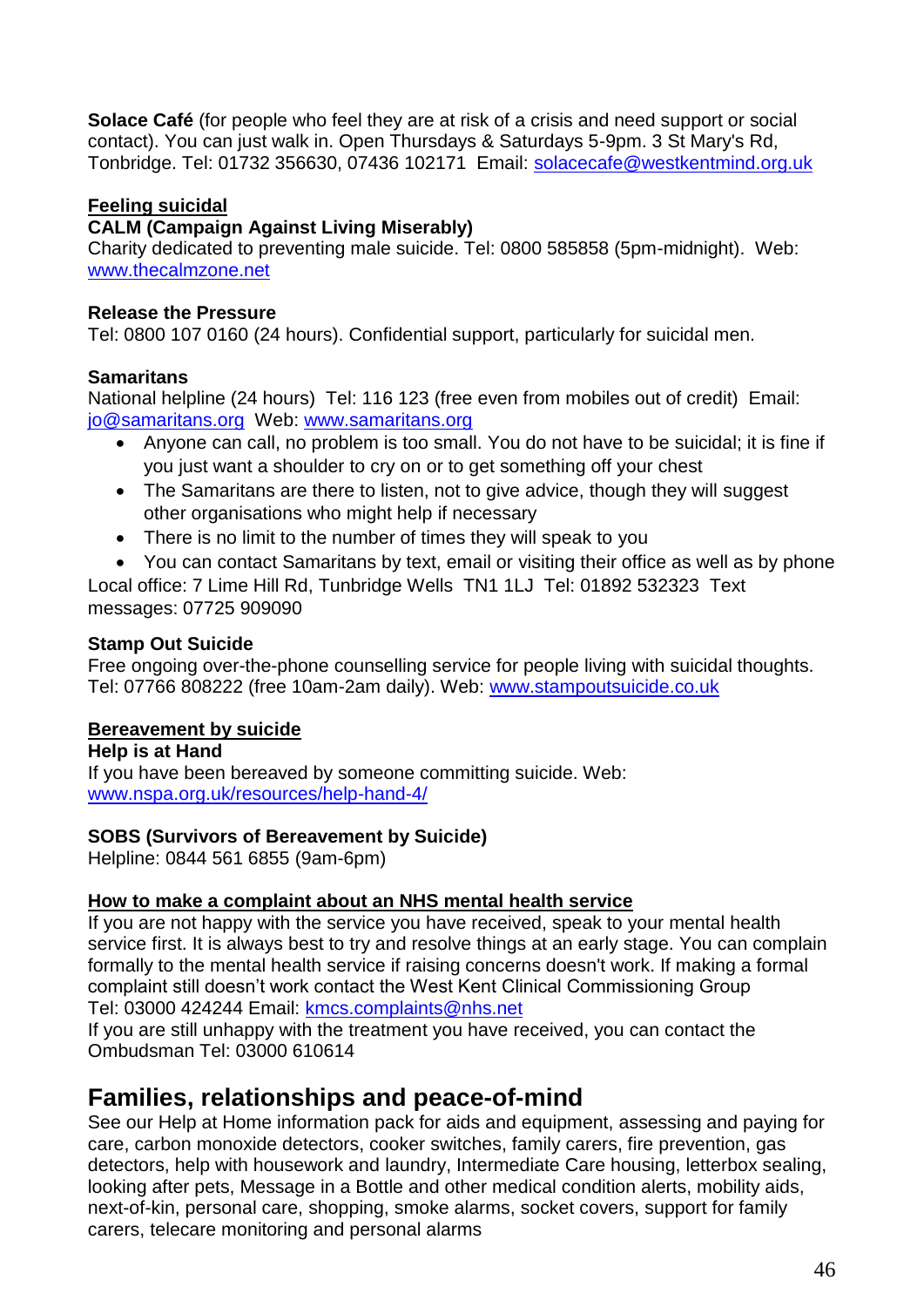**Solace Café** (for people who feel they are at risk of a crisis and need support or social contact). You can just walk in. Open Thursdays & Saturdays 5-9pm. 3 St Mary's Rd, Tonbridge. Tel: 01732 356630, 07436 102171 Email: solacecafe@westkentmind.org.uk

## <span id="page-45-0"></span>**Feeling suicidal**

## **CALM (Campaign Against Living Miserably)**

Charity dedicated to preventing male suicide. Tel: 0800 585858 (5pm-midnight). Web: [www.thecalmzone.net](http://www.thecalmzone.net/)

## **Release the Pressure**

Tel: 0800 107 0160 (24 hours). Confidential support, particularly for suicidal men.

## **Samaritans**

National helpline (24 hours) Tel: 116 123 (free even from mobiles out of credit) Email: [jo@samaritans.org](mailto:jo@samaritans.org) Web: www.samaritans.org

- Anyone can call, no problem is too small. You do not have to be suicidal; it is fine if you just want a shoulder to cry on or to get something off your chest
- The Samaritans are there to listen, not to give advice, though they will suggest other organisations who might help if necessary
- There is no limit to the number of times they will speak to you
- You can contact Samaritans by text, email or visiting their office as well as by phone Local office: 7 Lime Hill Rd, Tunbridge Wells TN1 1LJ Tel: 01892 532323 Text

messages: 07725 909090

## **Stamp Out Suicide**

Free ongoing over-the-phone counselling service for people living with suicidal thoughts. Tel: 07766 808222 (free 10am-2am daily). Web: [www.stampoutsuicide.co.uk](http://www.stampoutsuicide.co.uk/)

## <span id="page-45-1"></span>**Bereavement by suicide**

**Help is at Hand** If you have been bereaved by someone committing suicide. Web: [www.nspa.org.uk/resources/help-hand-4/](http://www.nspa.org.uk/resources/help-hand-4/)

## **SOBS (Survivors of Bereavement by Suicide)**

Helpline: 0844 561 6855 (9am-6pm)

## <span id="page-45-2"></span>**How to make a complaint about an NHS mental health service**

If you are not happy with the service you have received, speak to your mental health service first. It is always best to try and resolve things at an early stage. You can complain formally to the mental health service if raising concerns doesn't work. If making a formal complaint still doesn't work contact the West Kent Clinical Commissioning Group Tel: 03000 424244 Email: kmcs.complaints@nhs.net

If you are still unhappy with the treatment you have received, you can contact the Ombudsman Tel: 03000 610614

# <span id="page-45-3"></span>**Families, relationships and peace-of-mind**

See our Help at Home information pack for aids and equipment, assessing and paying for care, carbon monoxide detectors, cooker switches, family carers, fire prevention, gas detectors, help with housework and laundry, Intermediate Care housing, letterbox sealing, looking after pets, Message in a Bottle and other medical condition alerts, mobility aids, next-of-kin, personal care, shopping, smoke alarms, socket covers, support for family carers, telecare monitoring and personal alarms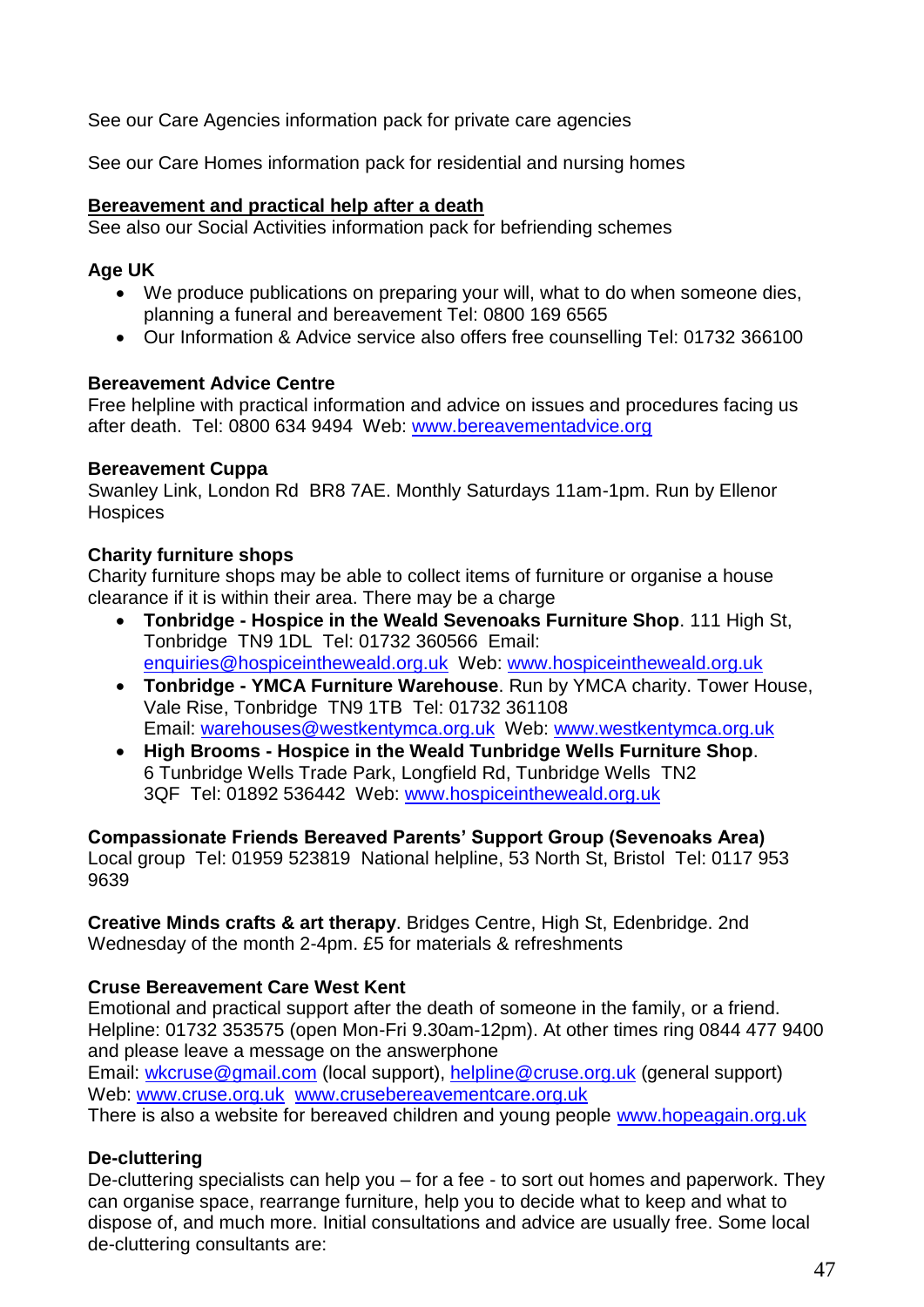See our Care Agencies information pack for private care agencies

See our Care Homes information pack for residential and nursing homes

#### <span id="page-46-0"></span>**Bereavement and practical help after a death**

See also our Social Activities information pack for befriending schemes

## **Age UK**

- We produce publications on preparing your will, what to do when someone dies, planning a funeral and bereavement Tel: 0800 169 6565
- Our Information & Advice service also offers free counselling Tel: 01732 366100

#### **Bereavement Advice Centre**

Free helpline with practical information and advice on issues and procedures facing us after death. Tel: 0800 634 9494 Web: www.bereavementadvice.org

#### **Bereavement Cuppa**

Swanley Link, London Rd BR8 7AE. Monthly Saturdays 11am-1pm. Run by Ellenor **Hospices** 

## **Charity furniture shops**

Charity furniture shops may be able to collect items of furniture or organise a house clearance if it is within their area. There may be a charge

- **Tonbridge - Hospice in the Weald Sevenoaks Furniture Shop**. 111 High St, Tonbridge TN9 1DL Tel: 01732 360566 Email: enquiries@hospiceintheweald.org.uk Web: www.hospiceintheweald.org.uk
- **Tonbridge - YMCA Furniture Warehouse**. Run by YMCA charity. Tower House, Vale Rise, Tonbridge TN9 1TB Tel: 01732 361108 Email: [warehouses@westkentymca.org.uk](mailto:warehouses@westkentymca.org.uk) Web: [www.westkentymca.org.uk](http://www.westkentymca.org.uk/)
- **High Brooms - Hospice in the Weald Tunbridge Wells Furniture Shop**. 6 Tunbridge Wells Trade Park, Longfield Rd, Tunbridge Wells TN2 3QF Tel: 01892 536442 Web: [www.hospiceintheweald.org.uk](http://www.hospiceintheweald.org.uk/)

**Compassionate Friends Bereaved Parents' Support Group (Sevenoaks Area)** Local group Tel: 01959 523819 National helpline, 53 North St, Bristol Tel: 0117 953 9639

**Creative Minds crafts & art therapy**. Bridges Centre, High St, Edenbridge. 2nd Wednesday of the month 2-4pm. £5 for materials & refreshments

## **Cruse Bereavement Care West Kent**

Emotional and practical support after the death of someone in the family, or a friend. Helpline: 01732 353575 (open Mon-Fri 9.30am-12pm). At other times ring 0844 477 9400 and please leave a message on the answerphone

Email: [wkcruse@gmail.com](mailto:wkcruse@gmail.com) (local support), [helpline@cruse.org.uk](mailto:helpline@cruse.org.uk) (general support) Web: www.cruse.org.uk www.crusebereavementcare.org.uk

There is also a website for bereaved children and young people www.hopeagain.org.uk

## **De-cluttering**

De-cluttering specialists can help you – for a fee - to sort out homes and paperwork. They can organise space, rearrange furniture, help you to decide what to keep and what to dispose of, and much more. Initial consultations and advice are usually free. Some local de-cluttering consultants are: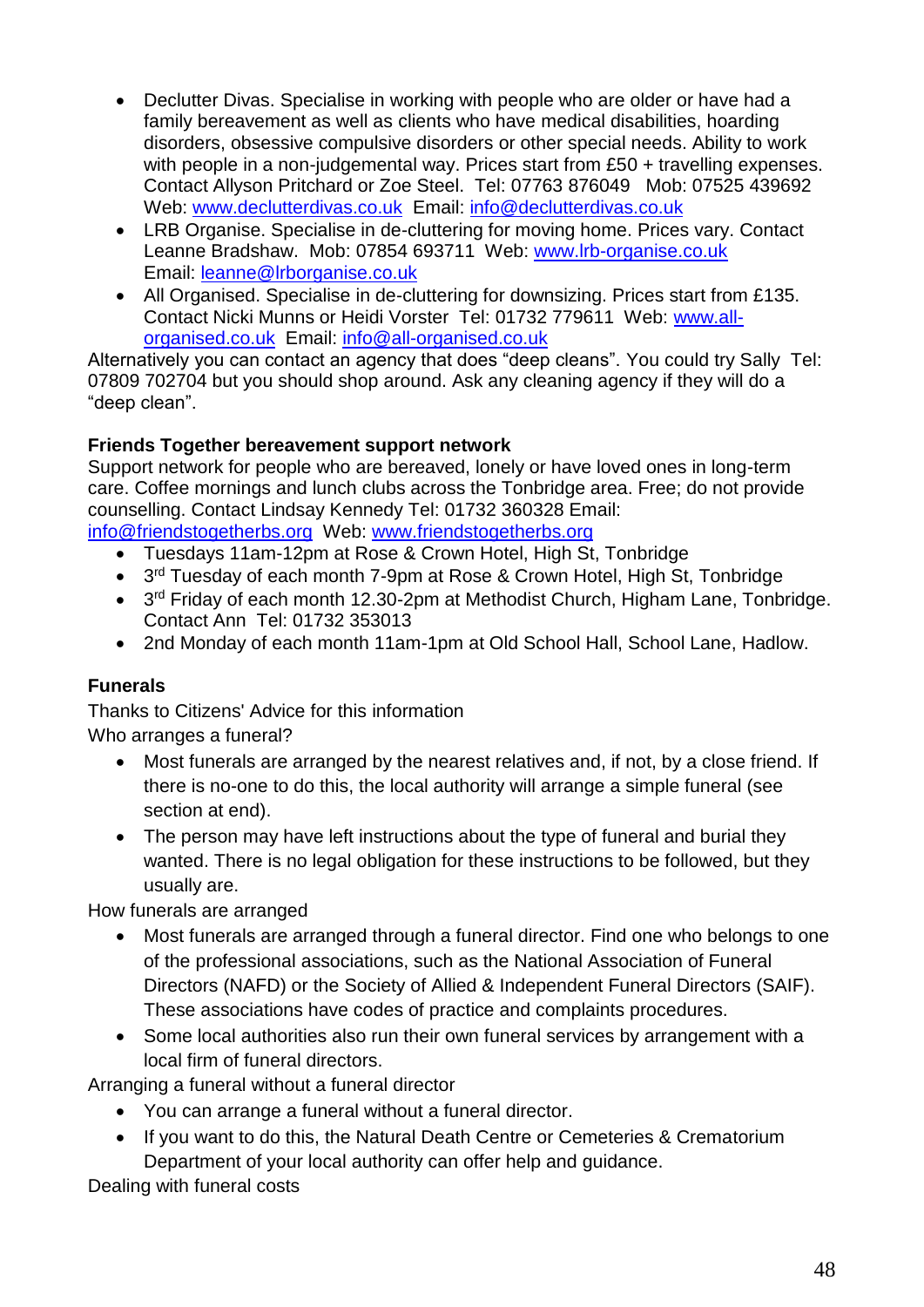- Declutter Divas. Specialise in working with people who are older or have had a family bereavement as well as clients who have medical disabilities, hoarding disorders, obsessive compulsive disorders or other special needs. Ability to work with people in a non-judgemental way. Prices start from £50 + travelling expenses. Contact Allyson Pritchard or Zoe Steel. Tel: 07763 876049 Mob: 07525 439692 Web: [www.declutterdivas.co.uk](http://www.declutterdivas.co.uk/) Email: [info@declutterdivas.co.uk](mailto:info@declutterdivas.co.uk)
- LRB Organise. Specialise in de-cluttering for moving home. Prices vary. Contact Leanne Bradshaw. Mob: 07854 693711 Web: [www.lrb-organise.co.uk](http://www.lrb-organise.co.uk/)  Email: [leanne@lrborganise.co.uk](mailto:leanne@lrborganise.co.uk)
- All Organised. Specialise in de-cluttering for downsizing. Prices start from £135. Contact Nicki Munns or Heidi Vorster Tel: 01732 779611 Web: [www.all](http://www.all-organised.co.uk/)[organised.co.uk](http://www.all-organised.co.uk/) Email: [info@all-organised.co.uk](mailto:info@all-organised.co.uk)

Alternatively you can contact an agency that does "deep cleans". You could try Sally Tel: 07809 702704 but you should shop around. Ask any cleaning agency if they will do a "deep clean".

## **Friends Together bereavement support network**

Support network for people who are bereaved, lonely or have loved ones in long-term care. Coffee mornings and lunch clubs across the Tonbridge area. Free; do not provide counselling. Contact Lindsay Kennedy Tel: 01732 360328 Email: [info@friendstogetherbs.org](mailto:info@friendstogetherbs.org) Web: www.friendstogetherbs.org

- Tuesdays 11am-12pm at Rose & Crown Hotel, High St, Tonbridge
- $\bullet$ 3<sup>rd</sup> Tuesday of each month 7-9pm at Rose & Crown Hotel, High St, Tonbridge
- 3<sup>rd</sup> Friday of each month 12.30-2pm at Methodist Church, Higham Lane, Tonbridge. Contact Ann Tel: 01732 353013
- 2nd Monday of each month 11am-1pm at Old School Hall, School Lane, Hadlow.

## **Funerals**

Thanks to Citizens' Advice for this information Who arranges a funeral?

- Most funerals are arranged by the nearest relatives and, if not, by a close friend. If there is no-one to do this, the local authority will arrange a simple funeral (see section at end).
- The person may have left instructions about the type of funeral and burial they wanted. There is no legal obligation for these instructions to be followed, but they usually are.

How funerals are arranged

- Most funerals are arranged through a funeral director. Find one who belongs to one of the professional associations, such as the National Association of Funeral Directors (NAFD) or the Society of Allied & Independent Funeral Directors (SAIF). These associations have codes of practice and complaints procedures.
- Some local authorities also run their own funeral services by arrangement with a local firm of funeral directors.

Arranging a funeral without a funeral director

- You can arrange a funeral without a funeral director.
- If you want to do this, the Natural Death Centre or Cemeteries & Crematorium Department of your local authority can offer help and guidance.

Dealing with funeral costs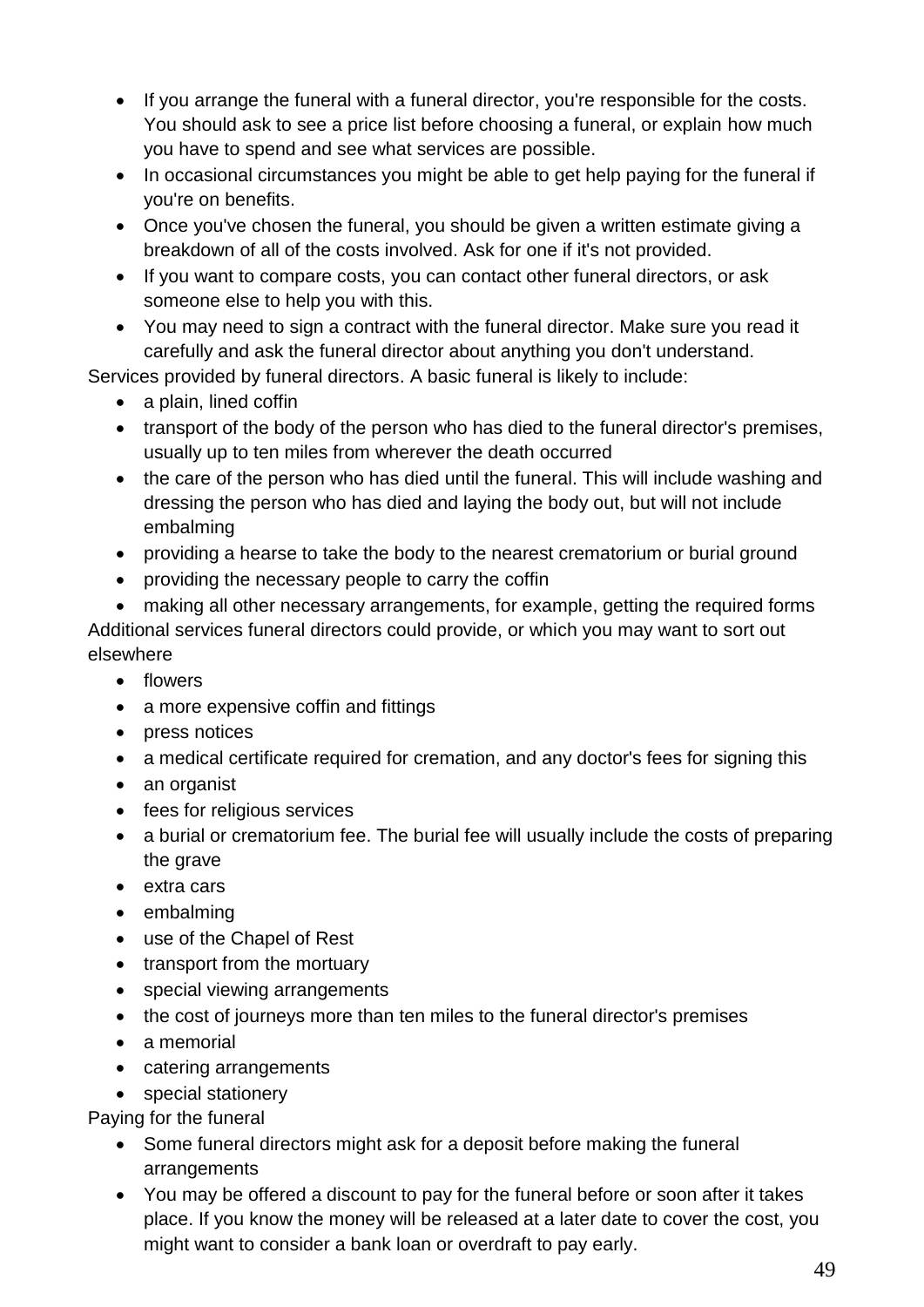- If you arrange the funeral with a funeral director, you're responsible for the costs. You should ask to see a price list before choosing a funeral, or explain how much you have to spend and see what services are possible.
- In occasional circumstances you might be able to get help paying for the funeral if you're on benefits.
- Once you've chosen the funeral, you should be given a written estimate giving a breakdown of all of the costs involved. Ask for one if it's not provided.
- If you want to compare costs, you can contact other funeral directors, or ask someone else to help you with this.
- You may need to sign a contract with the funeral director. Make sure you read it carefully and ask the funeral director about anything you don't understand.

Services provided by funeral directors. A basic funeral is likely to include:

- a plain, lined coffin
- transport of the body of the person who has died to the funeral director's premises, usually up to ten miles from wherever the death occurred
- the care of the person who has died until the funeral. This will include washing and dressing the person who has died and laying the body out, but will not include embalming
- providing a hearse to take the body to the nearest crematorium or burial ground
- providing the necessary people to carry the coffin
- making all other necessary arrangements, for example, getting the required forms Additional services funeral directors could provide, or which you may want to sort out elsewhere
	- flowers
	- a more expensive coffin and fittings
	- press notices
	- a medical certificate required for cremation, and any doctor's fees for signing this
	- an organist
	- fees for religious services
	- a burial or crematorium fee. The burial fee will usually include the costs of preparing the grave
	- extra cars
	- embalming
	- use of the Chapel of Rest
	- transport from the mortuary
	- special viewing arrangements
	- the cost of journeys more than ten miles to the funeral director's premises
	- a memorial
	- catering arrangements
	- special stationery

Paying for the funeral

- Some funeral directors might ask for a deposit before making the funeral arrangements
- You may be offered a discount to pay for the funeral before or soon after it takes place. If you know the money will be released at a later date to cover the cost, you might want to consider a bank loan or overdraft to pay early.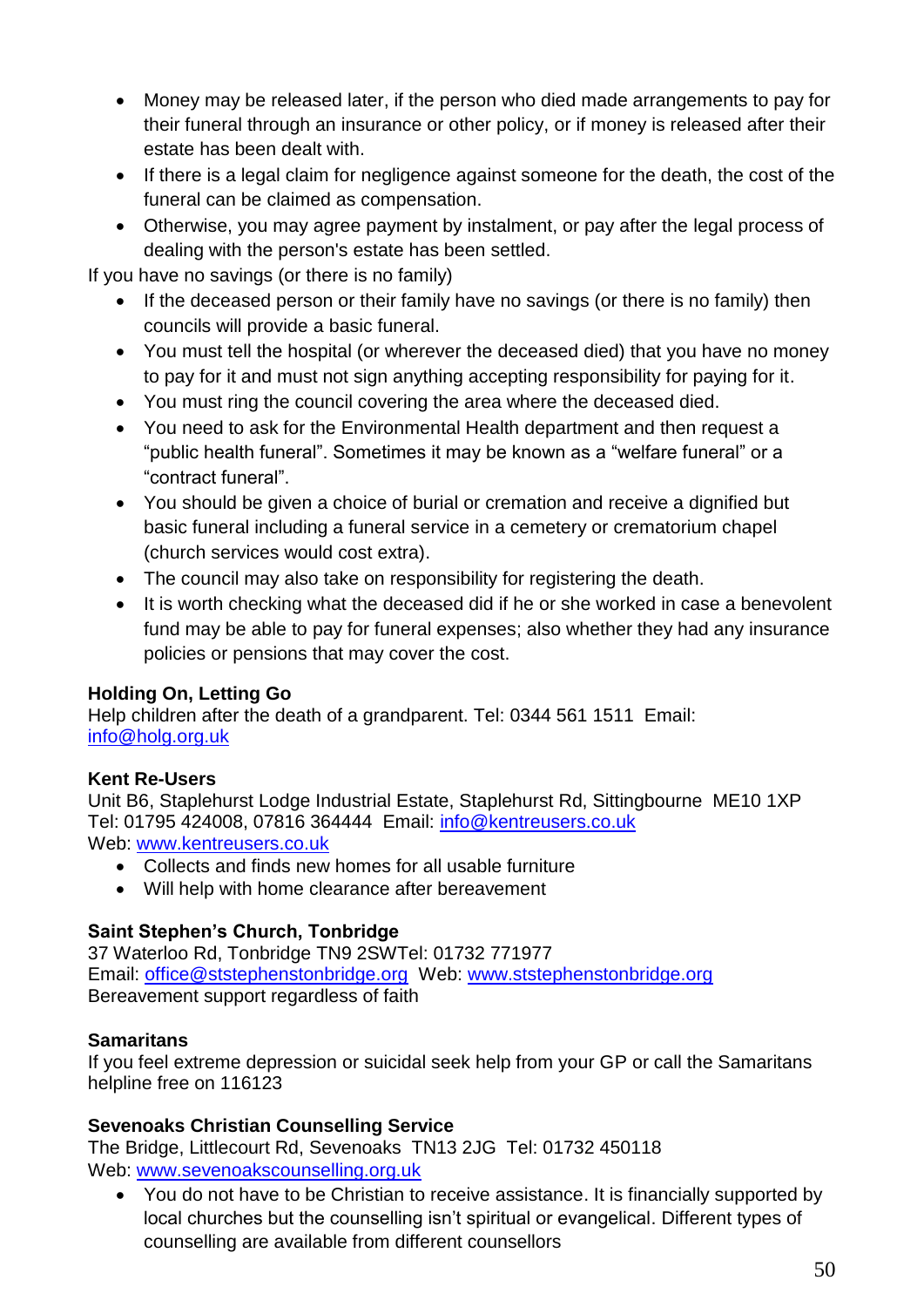- Money may be released later, if the person who died made arrangements to pay for their funeral through an insurance or other policy, or if money is released after their estate has been dealt with.
- If there is a legal claim for negligence against someone for the death, the cost of the funeral can be claimed as compensation.
- Otherwise, you may agree payment by instalment, or pay after the legal process of dealing with the person's estate has been settled.

If you have no savings (or there is no family)

- If the deceased person or their family have no savings (or there is no family) then councils will provide a basic funeral.
- You must tell the hospital (or wherever the deceased died) that you have no money to pay for it and must not sign anything accepting responsibility for paying for it.
- You must ring the council covering the area where the deceased died.
- You need to ask for the Environmental Health department and then request a "public health funeral". Sometimes it may be known as a "welfare funeral" or a "contract funeral".
- You should be given a choice of burial or cremation and receive a dignified but basic funeral including a funeral service in a cemetery or crematorium chapel (church services would cost extra).
- The council may also take on responsibility for registering the death.
- It is worth checking what the deceased did if he or she worked in case a benevolent fund may be able to pay for funeral expenses; also whether they had any insurance policies or pensions that may cover the cost.

## **Holding On, Letting Go**

Help children after the death of a grandparent. Tel: 0344 561 1511 Email: [info@holg.org.uk](mailto:info@holg.org.uk)

## **Kent Re-Users**

Unit B6, Staplehurst Lodge Industrial Estate, Staplehurst Rd, Sittingbourne ME10 1XP Tel: 01795 424008, 07816 364444 Email: info@kentreusers.co.uk Web: [www.kentreusers.co.uk](http://www.kentreusers.co.uk/)

- Collects and finds new homes for all usable furniture
- Will help with home clearance after bereavement

## **Saint Stephen's Church, Tonbridge**

37 Waterloo Rd, Tonbridge TN9 2SWTel: 01732 771977 Email: [office@ststephenstonbridge.org](mailto:office@ststephenstonbridge.org) Web: [www.ststephenstonbridge.org](http://www.ststephenstonbridge.org/) Bereavement support regardless of faith

## **Samaritans**

If you feel extreme depression or suicidal seek help from your GP or call the Samaritans helpline free on 116123

## **Sevenoaks Christian Counselling Service**

The Bridge, Littlecourt Rd, Sevenoaks TN13 2JG Tel: 01732 450118 Web: [www.sevenoakscounselling.org.uk](http://www.sevenoakscounselling.org.uk/)

• You do not have to be Christian to receive assistance. It is financially supported by local churches but the counselling isn't spiritual or evangelical. Different types of counselling are available from different counsellors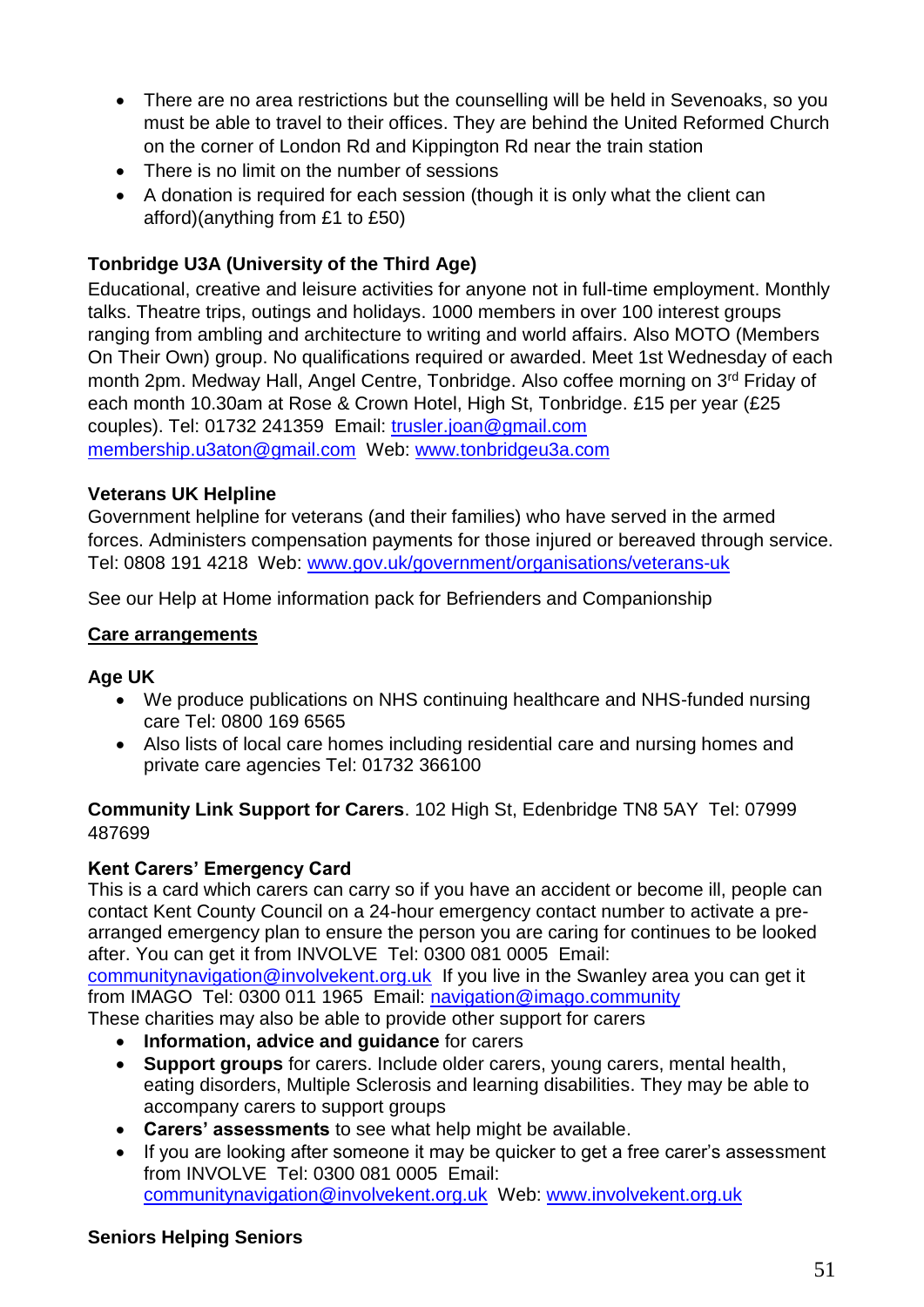- There are no area restrictions but the counselling will be held in Sevenoaks, so you must be able to travel to their offices. They are behind the United Reformed Church on the corner of London Rd and Kippington Rd near the train station
- There is no limit on the number of sessions
- A donation is required for each session (though it is only what the client can afford)(anything from £1 to £50)

## **Tonbridge U3A (University of the Third Age)**

Educational, creative and leisure activities for anyone not in full-time employment. Monthly talks. Theatre trips, outings and holidays. 1000 members in over 100 interest groups ranging from ambling and architecture to writing and world affairs. Also MOTO (Members On Their Own) group. No qualifications required or awarded. Meet 1st Wednesday of each month 2pm. Medway Hall, Angel Centre, Tonbridge. Also coffee morning on 3rd Friday of each month 10.30am at Rose & Crown Hotel, High St, Tonbridge. £15 per year (£25 couples). Tel: 01732 241359 Email: trusler.joan@gmail.com membership.u3aton@gmail.com Web: www.tonbridgeu3a.com

## **Veterans UK Helpline**

Government helpline for veterans (and their families) who have served in the armed forces. Administers compensation payments for those injured or bereaved through service. Tel: 0808 191 4218 Web: www.gov.uk/government/organisations/veterans-uk

See our Help at Home information pack for Befrienders and Companionship

#### <span id="page-50-0"></span>**Care arrangements**

## **Age UK**

- We produce publications on NHS continuing healthcare and NHS-funded nursing care Tel: 0800 169 6565
- Also lists of local care homes including residential care and nursing homes and private care agencies Tel: 01732 366100

**Community Link Support for Carers**. 102 High St, Edenbridge TN8 5AY Tel: 07999 487699

## **Kent Carers' Emergency Card**

This is a card which carers can carry so if you have an accident or become ill, people can contact Kent County Council on a 24-hour emergency contact number to activate a prearranged emergency plan to ensure the person you are caring for continues to be looked after. You can get it from INVOLVE Tel: 0300 081 0005 Email:

communitynavigation@involvekent.org.uk If you live in the Swanley area you can get it from IMAGO Tel: 0300 011 1965 Email: navigation@imago.community

These charities may also be able to provide other support for carers

- **Information, advice and guidance** for carers
- **Support groups** for carers. Include older carers, young carers, mental health, eating disorders, Multiple Sclerosis and learning disabilities. They may be able to accompany carers to support groups
- **Carers' assessments** to see what help might be available.
- If you are looking after someone it may be quicker to get a free carer's assessment from INVOLVE Tel: 0300 081 0005 Email: [communitynavigation@involvekent.org.uk](mailto:communitynavigation@involvekent.org.uk) Web: [www.involvekent.org.uk](http://www.involvekent.org.uk/)

#### **Seniors Helping Seniors**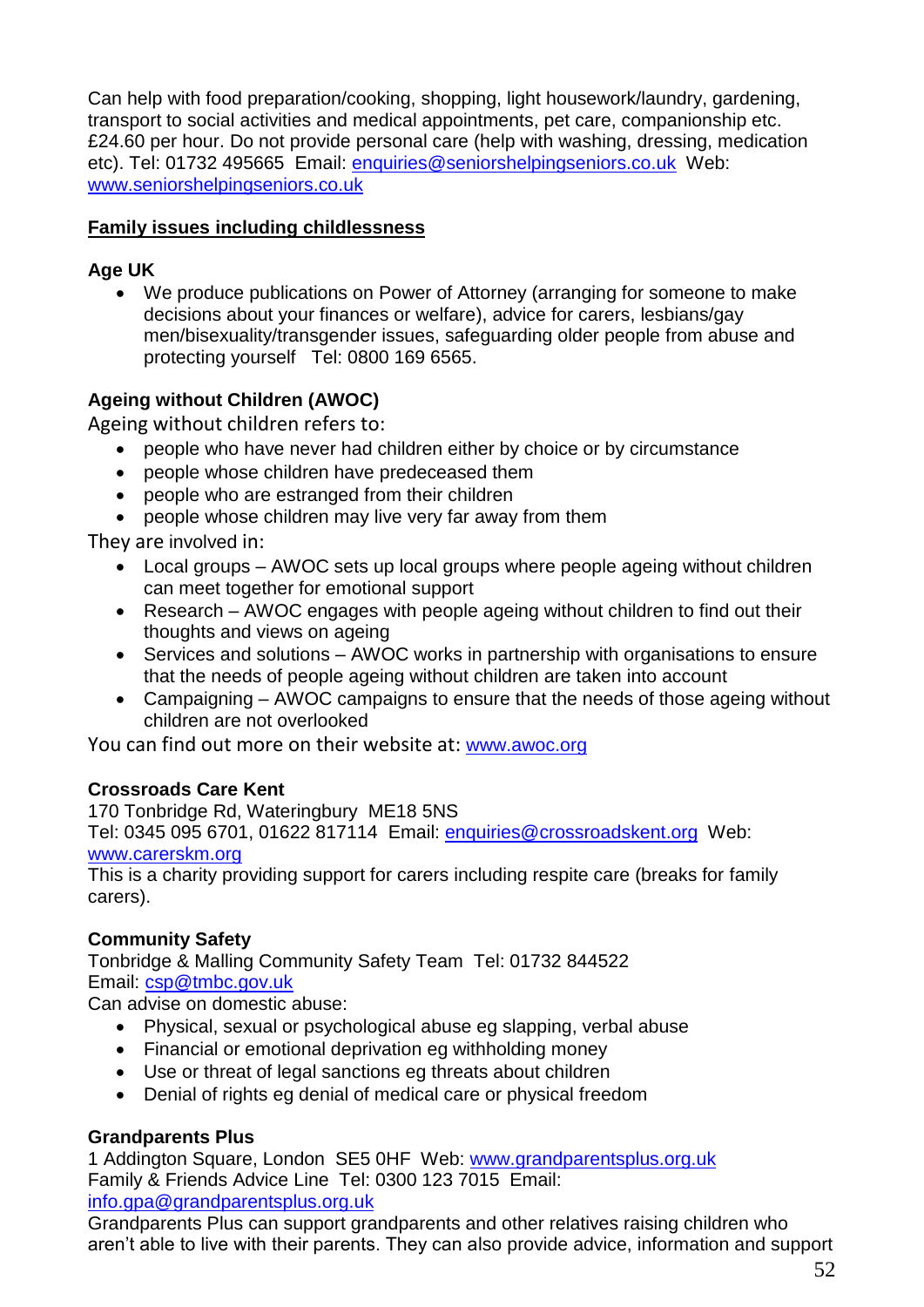Can help with food preparation/cooking, shopping, light housework/laundry, gardening, transport to social activities and medical appointments, pet care, companionship etc. £24.60 per hour. Do not provide personal care (help with washing, dressing, medication etc). Tel: 01732 495665 Email: enquiries@seniorshelpingseniors.co.uk Web: www.seniorshelpingseniors.co.uk

## <span id="page-51-0"></span>**Family issues including childlessness**

## **Age UK**

 We produce publications on Power of Attorney (arranging for someone to make decisions about your finances or welfare), advice for carers, lesbians/gay men/bisexuality/transgender issues, safeguarding older people from abuse and protecting yourself Tel: 0800 169 6565.

## **Ageing without Children (AWOC)**

Ageing without children refers to:

- people who have never had children either by choice or by circumstance
- people whose children have predeceased them
- people who are estranged from their children
- people whose children may live very far away from them

They are involved in:

- Local groups AWOC sets up local groups where people ageing without children can meet together for emotional support
- Research AWOC engages with people ageing without children to find out their thoughts and views on ageing
- Services and solutions AWOC works in partnership with organisations to ensure that the needs of people ageing without children are taken into account
- Campaigning AWOC campaigns to ensure that the needs of those ageing without children are not overlooked

You can find out more on their website at: [www.awoc.org](http://www.awoc.org/)

## **Crossroads Care Kent**

170 Tonbridge Rd, Wateringbury ME18 5NS Tel: 0345 095 6701, 01622 817114 Email: [enquiries@crossroadskent.org](mailto:enquiries@crossroadswest.org) Web: www.carerskm.org

This is a charity providing support for carers including respite care (breaks for family carers).

## **Community Safety**

Tonbridge & Malling Community Safety Team Tel: 01732 844522 Email: [csp@tmbc.gov.uk](mailto:csp@tmbc.gov.uk)

Can advise on domestic abuse:

- Physical, sexual or psychological abuse eg slapping, verbal abuse
- Financial or emotional deprivation eg withholding money
- Use or threat of legal sanctions eg threats about children
- Denial of rights eg denial of medical care or physical freedom

## **Grandparents Plus**

1 Addington Square, London SE5 0HF Web: [www.grandparentsplus.org.uk](http://www.grandparentsplus.org.uk/) Family & Friends Advice Line Tel: 0300 123 7015 Email: info.gpa@grandparentsplus.org.uk

Grandparents Plus can support grandparents and other relatives raising children who aren't able to live with their parents. They can also provide advice, information and support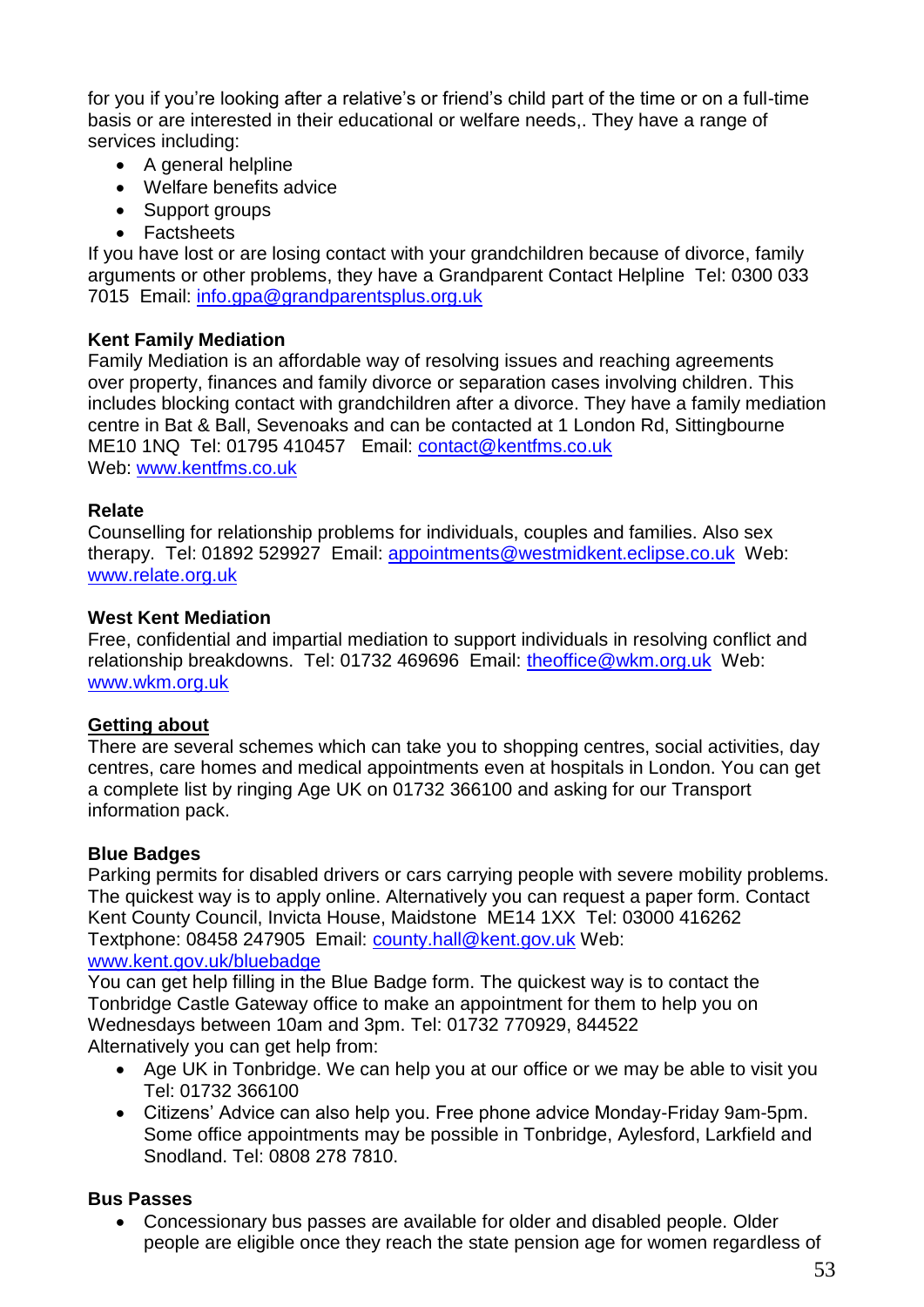for you if you're looking after a relative's or friend's child part of the time or on a full-time basis or are interested in their educational or welfare needs,. They have a range of services including:

- A general helpline
- Welfare benefits advice
- Support groups
- Factsheets

If you have lost or are losing contact with your grandchildren because of divorce, family arguments or other problems, they have a Grandparent Contact Helpline Tel: 0300 033 7015 Email: [info.gpa@grandparentsplus.org.uk](mailto:info.gpa@grandparentsplus.org.uk)

## **Kent Family Mediation**

Family Mediation is an affordable way of resolving issues and reaching agreements over [property, finances and family divorce or separation cases involving children.](http://www.kentfms.co.uk/mediating-over-children-and-finances) This includes blocking contact with grandchildren after a divorce. They have a family mediation centre in Bat & Ball, Sevenoaks and can be contacted at 1 London Rd, Sittingbourne ME10 1NQ Tel: 01795 410457 Email: [contact@kentfms.co.uk](mailto:contact@kentfms.co.uk?subject=Email%20from%20website) Web: www.kentfms.co.uk

## **Relate**

Counselling for relationship problems for individuals, couples and families. Also sex therapy. Tel: 01892 529927 Email: appointments@westmidkent.eclipse.co.uk Web: www.relate.org.uk

## **West Kent Mediation**

Free, confidential and impartial mediation to support individuals in resolving conflict and relationship breakdowns. Tel: 01732 469696 Email: theoffice@wkm.org.uk Web: www.wkm.org.uk

## <span id="page-52-0"></span>**Getting about**

There are several schemes which can take you to shopping centres, social activities, day centres, care homes and medical appointments even at hospitals in London. You can get a complete list by ringing Age UK on 01732 366100 and asking for our Transport information pack.

## **Blue Badges**

Parking permits for disabled drivers or cars carrying people with severe mobility problems. The quickest way is to apply online. Alternatively you can request a paper form. Contact Kent County Council, Invicta House, Maidstone ME14 1XX Tel: 03000 416262 Textphone: 08458 247905 Email: [county.hall@kent.gov.uk](mailto:county.hall@kent.gov.uk) Web:

www.kent.gov.uk/bluebadge

You can get help filling in the Blue Badge form. The quickest way is to contact the Tonbridge Castle Gateway office to make an appointment for them to help you on Wednesdays between 10am and 3pm. Tel: 01732 770929, 844522 Alternatively you can get help from:

- Age UK in Tonbridge. We can help you at our office or we may be able to visit you Tel: 01732 366100
- Citizens' Advice can also help you. Free phone advice Monday-Friday 9am-5pm. Some office appointments may be possible in Tonbridge, Aylesford, Larkfield and Snodland. Tel: 0808 278 7810.

## **Bus Passes**

 Concessionary bus passes are available for older and disabled people. Older people are eligible once they reach the state pension age for women regardless of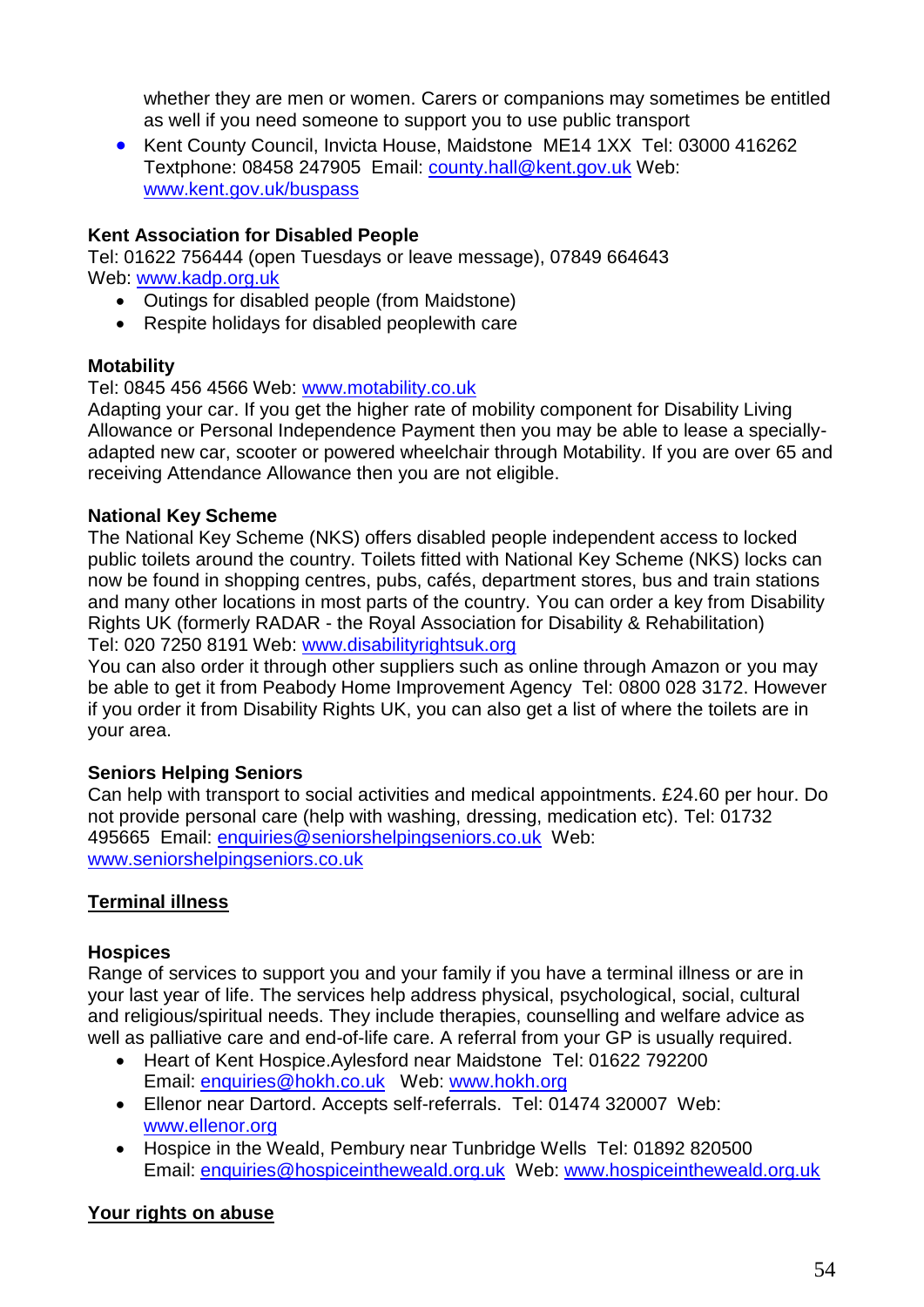whether they are men or women. Carers or companions may sometimes be entitled as well if you need someone to support you to use public transport

 Kent County Council, Invicta House, Maidstone ME14 1XX Tel: 03000 416262 Textphone: 08458 247905 Email: [county.hall@kent.gov.uk](mailto:county.hall@kent.gov.uk) Web: www.kent.gov.uk/buspass

## **Kent Association for Disabled People**

Tel: 01622 756444 (open Tuesdays or leave message), 07849 664643 Web: [www.kadp.org.uk](http://www.kadp.org.uk/)

- Outings for disabled people (from Maidstone)
- Respite holidays for disabled peoplewith care

## **Motability**

## Tel: 0845 456 4566 Web: [www.motability.co.uk](http://www.motability.co.uk/)

Adapting your car. If you get the higher rate of mobility component for Disability Living Allowance or Personal Independence Payment then you may be able to lease a speciallyadapted new car, scooter or powered wheelchair through Motability. If you are over 65 and receiving Attendance Allowance then you are not eligible.

## **National Key Scheme**

The National Key Scheme (NKS) offers disabled people independent access to locked public toilets around the country. Toilets fitted with National Key Scheme (NKS) locks can now be found in shopping centres, pubs, cafés, department stores, bus and train stations and many other locations in most parts of the country. You can order a key from Disability Rights UK (formerly RADAR - the Royal Association for Disability & Rehabilitation) Tel: 020 7250 8191 Web: www.disabilityrightsuk.org

You can also order it through other suppliers such as online through Amazon or you may be able to get it from Peabody Home Improvement Agency Tel: 0800 028 3172. However if you order it from Disability Rights UK, you can also get a list of where the toilets are in your area.

## **Seniors Helping Seniors**

Can help with transport to social activities and medical appointments. £24.60 per hour. Do not provide personal care (help with washing, dressing, medication etc). Tel: 01732 495665 Email: enquiries@seniorshelpingseniors.co.uk Web: www.seniorshelpingseniors.co.uk

## <span id="page-53-0"></span>**Terminal illness**

## **Hospices**

Range of services to support you and your family if you have a terminal illness or are in your last year of life. The services help address physical, psychological, social, cultural and religious/spiritual needs. They include therapies, counselling and welfare advice as well as palliative care and end-of-life care. A referral from your GP is usually required.

- Heart of Kent Hospice.Aylesford near Maidstone Tel: 01622 792200 Email: [enquiries@hokh.co.uk](mailto:enquiries@hokh.co.uk) Web: www.hokh.org
- Ellenor near Dartord. Accepts self-referrals. Tel: 01474 320007 Web: www.ellenor.org
- Hospice in the Weald, Pembury near Tunbridge Wells Tel: 01892 820500 Email: [enquiries@hospiceintheweald.org.uk](mailto:enquiries@hospiceintheweald.org.uk) Web: [www.hospiceintheweald.org.uk](http://www.hospiceintheweald.org.uk/)

## <span id="page-53-1"></span>**Your rights on abuse**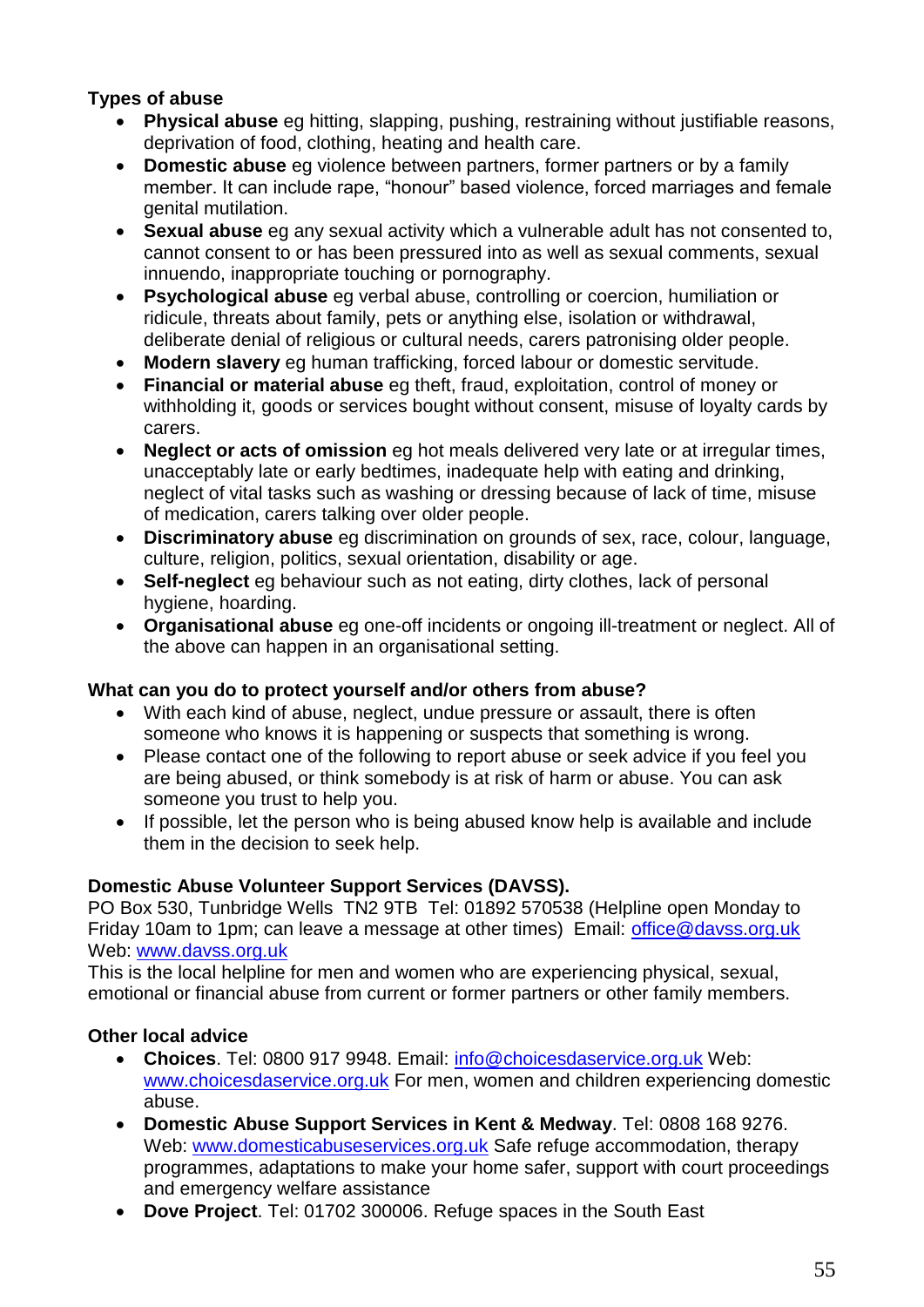## **Types of abuse**

- **Physical abuse** eg hitting, slapping, pushing, restraining without justifiable reasons, deprivation of food, clothing, heating and health care.
- **Domestic abuse** eg violence between partners, former partners or by a family member. It can include rape, "honour" based violence, forced marriages and female genital mutilation.
- **Sexual abuse** eg any sexual activity which a vulnerable adult has not consented to, cannot consent to or has been pressured into as well as sexual comments, sexual innuendo, inappropriate touching or pornography.
- **Psychological abuse** eg verbal abuse, controlling or coercion, humiliation or ridicule, threats about family, pets or anything else, isolation or withdrawal, deliberate denial of religious or cultural needs, carers patronising older people.
- **Modern slavery** eg human trafficking, forced labour or domestic servitude.
- **Financial or material abuse** eg theft, fraud, exploitation, control of money or withholding it, goods or services bought without consent, misuse of loyalty cards by carers.
- **Neglect or acts of omission** eg hot meals delivered very late or at irregular times, unacceptably late or early bedtimes, inadequate help with eating and drinking, neglect of vital tasks such as washing or dressing because of lack of time, misuse of medication, carers talking over older people.
- **Discriminatory abuse** eg discrimination on grounds of sex, race, colour, language, culture, religion, politics, sexual orientation, disability or age.
- **Self-neglect** eg behaviour such as not eating, dirty clothes, lack of personal hygiene, hoarding.
- **Organisational abuse** eg one-off incidents or ongoing ill-treatment or neglect. All of the above can happen in an organisational setting.

## **What can you do to protect yourself and/or others from abuse?**

- With each kind of abuse, neglect, undue pressure or assault, there is often someone who knows it is happening or suspects that something is wrong.
- Please contact one of the following to report abuse or seek advice if you feel you are being abused, or think somebody is at risk of harm or abuse. You can ask someone you trust to help you.
- If possible, let the person who is being abused know help is available and include them in the decision to seek help.

## **Domestic Abuse Volunteer Support Services (DAVSS).**

PO Box 530, Tunbridge Wells TN2 9TB Tel: 01892 570538 (Helpline open Monday to Friday 10am to 1pm; can leave a message at other times) Email: office@davss.org.uk Web: www.davss.org.uk

This is the local helpline for men and women who are experiencing physical, sexual, emotional or financial abuse from current or former partners or other family members.

## **Other local advice**

- **Choices**. Tel: 0800 917 9948. Email: [info@choicesdaservice.org.uk](mailto:info@choicesdaservice.org.uk) Web: [www.choicesdaservice.org.uk](http://www.choicesdaservice.org.uk/) For men, women and children experiencing domestic abuse.
- **Domestic Abuse Support Services in Kent & Medway**. Tel: 0808 168 9276. Web: [www.domesticabuseservices.org.uk](http://www.domesticabuseservices.org.uk/) Safe refuge accommodation, therapy programmes, adaptations to make your home safer, support with court proceedings and emergency welfare assistance
- **Dove Project**. Tel: 01702 300006. Refuge spaces in the South East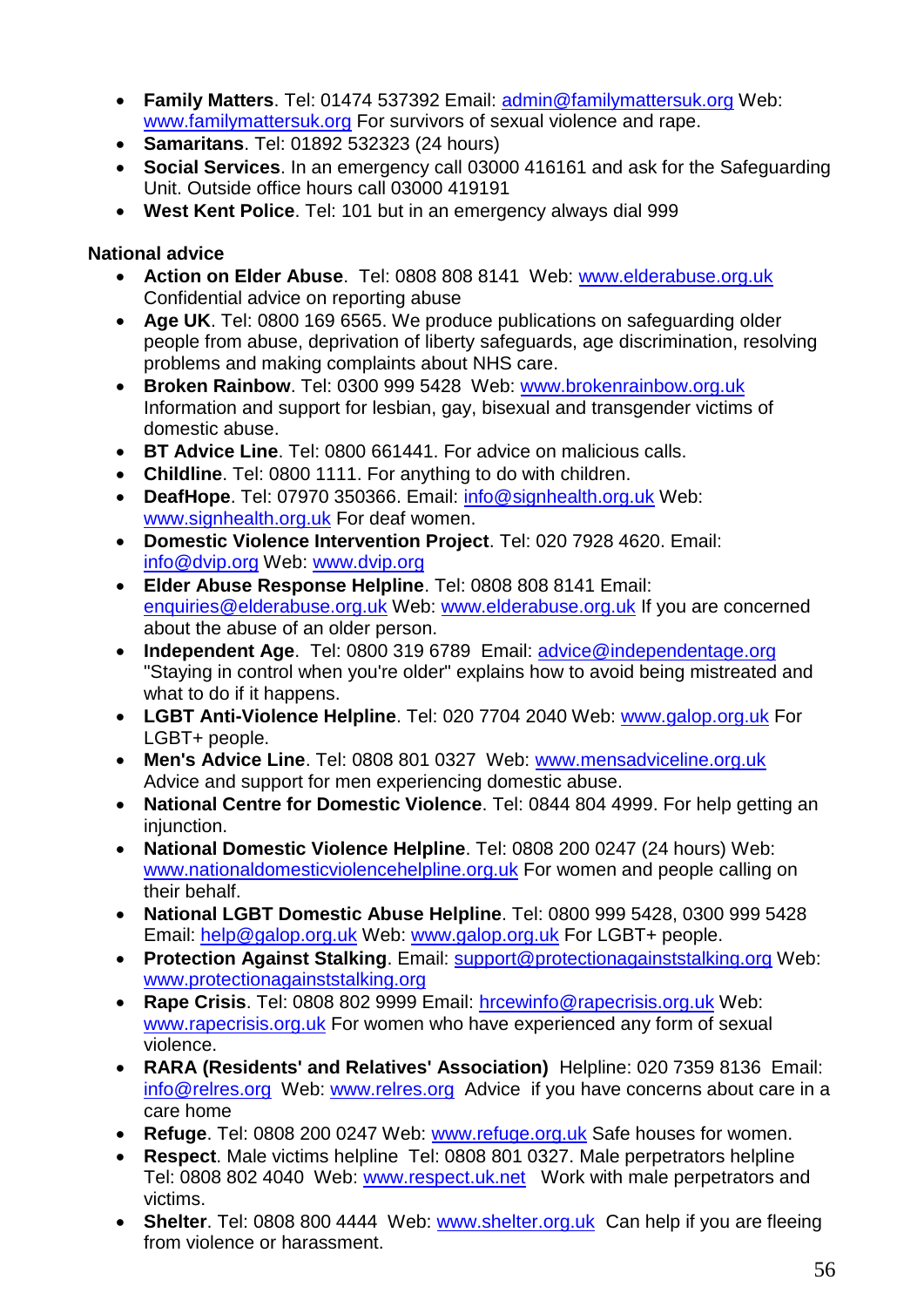- **Family Matters**. Tel: 01474 537392 Email: [admin@familymattersuk.org](mailto:admin@familymattersuk.org) Web: [www.familymattersuk.org](http://www.familymattersuk.org/) For survivors of sexual violence and rape.
- **Samaritans**. Tel: 01892 532323 (24 hours)
- **Social Services**. In an emergency call 03000 416161 and ask for the Safeguarding Unit. Outside office hours call 03000 419191
- **West Kent Police**. Tel: 101 but in an emergency always dial 999

## **National advice**

- **Action on Elder Abuse**. Tel: 0808 808 8141 Web: www.elderabuse.org.uk Confidential advice on reporting abuse
- **Age UK**. Tel: 0800 169 6565. We produce publications on safeguarding older people from abuse, deprivation of liberty safeguards, age discrimination, resolving problems and making complaints about NHS care.
- **Broken Rainbow**. Tel: 0300 999 5428 Web: www.brokenrainbow.org.uk Information and support for lesbian, gay, bisexual and transgender victims of domestic abuse.
- **BT Advice Line**. Tel: 0800 661441. For advice on malicious calls.
- **Childline**. Tel: 0800 1111. For anything to do with children.
- **DeafHope**. Tel: 07970 350366. Email: [info@signhealth.org.uk](mailto:info@signhealth.org.uk) Web: [www.signhealth.org.uk](http://www.signhealth.org.uk/) For deaf women.
- **Domestic Violence Intervention Project**. Tel: 020 7928 4620. Email: [info@dvip.org](mailto:info@dvip.org) Web: [www.dvip.org](http://www.dvip.org/)
- **Elder Abuse Response Helpline**. Tel: 0808 808 8141 Email: [enquiries@elderabuse.org.uk](mailto:enquiries@elderabuse.org.uk) Web: [www.elderabuse.org.uk](http://www.elderabuse.org.uk/) If you are concerned about the abuse of an older person.
- **Independent Age**. Tel: 0800 319 6789 Email: advice@independentage.org "Staying in control when you're older" explains how to avoid being mistreated and what to do if it happens.
- **LGBT Anti-Violence Helpline**. Tel: 020 7704 2040 Web: [www.galop.org.uk](http://www.galop.org.uk/) For LGBT+ people.
- **Men's Advice Line**. Tel: 0808 801 0327 Web: www.mensadviceline.org.uk Advice and support for men experiencing domestic abuse.
- **National Centre for Domestic Violence**. Tel: 0844 804 4999. For help getting an injunction.
- **National Domestic Violence Helpline**. Tel: 0808 200 0247 (24 hours) Web: [www.nationaldomesticviolencehelpline.org.uk](http://www.nationaldomesticviolencehelpline.org.uk/) For women and people calling on their behalf.
- **National LGBT Domestic Abuse Helpline**. Tel: 0800 999 5428, 0300 999 5428 Email: [help@galop.org.uk](mailto:help@galop.org.uk) Web: [www.galop.org.uk](http://www.galop.org.uk/) For LGBT+ people.
- **Protection Against Stalking**. Email: [support@protectionagainststalking.org](mailto:support@protectionagainststalking.org) Web: [www.protectionagainststalking.org](http://www.protectionagainststalking.org/)
- **Rape Crisis**. Tel: 0808 802 9999 Email: [hrcewinfo@rapecrisis.org.uk](mailto:hrcewinfo@rapecrisis.org.uk) Web: [www.rapecrisis.org.uk](http://www.rapecrisis.org.uk/) For women who have experienced any form of sexual violence.
- **RARA (Residents' and Relatives' Association)** Helpline: 020 7359 8136 Email: info@relres.org Web: www.relres.org Advice if you have concerns about care in a care home
- **Refuge**. Tel: 0808 200 0247 Web: [www.refuge.org.uk](http://www.refuge.org.uk/) Safe houses for women.
- **Respect**. Male victims helpline Tel: 0808 801 0327. Male perpetrators helpline Tel: 0808 802 4040 Web: www.respect.uk.net Work with male perpetrators and victims.
- **Shelter**. Tel: 0808 800 4444 Web: [www.shelter.org.uk](http://www.shelter.org.uk/) Can help if you are fleeing from violence or harassment.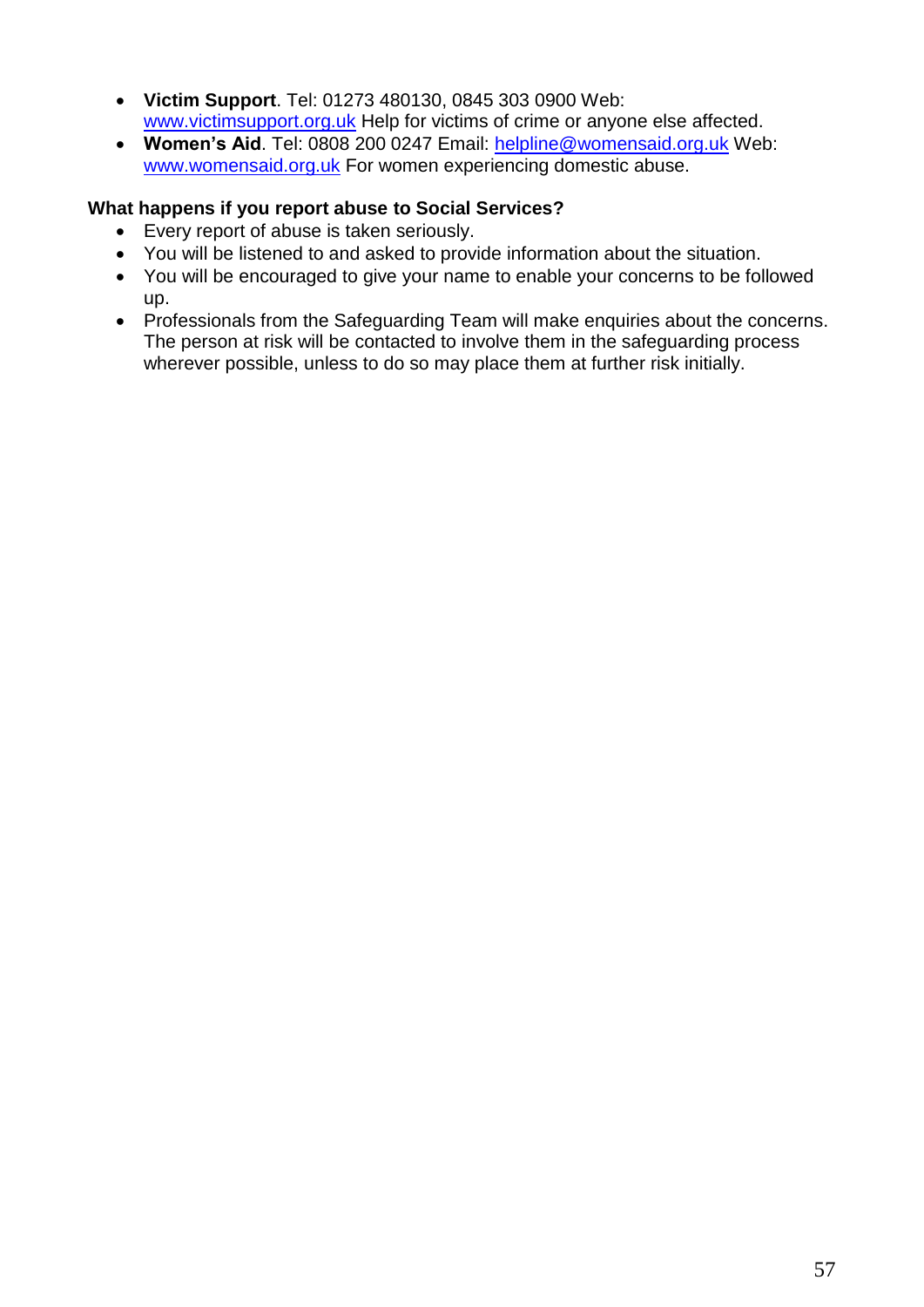- **Victim Support**. Tel: 01273 480130, 0845 303 0900 Web: [www.victimsupport.org.uk](http://www.victimsupport.org.uk/) Help for victims of crime or anyone else affected.
- **Women's Aid**. Tel: 0808 200 0247 Email: [helpline@womensaid.org.uk](mailto:helpline@womensaid.org.uk) Web: [www.womensaid.org.uk](http://www.womensaid.org.uk/) For women experiencing domestic abuse.

## **What happens if you report abuse to Social Services?**

- Every report of abuse is taken seriously.
- You will be listened to and asked to provide information about the situation.
- You will be encouraged to give your name to enable your concerns to be followed up.
- Professionals from the Safeguarding Team will make enquiries about the concerns. The person at risk will be contacted to involve them in the safeguarding process wherever possible, unless to do so may place them at further risk initially.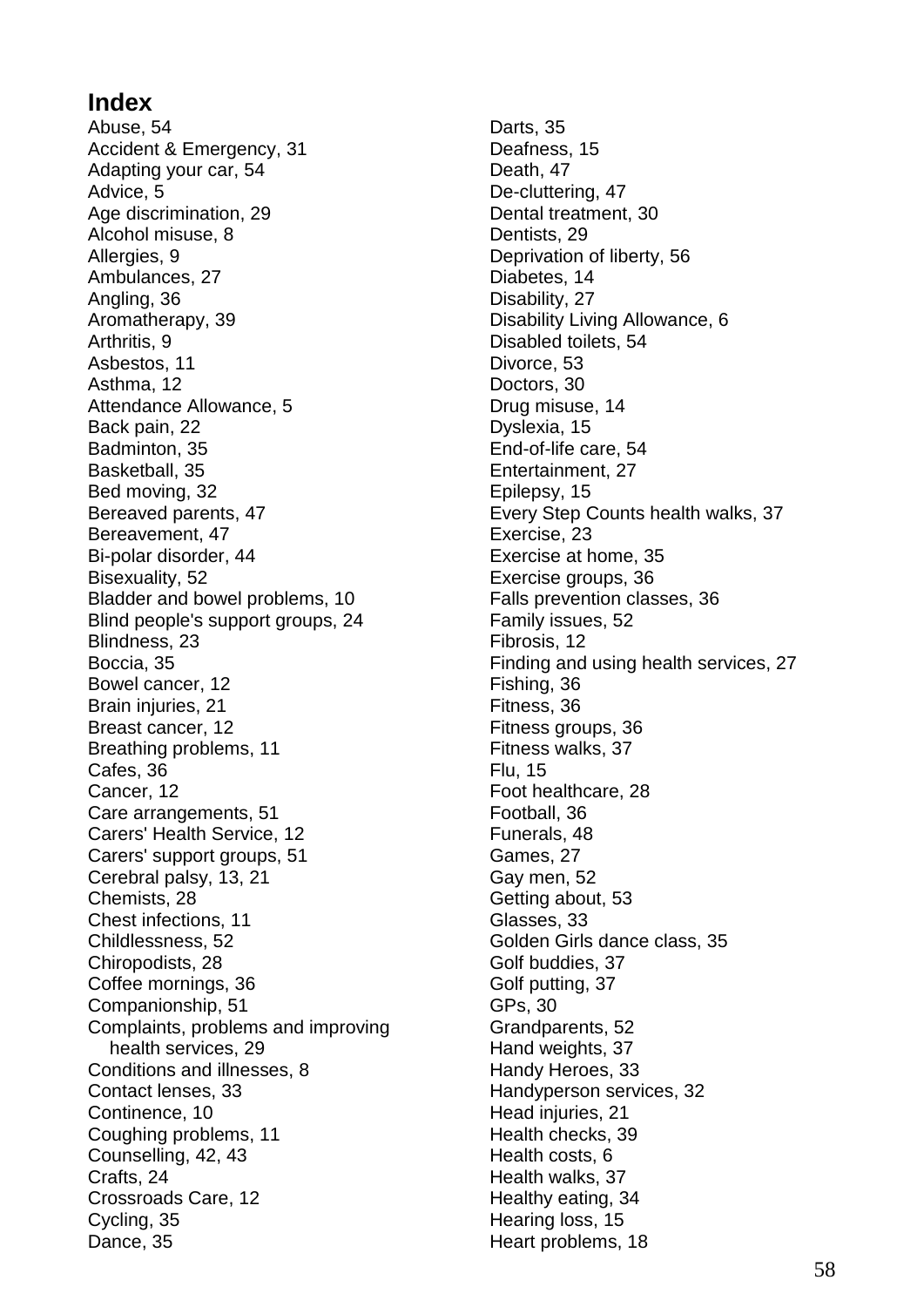# **Index**

Abuse, 54 Accident & Emergency, 31 Adapting your car, 54 Advice, 5 Age discrimination, 29 Alcohol misuse, 8 Allergies, 9 Ambulances, 27 Angling, 36 Aromatherapy, 39 Arthritis, 9 Asbestos, 11 Asthma, 12 Attendance Allowance, 5 Back pain, 22 Badminton, 35 Basketball, 35 Bed moving, 32 Bereaved parents, 47 Bereavement, 47 Bi-polar disorder, 44 Bisexuality, 52 Bladder and bowel problems, 10 Blind people's support groups, 24 Blindness, 23 Boccia, 35 Bowel cancer, 12 Brain injuries, 21 Breast cancer, 12 Breathing problems, 11 Cafes, 36 Cancer, 12 Care arrangements, 51 Carers' Health Service, 12 Carers' support groups, 51 Cerebral palsy, 13, 21 Chemists, 28 Chest infections, 11 Childlessness, 52 Chiropodists, 28 Coffee mornings, 36 Companionship, 51 Complaints, problems and improving health services, 29 Conditions and illnesses, 8 Contact lenses, 33 Continence, 10 Coughing problems, 11 Counselling, 42, 43 Crafts, 24 Crossroads Care, 12 Cycling, 35 Dance, 35

Darts, 35 Deafness, 15 Death, 47 De-cluttering, 47 Dental treatment, 30 Dentists, 29 Deprivation of liberty, 56 Diabetes, 14 Disability, 27 Disability Living Allowance, 6 Disabled toilets, 54 Divorce, 53 Doctors, 30 Drug misuse, 14 Dyslexia, 15 End-of-life care, 54 Entertainment, 27 Epilepsy, 15 Every Step Counts health walks, 37 Exercise, 23 Exercise at home, 35 Exercise groups, 36 Falls prevention classes, 36 Family issues, 52 Fibrosis, 12 Finding and using health services, 27 Fishing, 36 Fitness, 36 Fitness groups, 36 Fitness walks, 37 Flu, 15 Foot healthcare, 28 Football, 36 Funerals, 48 Games, 27 Gay men, 52 Getting about, 53 Glasses, 33 Golden Girls dance class, 35 Golf buddies, 37 Golf putting, 37 GPs, 30 Grandparents, 52 Hand weights, 37 Handy Heroes, 33 Handyperson services, 32 Head injuries, 21 Health checks, 39 Health costs, 6 Health walks, 37 Healthy eating, 34 Hearing loss, 15 Heart problems, 18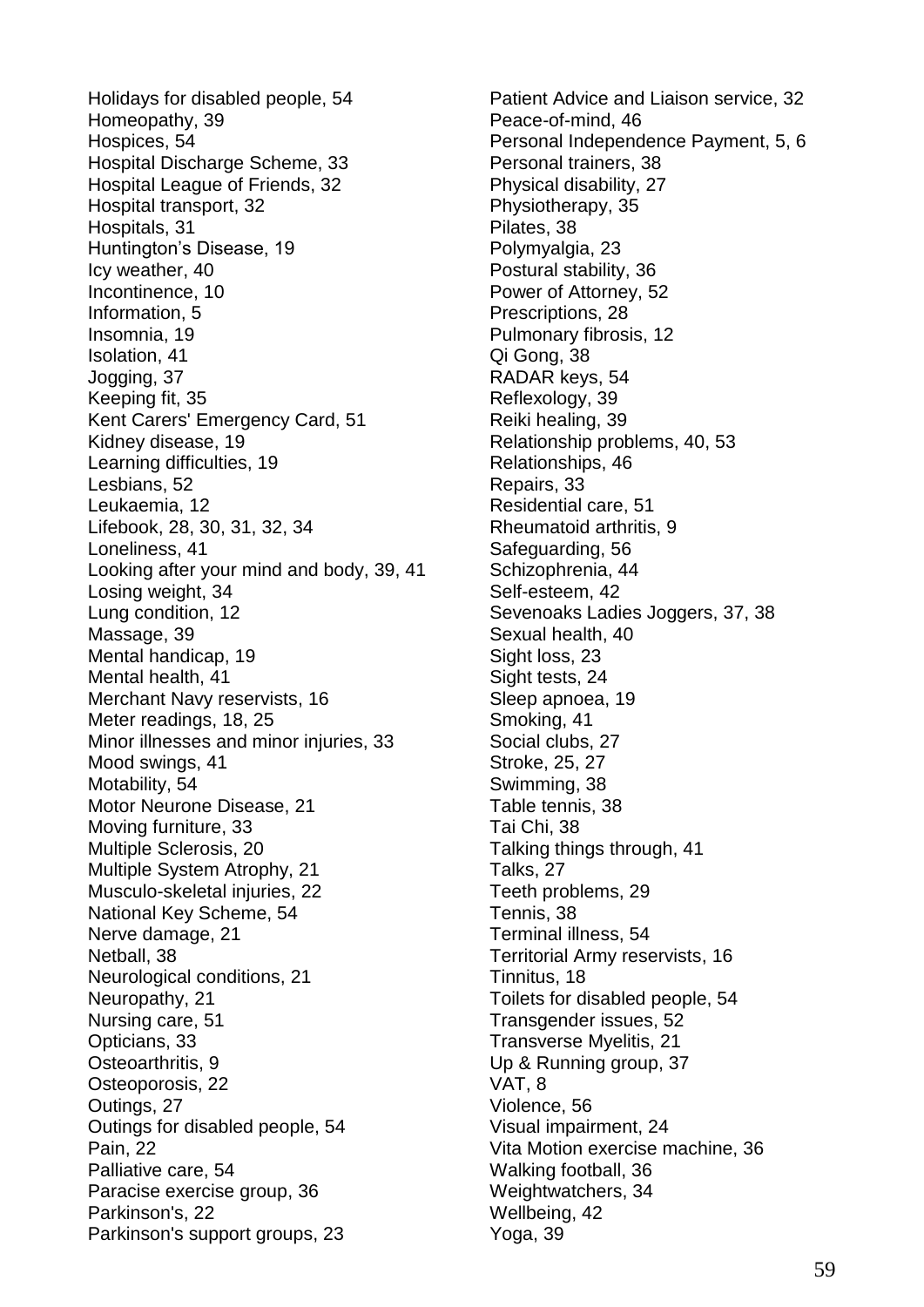Holidays for disabled people, 54 Homeopathy, 39 Hospices, 54 Hospital Discharge Scheme, 33 Hospital League of Friends, 32 Hospital transport, 32 Hospitals, 31 Huntington's Disease, 19 Icy weather, 40 Incontinence, 10 Information, 5 Insomnia, 19 Isolation, 41 Jogging, 37 Keeping fit, 35 Kent Carers' Emergency Card, 51 Kidney disease, 19 Learning difficulties, 19 Lesbians, 52 Leukaemia, 12 Lifebook, 28, 30, 31, 32, 34 Loneliness, 41 Looking after your mind and body, 39, 41 Losing weight, 34 Lung condition, 12 Massage, 39 Mental handicap, 19 Mental health, 41 Merchant Navy reservists, 16 Meter readings, 18, 25 Minor illnesses and minor injuries, 33 Mood swings, 41 Motability, 54 Motor Neurone Disease, 21 Moving furniture, 33 Multiple Sclerosis, 20 Multiple System Atrophy, 21 Musculo-skeletal injuries, 22 National Key Scheme, 54 Nerve damage, 21 Netball, 38 Neurological conditions, 21 Neuropathy, 21 Nursing care, 51 Opticians, 33 Osteoarthritis, 9 Osteoporosis, 22 Outings, 27 Outings for disabled people, 54 Pain, 22 Palliative care, 54 Paracise exercise group, 36 Parkinson's, 22 Parkinson's support groups, 23

Patient Advice and Liaison service, 32 Peace-of-mind, 46 Personal Independence Payment, 5, 6 Personal trainers, 38 Physical disability, 27 Physiotherapy, 35 Pilates, 38 Polymyalgia, 23 Postural stability, 36 Power of Attorney, 52 Prescriptions, 28 Pulmonary fibrosis, 12 Qi Gong, 38 RADAR keys, 54 Reflexology, 39 Reiki healing, 39 Relationship problems, 40, 53 Relationships, 46 Repairs, 33 Residential care, 51 Rheumatoid arthritis, 9 Safeguarding, 56 Schizophrenia, 44 Self-esteem, 42 Sevenoaks Ladies Joggers, 37, 38 Sexual health, 40 Sight loss, 23 Sight tests, 24 Sleep apnoea, 19 Smoking, 41 Social clubs, 27 Stroke, 25, 27 Swimming, 38 Table tennis, 38 Tai Chi, 38 Talking things through, 41 Talks, 27 Teeth problems, 29 Tennis, 38 Terminal illness, 54 Territorial Army reservists, 16 Tinnitus, 18 Toilets for disabled people, 54 Transgender issues, 52 Transverse Myelitis, 21 Up & Running group, 37 VAT, 8 Violence, 56 Visual impairment, 24 Vita Motion exercise machine, 36 Walking football, 36 Weightwatchers, 34 Wellbeing, 42 Yoga, 39